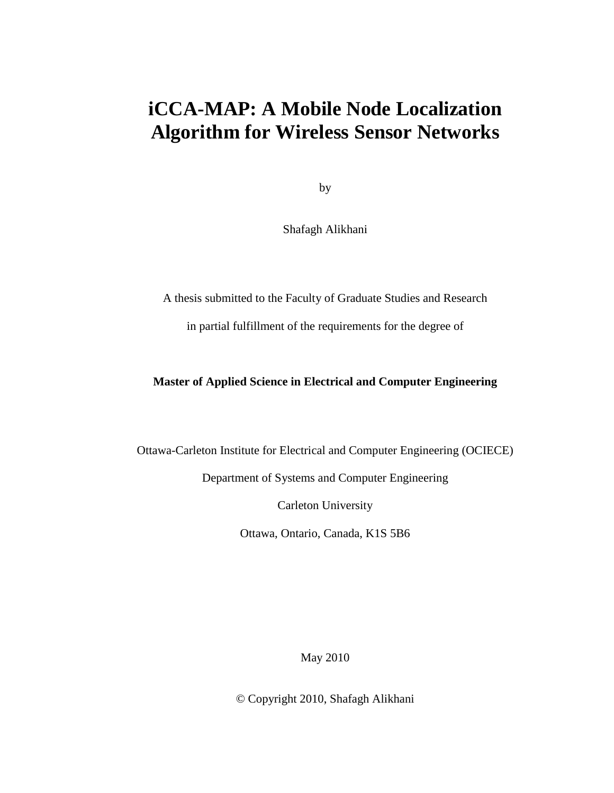### **iCCA-MAP: A Mobile Node Localization Algorithm for Wireless Sensor Networks**

by

Shafagh Alikhani

A thesis submitted to the Faculty of Graduate Studies and Research in partial fulfillment of the requirements for the degree of

#### **Master of Applied Science in Electrical and Computer Engineering**

Ottawa-Carleton Institute for Electrical and Computer Engineering (OCIECE)

Department of Systems and Computer Engineering

Carleton University

Ottawa, Ontario, Canada, K1S 5B6

May 2010

© Copyright 2010, Shafagh Alikhani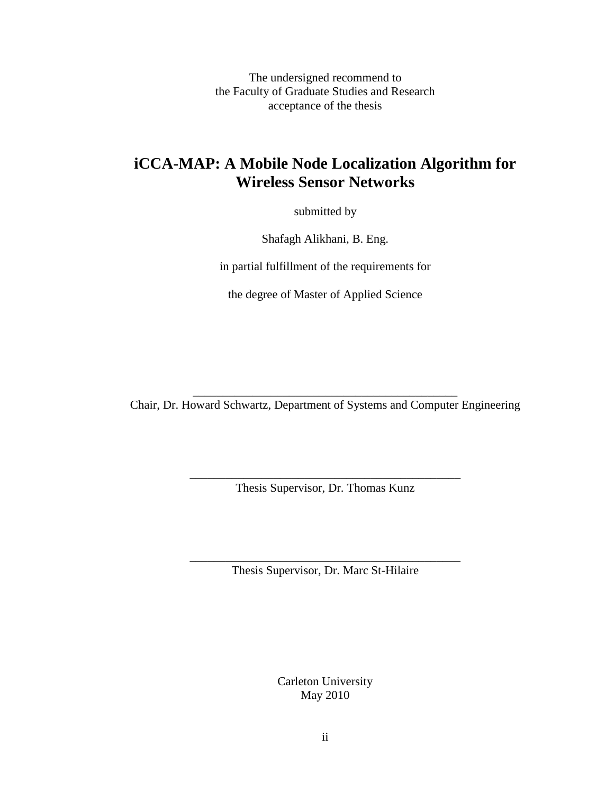The undersigned recommend to the Faculty of Graduate Studies and Research acceptance of the thesis

#### **iCCA-MAP: A Mobile Node Localization Algorithm for Wireless Sensor Networks**

submitted by

Shafagh Alikhani, B. Eng.

in partial fulfillment of the requirements for

the degree of Master of Applied Science

\_\_\_\_\_\_\_\_\_\_\_\_\_\_\_\_\_\_\_\_\_\_\_\_\_\_\_\_\_\_\_\_\_\_\_\_\_\_\_\_\_\_\_\_ Chair, Dr. Howard Schwartz, Department of Systems and Computer Engineering

> \_\_\_\_\_\_\_\_\_\_\_\_\_\_\_\_\_\_\_\_\_\_\_\_\_\_\_\_\_\_\_\_\_\_\_\_\_\_\_\_\_\_\_\_\_ Thesis Supervisor, Dr. Thomas Kunz

> \_\_\_\_\_\_\_\_\_\_\_\_\_\_\_\_\_\_\_\_\_\_\_\_\_\_\_\_\_\_\_\_\_\_\_\_\_\_\_\_\_\_\_\_\_ Thesis Supervisor, Dr. Marc St-Hilaire

> > Carleton University May 2010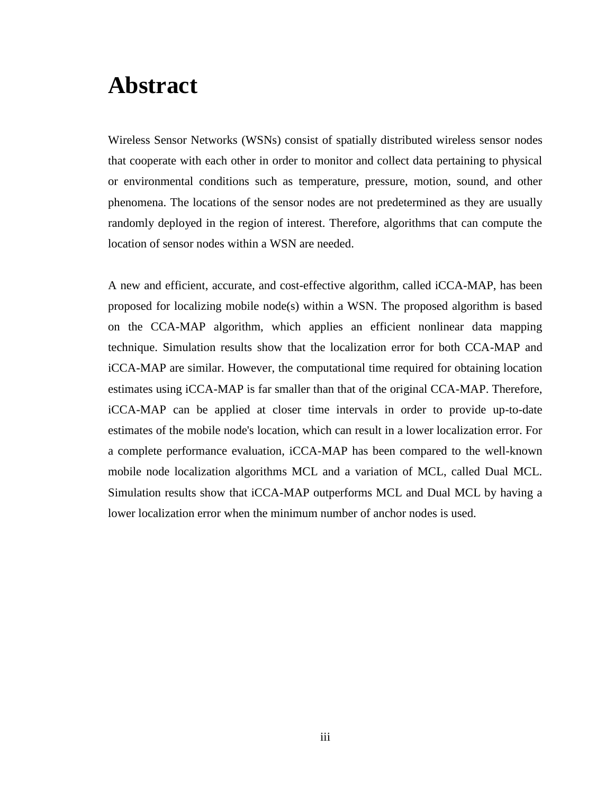## **Abstract**

Wireless Sensor Networks (WSNs) consist of spatially distributed wireless sensor nodes that cooperate with each other in order to monitor and collect data pertaining to physical or environmental conditions such as temperature, pressure, motion, sound, and other phenomena. The locations of the sensor nodes are not predetermined as they are usually randomly deployed in the region of interest. Therefore, algorithms that can compute the location of sensor nodes within a WSN are needed.

A new and efficient, accurate, and cost-effective algorithm, called iCCA-MAP, has been proposed for localizing mobile node(s) within a WSN. The proposed algorithm is based on the CCA-MAP algorithm, which applies an efficient nonlinear data mapping technique. Simulation results show that the localization error for both CCA-MAP and iCCA-MAP are similar. However, the computational time required for obtaining location estimates using iCCA-MAP is far smaller than that of the original CCA-MAP. Therefore, iCCA-MAP can be applied at closer time intervals in order to provide up-to-date estimates of the mobile node's location, which can result in a lower localization error. For a complete performance evaluation, iCCA-MAP has been compared to the well-known mobile node localization algorithms MCL and a variation of MCL, called Dual MCL. Simulation results show that iCCA-MAP outperforms MCL and Dual MCL by having a lower localization error when the minimum number of anchor nodes is used.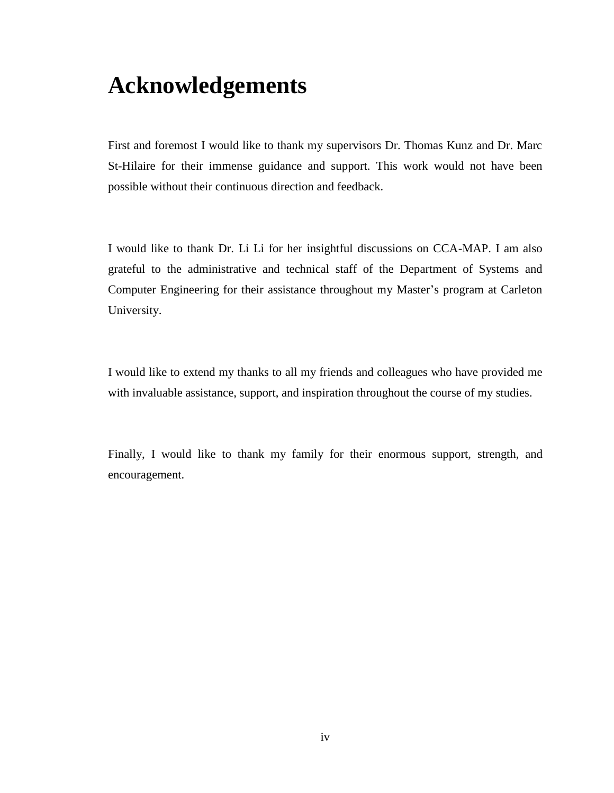## **Acknowledgements**

First and foremost I would like to thank my supervisors Dr. Thomas Kunz and Dr. Marc St-Hilaire for their immense guidance and support. This work would not have been possible without their continuous direction and feedback.

I would like to thank Dr. Li Li for her insightful discussions on CCA-MAP. I am also grateful to the administrative and technical staff of the Department of Systems and Computer Engineering for their assistance throughout my Master"s program at Carleton University.

I would like to extend my thanks to all my friends and colleagues who have provided me with invaluable assistance, support, and inspiration throughout the course of my studies.

Finally, I would like to thank my family for their enormous support, strength, and encouragement.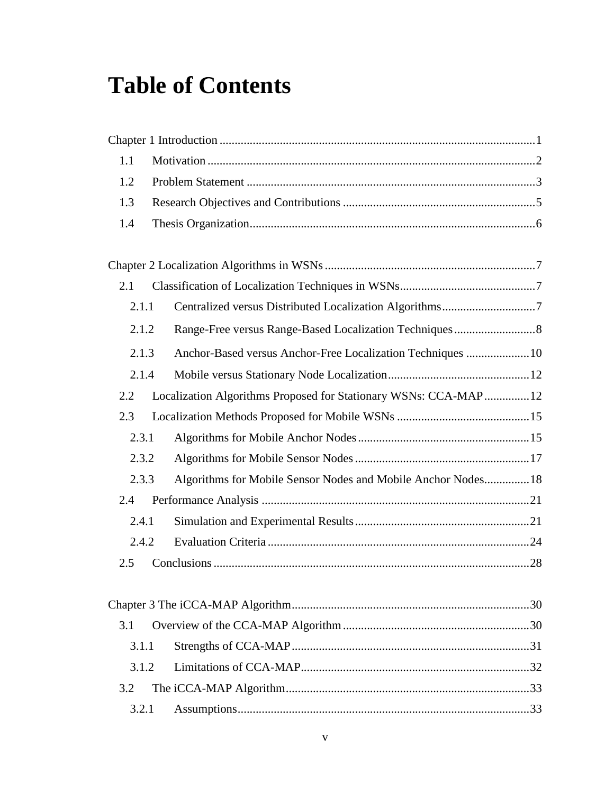# **Table of Contents**

| 1.1   |                                                                 |  |
|-------|-----------------------------------------------------------------|--|
| 1.2   |                                                                 |  |
| 1.3   |                                                                 |  |
| 1.4   |                                                                 |  |
|       |                                                                 |  |
| 2.1   |                                                                 |  |
| 2.1.1 | Centralized versus Distributed Localization Algorithms7         |  |
| 2.1.2 |                                                                 |  |
| 2.1.3 | Anchor-Based versus Anchor-Free Localization Techniques  10     |  |
| 2.1.4 |                                                                 |  |
| 2.2   | Localization Algorithms Proposed for Stationary WSNs: CCA-MAP12 |  |
| 2.3   |                                                                 |  |
| 2.3.1 |                                                                 |  |
| 2.3.2 |                                                                 |  |
| 2.3.3 | Algorithms for Mobile Sensor Nodes and Mobile Anchor Nodes 18   |  |
| 2.4   |                                                                 |  |
| 2.4.1 |                                                                 |  |
| 2.4.2 |                                                                 |  |
| 2.5   |                                                                 |  |
|       |                                                                 |  |
| 3.1   |                                                                 |  |
| 3.1.1 |                                                                 |  |
| 3.1.2 |                                                                 |  |
| 3.2   |                                                                 |  |
| 3.2.1 |                                                                 |  |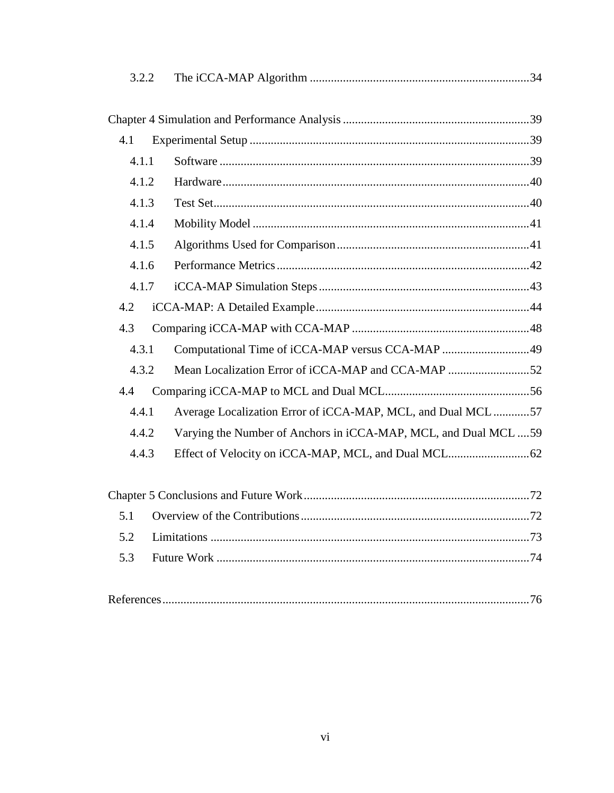| 3.2.2 |                                                                  |  |
|-------|------------------------------------------------------------------|--|
|       |                                                                  |  |
|       |                                                                  |  |
| 4.1   |                                                                  |  |
| 4.1.1 |                                                                  |  |
| 4.1.2 |                                                                  |  |
| 4.1.3 |                                                                  |  |
| 4.1.4 |                                                                  |  |
| 4.1.5 |                                                                  |  |
| 4.1.6 |                                                                  |  |
| 4.1.7 |                                                                  |  |
| 4.2   |                                                                  |  |
| 4.3   |                                                                  |  |
| 4.3.1 | Computational Time of iCCA-MAP versus CCA-MAP 49                 |  |
| 4.3.2 | Mean Localization Error of iCCA-MAP and CCA-MAP 52               |  |
| 4.4   |                                                                  |  |
| 4.4.1 | Average Localization Error of iCCA-MAP, MCL, and Dual MCL 57     |  |
| 4.4.2 | Varying the Number of Anchors in iCCA-MAP, MCL, and Dual MCL  59 |  |
| 4.4.3 |                                                                  |  |
|       |                                                                  |  |
|       |                                                                  |  |
| 5.1   |                                                                  |  |
| 5.2   |                                                                  |  |
| 5.3   |                                                                  |  |
|       |                                                                  |  |

|--|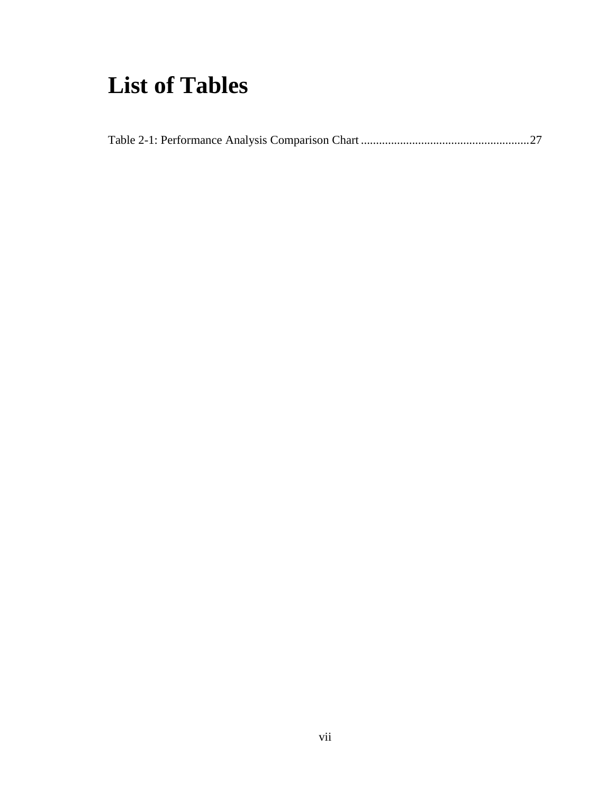## **List of Tables**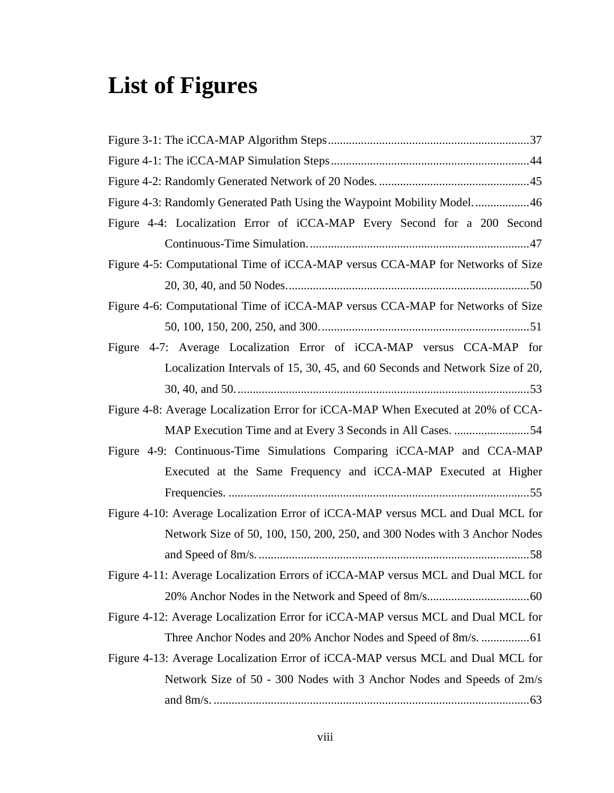# **List of Figures**

| Figure 4-3: Randomly Generated Path Using the Waypoint Mobility Model46          |
|----------------------------------------------------------------------------------|
| Figure 4-4: Localization Error of iCCA-MAP Every Second for a 200 Second         |
|                                                                                  |
| Figure 4-5: Computational Time of iCCA-MAP versus CCA-MAP for Networks of Size   |
|                                                                                  |
| Figure 4-6: Computational Time of iCCA-MAP versus CCA-MAP for Networks of Size   |
|                                                                                  |
| Figure 4-7: Average Localization Error of iCCA-MAP versus CCA-MAP for            |
| Localization Intervals of 15, 30, 45, and 60 Seconds and Network Size of 20,     |
|                                                                                  |
| Figure 4-8: Average Localization Error for iCCA-MAP When Executed at 20% of CCA- |
|                                                                                  |
| Figure 4-9: Continuous-Time Simulations Comparing iCCA-MAP and CCA-MAP           |
| Executed at the Same Frequency and iCCA-MAP Executed at Higher                   |
|                                                                                  |
| Figure 4-10: Average Localization Error of iCCA-MAP versus MCL and Dual MCL for  |
| Network Size of 50, 100, 150, 200, 250, and 300 Nodes with 3 Anchor Nodes        |
|                                                                                  |
| Figure 4-11: Average Localization Errors of iCCA-MAP versus MCL and Dual MCL for |
|                                                                                  |
| Figure 4-12: Average Localization Error for iCCA-MAP versus MCL and Dual MCL for |
|                                                                                  |
| Figure 4-13: Average Localization Error of iCCA-MAP versus MCL and Dual MCL for  |
| Network Size of 50 - 300 Nodes with 3 Anchor Nodes and Speeds of 2m/s            |
|                                                                                  |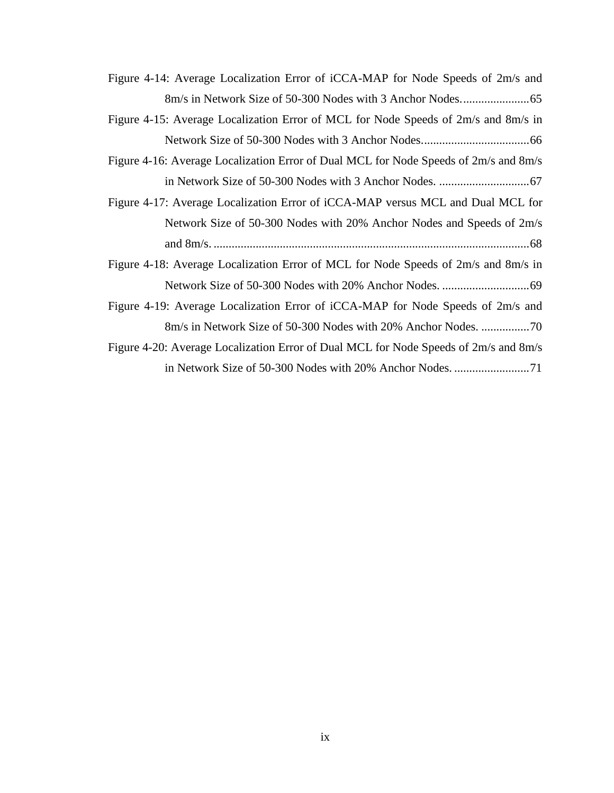| Figure 4-14: Average Localization Error of iCCA-MAP for Node Speeds of 2m/s and      |
|--------------------------------------------------------------------------------------|
|                                                                                      |
| Figure 4-15: Average Localization Error of MCL for Node Speeds of 2m/s and 8m/s in   |
|                                                                                      |
| Figure 4-16: Average Localization Error of Dual MCL for Node Speeds of 2m/s and 8m/s |
|                                                                                      |
| Figure 4-17: Average Localization Error of iCCA-MAP versus MCL and Dual MCL for      |
| Network Size of 50-300 Nodes with 20% Anchor Nodes and Speeds of 2m/s                |
|                                                                                      |
| Figure 4-18: Average Localization Error of MCL for Node Speeds of 2m/s and 8m/s in   |
|                                                                                      |
| Figure 4-19: Average Localization Error of iCCA-MAP for Node Speeds of 2m/s and      |
|                                                                                      |
| Figure 4-20: Average Localization Error of Dual MCL for Node Speeds of 2m/s and 8m/s |
|                                                                                      |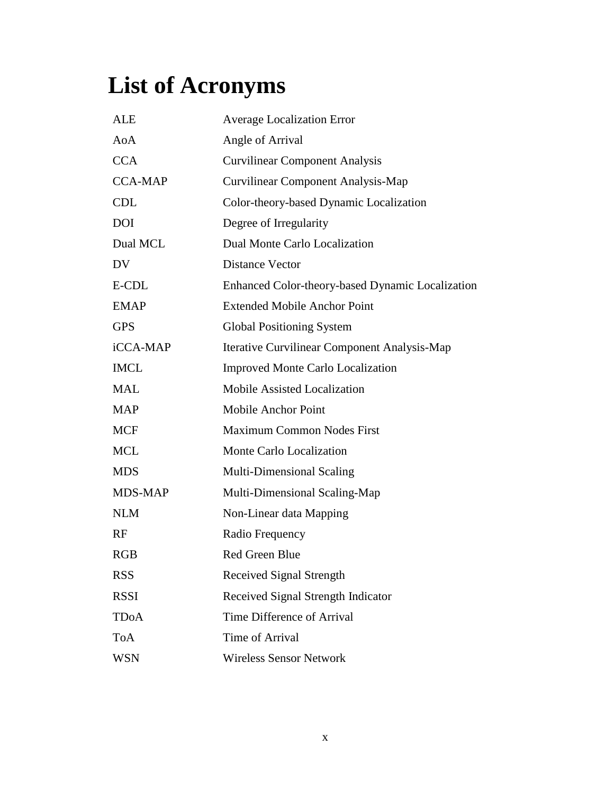# **List of Acronyms**

| <b>ALE</b>       | <b>Average Localization Error</b>                |
|------------------|--------------------------------------------------|
| A <sub>0</sub> A | Angle of Arrival                                 |
| <b>CCA</b>       | <b>Curvilinear Component Analysis</b>            |
| <b>CCA-MAP</b>   | <b>Curvilinear Component Analysis-Map</b>        |
| <b>CDL</b>       | Color-theory-based Dynamic Localization          |
| <b>DOI</b>       | Degree of Irregularity                           |
| Dual MCL         | Dual Monte Carlo Localization                    |
| DV               | <b>Distance Vector</b>                           |
| E-CDL            | Enhanced Color-theory-based Dynamic Localization |
| <b>EMAP</b>      | <b>Extended Mobile Anchor Point</b>              |
| <b>GPS</b>       | <b>Global Positioning System</b>                 |
| iCCA-MAP         | Iterative Curvilinear Component Analysis-Map     |
| <b>IMCL</b>      | <b>Improved Monte Carlo Localization</b>         |
| <b>MAL</b>       | <b>Mobile Assisted Localization</b>              |
| <b>MAP</b>       | Mobile Anchor Point                              |
| <b>MCF</b>       | <b>Maximum Common Nodes First</b>                |
| <b>MCL</b>       | Monte Carlo Localization                         |
| <b>MDS</b>       | <b>Multi-Dimensional Scaling</b>                 |
| MDS-MAP          | Multi-Dimensional Scaling-Map                    |
| <b>NLM</b>       | Non-Linear data Mapping                          |
| RF               | Radio Frequency                                  |
| <b>RGB</b>       | <b>Red Green Blue</b>                            |
| <b>RSS</b>       | Received Signal Strength                         |
| <b>RSSI</b>      | Received Signal Strength Indicator               |
| <b>TDoA</b>      | Time Difference of Arrival                       |
| <b>ToA</b>       | Time of Arrival                                  |
| <b>WSN</b>       | <b>Wireless Sensor Network</b>                   |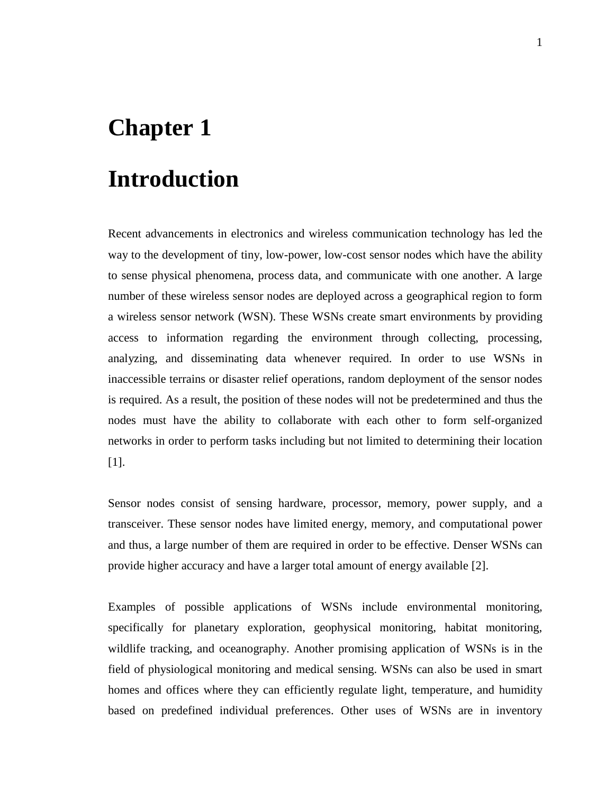## <span id="page-10-0"></span>**Chapter 1**

## **Introduction**

Recent advancements in electronics and wireless communication technology has led the way to the development of tiny, low-power, low-cost sensor nodes which have the ability to sense physical phenomena, process data, and communicate with one another. A large number of these wireless sensor nodes are deployed across a geographical region to form a wireless sensor network (WSN). These WSNs create smart environments by providing access to information regarding the environment through collecting, processing, analyzing, and disseminating data whenever required. In order to use WSNs in inaccessible terrains or disaster relief operations, random deployment of the sensor nodes is required. As a result, the position of these nodes will not be predetermined and thus the nodes must have the ability to collaborate with each other to form self-organized networks in order to perform tasks including but not limited to determining their location [\[1\]](#page-85-1).

Sensor nodes consist of sensing hardware, processor, memory, power supply, and a transceiver. These sensor nodes have limited energy, memory, and computational power and thus, a large number of them are required in order to be effective. Denser WSNs can provide higher accuracy and have a larger total amount of energy available [\[2\]](#page-85-2).

Examples of possible applications of WSNs include environmental monitoring, specifically for planetary exploration, geophysical monitoring, habitat monitoring, wildlife tracking, and oceanography. Another promising application of WSNs is in the field of physiological monitoring and medical sensing. WSNs can also be used in smart homes and offices where they can efficiently regulate light, temperature, and humidity based on predefined individual preferences. Other uses of WSNs are in inventory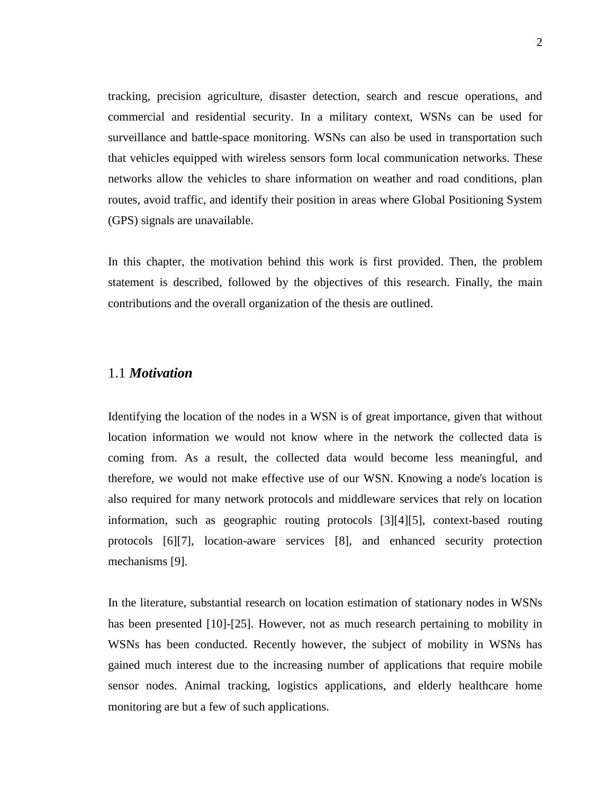tracking, precision agriculture, disaster detection, search and rescue operations, and commercial and residential security. In a military context, WSNs can be used for surveillance and battle-space monitoring. WSNs can also be used in transportation such that vehicles equipped with wireless sensors form local communication networks. These networks allow the vehicles to share information on weather and road conditions, plan routes, avoid traffic, and identify their position in areas where Global Positioning System (GPS) signals are unavailable.

In this chapter, the motivation behind this work is first provided. Then, the problem statement is described, followed by the objectives of this research. Finally, the main contributions and the overall organization of the thesis are outlined.

#### <span id="page-11-0"></span>1.1 *Motivation*

Identifying the location of the nodes in a WSN is of great importance, given that without location information we would not know where in the network the collected data is coming from. As a result, the collected data would become less meaningful, and therefore, we would not make effective use of our WSN. Knowing a node's location is also required for many network protocols and middleware services that rely on location information, such as geographic routing protocols [3][\[4\]](#page-85-3)[\[5\]](#page-85-4), context-based routing protocols [\[6\]](#page-85-5)[\[7\]](#page-85-6), location-aware services [\[8\]](#page-85-7), and enhanced security protection mechanisms [\[9\]](#page-85-8).

In the literature, substantial research on location estimation of stationary nodes in WSNs has been presented [\[10\]](#page-86-0)-[\[25\]](#page-87-0). However, not as much research pertaining to mobility in WSNs has been conducted. Recently however, the subject of mobility in WSNs has gained much interest due to the increasing number of applications that require mobile sensor nodes. Animal tracking, logistics applications, and elderly healthcare home monitoring are but a few of such applications.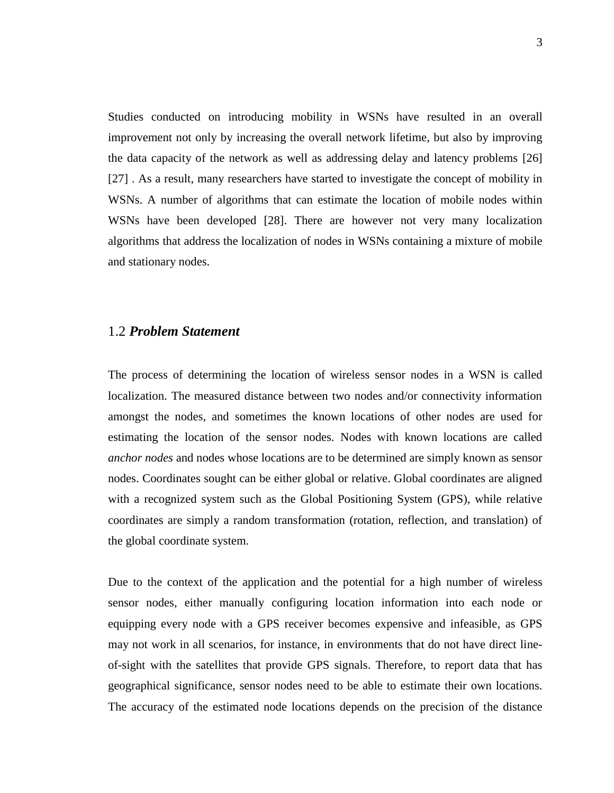Studies conducted on introducing mobility in WSNs have resulted in an overall improvement not only by increasing the overall network lifetime, but also by improving the data capacity of the network as well as addressing delay and latency problems [\[26\]](#page-87-1) [\[27\]](#page-87-2) . As a result, many researchers have started to investigate the concept of mobility in WSNs. A number of algorithms that can estimate the location of mobile nodes within WSNs have been developed [\[28\]](#page-87-3). There are however not very many localization algorithms that address the localization of nodes in WSNs containing a mixture of mobile and stationary nodes.

#### <span id="page-12-0"></span>1.2 *Problem Statement*

The process of determining the location of wireless sensor nodes in a WSN is called localization. The measured distance between two nodes and/or connectivity information amongst the nodes, and sometimes the known locations of other nodes are used for estimating the location of the sensor nodes. Nodes with known locations are called *anchor nodes* and nodes whose locations are to be determined are simply known as sensor nodes. Coordinates sought can be either global or relative. Global coordinates are aligned with a recognized system such as the Global Positioning System (GPS), while relative coordinates are simply a random transformation (rotation, reflection, and translation) of the global coordinate system.

Due to the context of the application and the potential for a high number of wireless sensor nodes, either manually configuring location information into each node or equipping every node with a GPS receiver becomes expensive and infeasible, as GPS may not work in all scenarios, for instance, in environments that do not have direct lineof-sight with the satellites that provide GPS signals. Therefore, to report data that has geographical significance, sensor nodes need to be able to estimate their own locations. The accuracy of the estimated node locations depends on the precision of the distance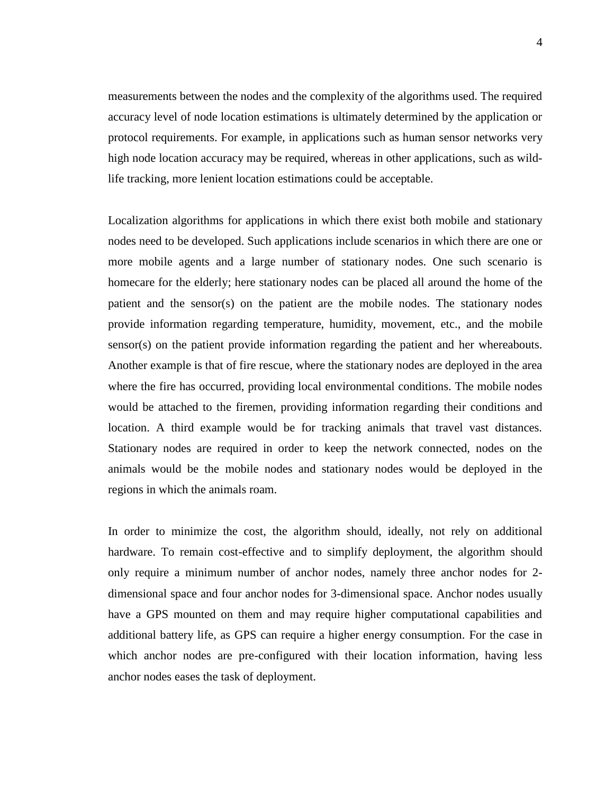measurements between the nodes and the complexity of the algorithms used. The required accuracy level of node location estimations is ultimately determined by the application or protocol requirements. For example, in applications such as human sensor networks very high node location accuracy may be required, whereas in other applications, such as wildlife tracking, more lenient location estimations could be acceptable.

Localization algorithms for applications in which there exist both mobile and stationary nodes need to be developed. Such applications include scenarios in which there are one or more mobile agents and a large number of stationary nodes. One such scenario is homecare for the elderly; here stationary nodes can be placed all around the home of the patient and the sensor(s) on the patient are the mobile nodes. The stationary nodes provide information regarding temperature, humidity, movement, etc., and the mobile sensor(s) on the patient provide information regarding the patient and her whereabouts. Another example is that of fire rescue, where the stationary nodes are deployed in the area where the fire has occurred, providing local environmental conditions. The mobile nodes would be attached to the firemen, providing information regarding their conditions and location. A third example would be for tracking animals that travel vast distances. Stationary nodes are required in order to keep the network connected, nodes on the animals would be the mobile nodes and stationary nodes would be deployed in the regions in which the animals roam.

In order to minimize the cost, the algorithm should, ideally, not rely on additional hardware. To remain cost-effective and to simplify deployment, the algorithm should only require a minimum number of anchor nodes, namely three anchor nodes for 2 dimensional space and four anchor nodes for 3-dimensional space. Anchor nodes usually have a GPS mounted on them and may require higher computational capabilities and additional battery life, as GPS can require a higher energy consumption. For the case in which anchor nodes are pre-configured with their location information, having less anchor nodes eases the task of deployment.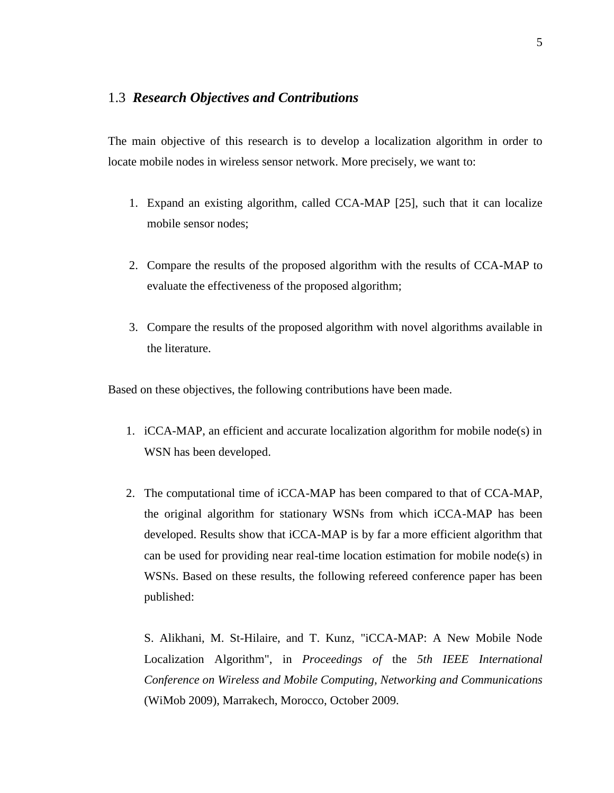#### <span id="page-14-0"></span>1.3 *Research Objectives and Contributions*

The main objective of this research is to develop a localization algorithm in order to locate mobile nodes in wireless sensor network. More precisely, we want to:

- 1. Expand an existing algorithm, called CCA-MAP [\[25\]](#page-87-0), such that it can localize mobile sensor nodes;
- 2. Compare the results of the proposed algorithm with the results of CCA-MAP to evaluate the effectiveness of the proposed algorithm;
- 3. Compare the results of the proposed algorithm with novel algorithms available in the literature.

Based on these objectives, the following contributions have been made.

- 1. iCCA-MAP, an efficient and accurate localization algorithm for mobile node(s) in WSN has been developed.
- 2. The computational time of iCCA-MAP has been compared to that of CCA-MAP, the original algorithm for stationary WSNs from which iCCA-MAP has been developed. Results show that iCCA-MAP is by far a more efficient algorithm that can be used for providing near real-time location estimation for mobile node(s) in WSNs. Based on these results, the following refereed conference paper has been published:

S. Alikhani, M. St-Hilaire, and T. Kunz, "iCCA-MAP: A New Mobile Node Localization Algorithm", in *Proceedings of* the *5th IEEE International Conference on Wireless and Mobile Computing, Networking and Communications* (WiMob 2009), Marrakech, Morocco, October 2009.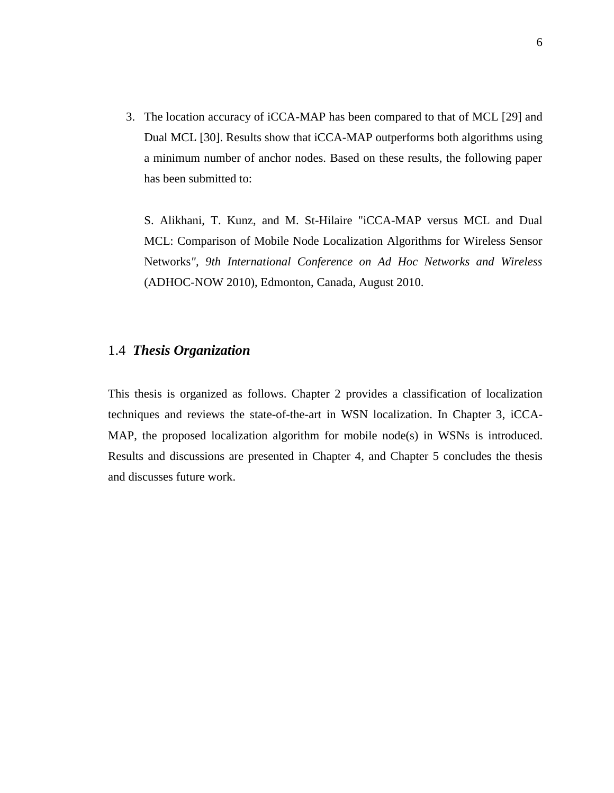3. The location accuracy of iCCA-MAP has been compared to that of MCL [\[29\]](#page-88-0) and Dual MCL [\[30\]](#page-88-1). Results show that iCCA-MAP outperforms both algorithms using a minimum number of anchor nodes. Based on these results, the following paper has been submitted to:

S. Alikhani, T. Kunz, and M. St-Hilaire "iCCA-MAP versus MCL and Dual MCL: Comparison of Mobile Node Localization Algorithms for Wireless Sensor Networks*", 9th International Conference on Ad Hoc Networks and Wireless* (ADHOC-NOW 2010), Edmonton, Canada, August 2010.

#### <span id="page-15-0"></span>1.4 *Thesis Organization*

This thesis is organized as follows. Chapter 2 provides a classification of localization techniques and reviews the state-of-the-art in WSN localization. In Chapter 3, iCCA-MAP, the proposed localization algorithm for mobile node(s) in WSNs is introduced. Results and discussions are presented in Chapter 4, and Chapter 5 concludes the thesis and discusses future work.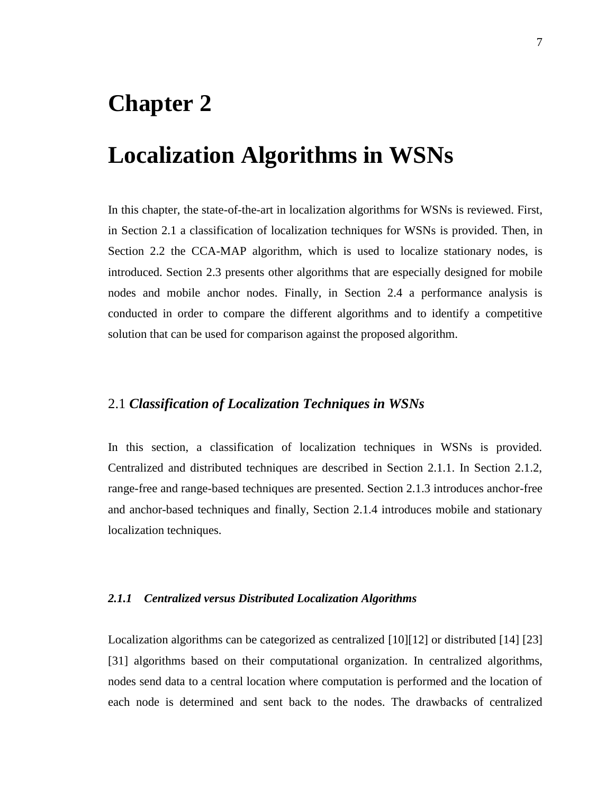## <span id="page-16-0"></span>**Chapter 2**

## **Localization Algorithms in WSNs**

In this chapter, the state-of-the-art in localization algorithms for WSNs is reviewed. First, in Section [2.1](#page-16-1) a classification of localization techniques for WSNs is provided. Then, in Section [2.2](#page-21-1) the CCA-MAP algorithm, which is used to localize stationary nodes, is introduced. Section [2.3](#page-24-0) presents other algorithms that are especially designed for mobile nodes and mobile anchor nodes. Finally, in Section [2.4](#page-30-0) a performance analysis is conducted in order to compare the different algorithms and to identify a competitive solution that can be used for comparison against the proposed algorithm.

#### <span id="page-16-1"></span>2.1 *Classification of Localization Techniques in WSNs*

In this section, a classification of localization techniques in WSNs is provided. Centralized and distributed techniques are described in Section 2.1.1. In Section 2.1.2, range-free and range-based techniques are presented. Section 2.1.3 introduces anchor-free and anchor-based techniques and finally, Section 2.1.4 introduces mobile and stationary localization techniques.

#### <span id="page-16-2"></span>*2.1.1 Centralized versus Distributed Localization Algorithms*

Localization algorithms can be categorized as centralized [\[10\]](#page-86-0)[\[12\]](#page-86-1) or distributed [\[14\]](#page-86-2) [\[23\]](#page-87-4) [\[31\]](#page-88-2) algorithms based on their computational organization. In centralized algorithms, nodes send data to a central location where computation is performed and the location of each node is determined and sent back to the nodes. The drawbacks of centralized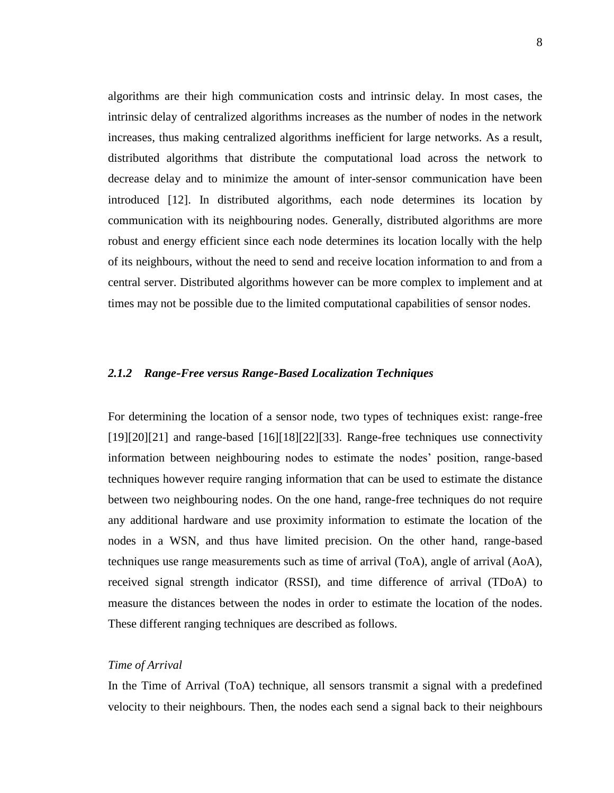algorithms are their high communication costs and intrinsic delay. In most cases, the intrinsic delay of centralized algorithms increases as the number of nodes in the network increases, thus making centralized algorithms inefficient for large networks. As a result, distributed algorithms that distribute the computational load across the network to decrease delay and to minimize the amount of inter-sensor communication have been introduced [\[12\]](#page-86-1). In distributed algorithms, each node determines its location by communication with its neighbouring nodes. Generally, distributed algorithms are more robust and energy efficient since each node determines its location locally with the help of its neighbours, without the need to send and receive location information to and from a central server. Distributed algorithms however can be more complex to implement and at times may not be possible due to the limited computational capabilities of sensor nodes.

#### <span id="page-17-0"></span>*2.1.2 Range‐Free versus Range‐Based Localization Techniques*

For determining the location of a sensor node, two types of techniques exist: range-free [\[19\]](#page-87-5)[\[20\]](#page-87-6)[\[21\]](#page-87-7) and range-based [\[16\]](#page-86-3)[\[18\]](#page-86-4)[\[22\]](#page-87-8)[\[33\]](#page-86-5). Range-free techniques use connectivity information between neighbouring nodes to estimate the nodes" position, range-based techniques however require ranging information that can be used to estimate the distance between two neighbouring nodes. On the one hand, range-free techniques do not require any additional hardware and use proximity information to estimate the location of the nodes in a WSN, and thus have limited precision. On the other hand, range-based techniques use range measurements such as time of arrival (ToA), angle of arrival (AoA), received signal strength indicator (RSSI), and time difference of arrival (TDoA) to measure the distances between the nodes in order to estimate the location of the nodes. These different ranging techniques are described as follows.

#### *Time of Arrival*

In the Time of Arrival (ToA) technique, all sensors transmit a signal with a predefined velocity to their neighbours. Then, the nodes each send a signal back to their neighbours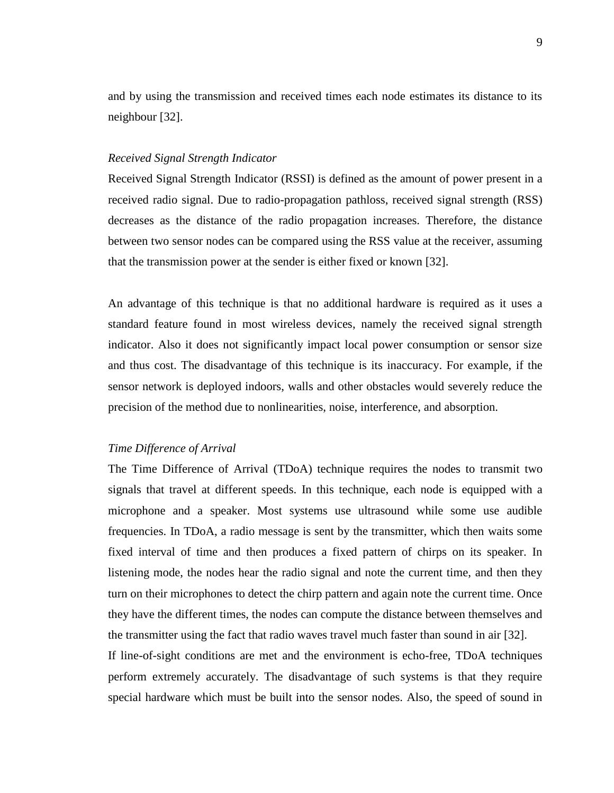and by using the transmission and received times each node estimates its distance to its neighbour [\[32\]](#page-88-3).

#### *Received Signal Strength Indicator*

Received Signal Strength Indicator (RSSI) is defined as the amount of power present in a received radio signal. Due to radio-propagation pathloss, received signal strength (RSS) decreases as the distance of the radio propagation increases. Therefore, the distance between two sensor nodes can be compared using the RSS value at the receiver, assuming that the transmission power at the sender is either fixed or known [\[32\]](#page-88-3).

An advantage of this technique is that no additional hardware is required as it uses a standard feature found in most wireless devices, namely the received signal strength indicator. Also it does not significantly impact local power consumption or sensor size and thus cost. The disadvantage of this technique is its inaccuracy. For example, if the sensor network is deployed indoors, walls and other obstacles would severely reduce the precision of the method due to nonlinearities, noise, interference, and absorption.

#### *Time Difference of Arrival*

The Time Difference of Arrival (TDoA) technique requires the nodes to transmit two signals that travel at different speeds. In this technique, each node is equipped with a microphone and a speaker. Most systems use ultrasound while some use audible frequencies. In TDoA, a radio message is sent by the transmitter, which then waits some fixed interval of time and then produces a fixed pattern of chirps on its speaker. In listening mode, the nodes hear the radio signal and note the current time, and then they turn on their microphones to detect the chirp pattern and again note the current time. Once they have the different times, the nodes can compute the distance between themselves and the transmitter using the fact that radio waves travel much faster than sound in air [\[32\]](#page-88-3).

If line-of-sight conditions are met and the environment is echo-free, TDoA techniques perform extremely accurately. The disadvantage of such systems is that they require special hardware which must be built into the sensor nodes. Also, the speed of sound in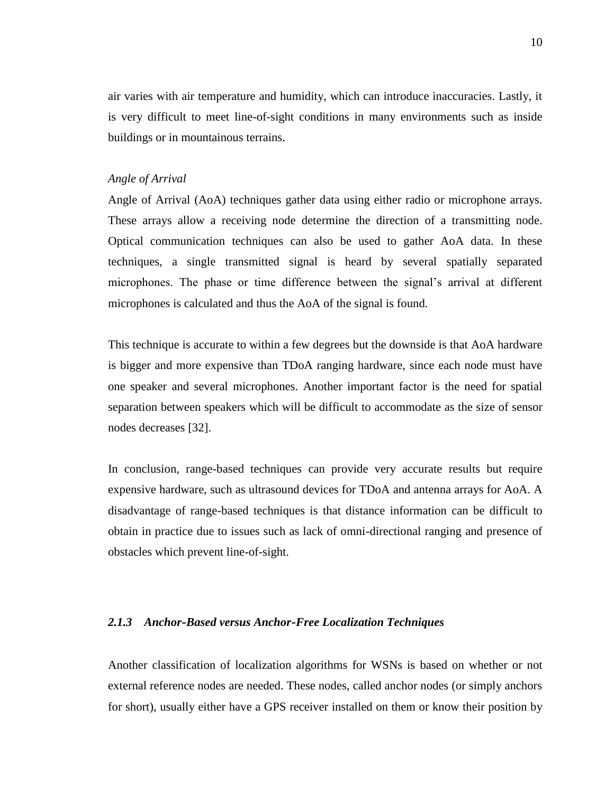air varies with air temperature and humidity, which can introduce inaccuracies. Lastly, it is very difficult to meet line-of-sight conditions in many environments such as inside buildings or in mountainous terrains.

#### *Angle of Arrival*

Angle of Arrival (AoA) techniques gather data using either radio or microphone arrays. These arrays allow a receiving node determine the direction of a transmitting node. Optical communication techniques can also be used to gather AoA data. In these techniques, a single transmitted signal is heard by several spatially separated microphones. The phase or time difference between the signal"s arrival at different microphones is calculated and thus the AoA of the signal is found.

This technique is accurate to within a few degrees but the downside is that AoA hardware is bigger and more expensive than TDoA ranging hardware, since each node must have one speaker and several microphones. Another important factor is the need for spatial separation between speakers which will be difficult to accommodate as the size of sensor nodes decreases [\[32\]](#page-88-3).

In conclusion, range-based techniques can provide very accurate results but require expensive hardware, such as ultrasound devices for TDoA and antenna arrays for AoA. A disadvantage of range-based techniques is that distance information can be difficult to obtain in practice due to issues such as lack of omni-directional ranging and presence of obstacles which prevent line-of-sight.

#### <span id="page-19-0"></span>*2.1.3 Anchor‐Based versus Anchor‐Free Localization Techniques*

Another classification of localization algorithms for WSNs is based on whether or not external reference nodes are needed. These nodes, called anchor nodes (or simply anchors for short), usually either have a GPS receiver installed on them or know their position by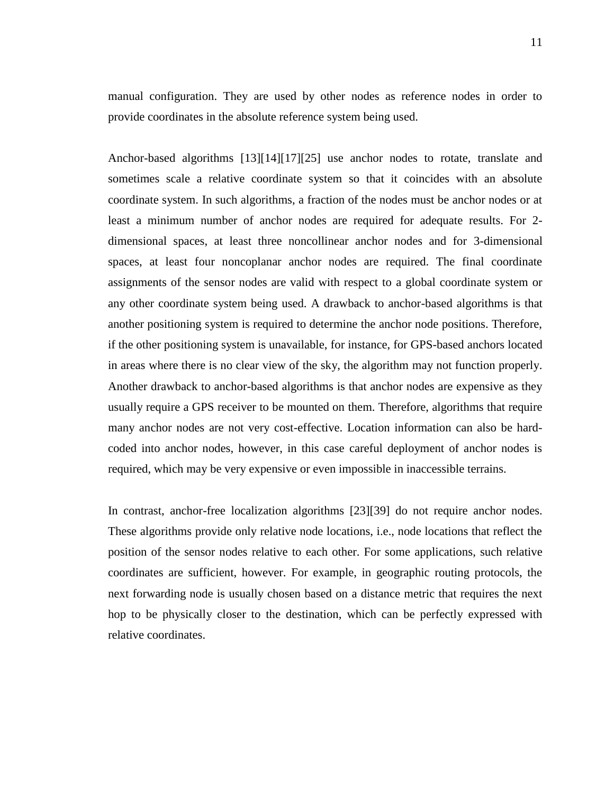manual configuration. They are used by other nodes as reference nodes in order to provide coordinates in the absolute reference system being used.

Anchor-based algorithms [13][14][17][25] use anchor nodes to rotate, translate and sometimes scale a relative coordinate system so that it coincides with an absolute coordinate system. In such algorithms, a fraction of the nodes must be anchor nodes or at least a minimum number of anchor nodes are required for adequate results. For 2 dimensional spaces, at least three noncollinear anchor nodes and for 3-dimensional spaces, at least four noncoplanar anchor nodes are required. The final coordinate assignments of the sensor nodes are valid with respect to a global coordinate system or any other coordinate system being used. A drawback to anchor-based algorithms is that another positioning system is required to determine the anchor node positions. Therefore, if the other positioning system is unavailable, for instance, for GPS-based anchors located in areas where there is no clear view of the sky, the algorithm may not function properly. Another drawback to anchor-based algorithms is that anchor nodes are expensive as they usually require a GPS receiver to be mounted on them. Therefore, algorithms that require many anchor nodes are not very cost-effective. Location information can also be hardcoded into anchor nodes, however, in this case careful deployment of anchor nodes is required, which may be very expensive or even impossible in inaccessible terrains.

In contrast, anchor-free localization algorithms [23][39] do not require anchor nodes. These algorithms provide only relative node locations, i.e., node locations that reflect the position of the sensor nodes relative to each other. For some applications, such relative coordinates are sufficient, however. For example, in geographic routing protocols, the next forwarding node is usually chosen based on a distance metric that requires the next hop to be physically closer to the destination, which can be perfectly expressed with relative coordinates.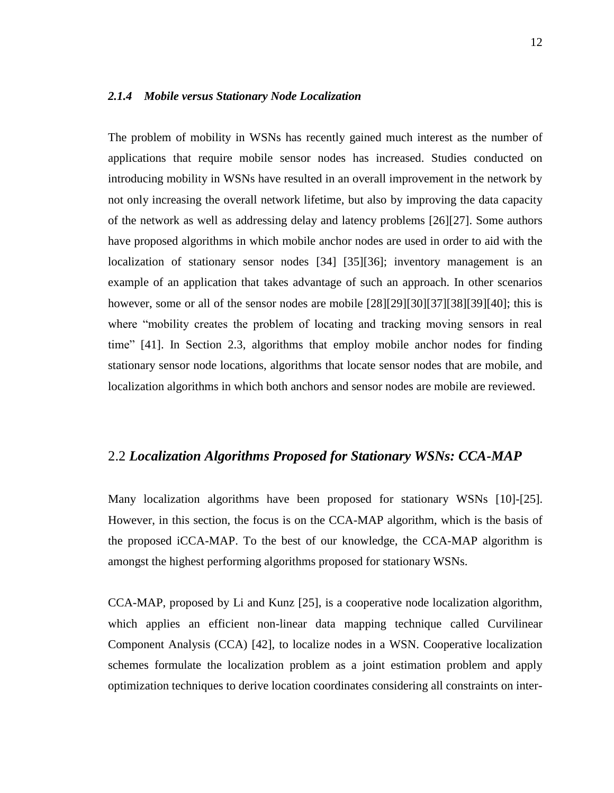#### <span id="page-21-0"></span>*2.1.4 Mobile versus Stationary Node Localization*

The problem of mobility in WSNs has recently gained much interest as the number of applications that require mobile sensor nodes has increased. Studies conducted on introducing mobility in WSNs have resulted in an overall improvement in the network by not only increasing the overall network lifetime, but also by improving the data capacity of the network as well as addressing delay and latency problems [\[26\]](#page-87-1)[\[27\]](#page-87-2). Some authors have proposed algorithms in which mobile anchor nodes are used in order to aid with the localization of stationary sensor nodes [\[34\]](#page-88-4) [\[35\]](#page-88-5)[\[36\]](#page-88-6); inventory management is an example of an application that takes advantage of such an approach. In other scenarios however, some or all of the sensor nodes are mobile  $[28][29][30][37][38][39][40]$  $[28][29][30][37][38][39][40]$  $[28][29][30][37][38][39][40]$  $[28][29][30][37][38][39][40]$  $[28][29][30][37][38][39][40]$  $[28][29][30][37][38][39][40]$  $[28][29][30][37][38][39][40]$ ; this is where "mobility creates the problem of locating and tracking moving sensors in real time" [\[41\]](#page-89-3). In Section 2.3, algorithms that employ mobile anchor nodes for finding stationary sensor node locations, algorithms that locate sensor nodes that are mobile, and localization algorithms in which both anchors and sensor nodes are mobile are reviewed.

#### <span id="page-21-1"></span>2.2 *Localization Algorithms Proposed for Stationary WSNs: CCA-MAP*

Many localization algorithms have been proposed for stationary WSNs [\[10\]](#page-86-0)-[\[25\]](#page-87-0). However, in this section, the focus is on the CCA-MAP algorithm, which is the basis of the proposed iCCA-MAP. To the best of our knowledge, the CCA-MAP algorithm is amongst the highest performing algorithms proposed for stationary WSNs.

CCA-MAP, proposed by Li and Kunz [\[25\]](#page-87-0), is a cooperative node localization algorithm, which applies an efficient non-linear data mapping technique called Curvilinear Component Analysis (CCA) [\[42\]](#page-89-4), to localize nodes in a WSN. Cooperative localization schemes formulate the localization problem as a joint estimation problem and apply optimization techniques to derive location coordinates considering all constraints on inter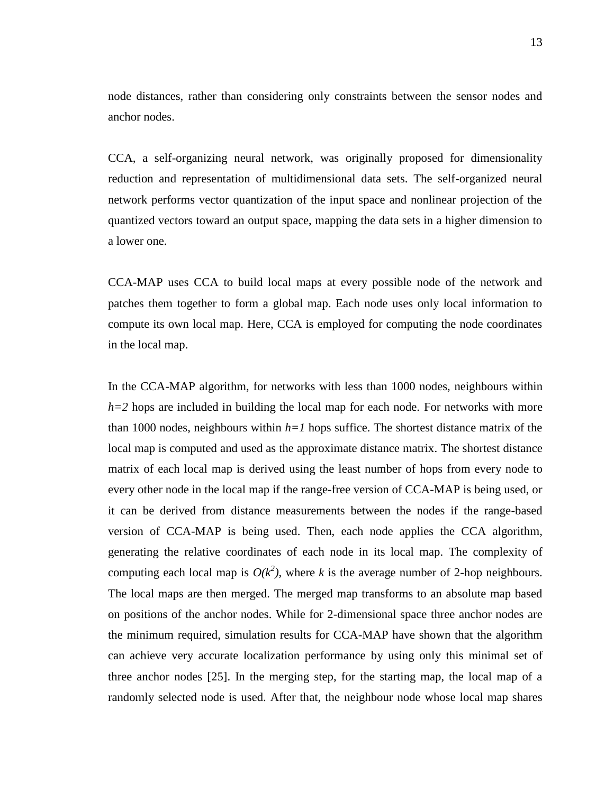node distances, rather than considering only constraints between the sensor nodes and anchor nodes.

CCA, a self-organizing neural network, was originally proposed for dimensionality reduction and representation of multidimensional data sets. The self-organized neural network performs vector quantization of the input space and nonlinear projection of the quantized vectors toward an output space, mapping the data sets in a higher dimension to a lower one.

CCA-MAP uses CCA to build local maps at every possible node of the network and patches them together to form a global map. Each node uses only local information to compute its own local map. Here, CCA is employed for computing the node coordinates in the local map.

In the CCA-MAP algorithm, for networks with less than 1000 nodes, neighbours within *h=2* hops are included in building the local map for each node. For networks with more than 1000 nodes, neighbours within  $h=1$  hops suffice. The shortest distance matrix of the local map is computed and used as the approximate distance matrix. The shortest distance matrix of each local map is derived using the least number of hops from every node to every other node in the local map if the range-free version of CCA-MAP is being used, or it can be derived from distance measurements between the nodes if the range-based version of CCA-MAP is being used. Then, each node applies the CCA algorithm, generating the relative coordinates of each node in its local map. The complexity of computing each local map is  $O(k^2)$ , where *k* is the average number of 2-hop neighbours. The local maps are then merged. The merged map transforms to an absolute map based on positions of the anchor nodes. While for 2-dimensional space three anchor nodes are the minimum required, simulation results for CCA-MAP have shown that the algorithm can achieve very accurate localization performance by using only this minimal set of three anchor nodes [\[25\]](#page-87-0). In the merging step, for the starting map, the local map of a randomly selected node is used. After that, the neighbour node whose local map shares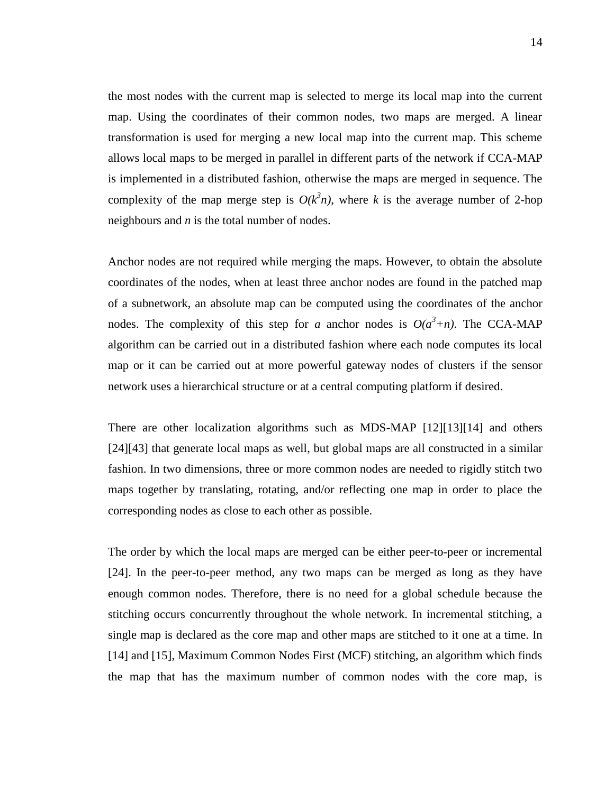the most nodes with the current map is selected to merge its local map into the current map. Using the coordinates of their common nodes, two maps are merged. A linear transformation is used for merging a new local map into the current map. This scheme allows local maps to be merged in parallel in different parts of the network if CCA-MAP is implemented in a distributed fashion, otherwise the maps are merged in sequence. The complexity of the map merge step is  $O(k^3n)$ , where *k* is the average number of 2-hop neighbours and *n* is the total number of nodes.

Anchor nodes are not required while merging the maps. However, to obtain the absolute coordinates of the nodes, when at least three anchor nodes are found in the patched map of a subnetwork, an absolute map can be computed using the coordinates of the anchor nodes. The complexity of this step for *a* anchor nodes is  $O(a^3+n)$ . The CCA-MAP algorithm can be carried out in a distributed fashion where each node computes its local map or it can be carried out at more powerful gateway nodes of clusters if the sensor network uses a hierarchical structure or at a central computing platform if desired.

There are other localization algorithms such as MDS-MAP [\[12\]](#page-86-1)[\[13\]](#page-86-6)[\[14\]](#page-86-2) and others [\[24\]](#page-87-9)[43] that generate local maps as well, but global maps are all constructed in a similar fashion. In two dimensions, three or more common nodes are needed to rigidly stitch two maps together by translating, rotating, and/or reflecting one map in order to place the corresponding nodes as close to each other as possible.

The order by which the local maps are merged can be either peer-to-peer or incremental [\[24\]](#page-87-9). In the peer-to-peer method, any two maps can be merged as long as they have enough common nodes. Therefore, there is no need for a global schedule because the stitching occurs concurrently throughout the whole network. In incremental stitching, a single map is declared as the core map and other maps are stitched to it one at a time. In [\[14\]](#page-86-2) and [\[15\]](#page-86-7), Maximum Common Nodes First (MCF) stitching, an algorithm which finds the map that has the maximum number of common nodes with the core map, is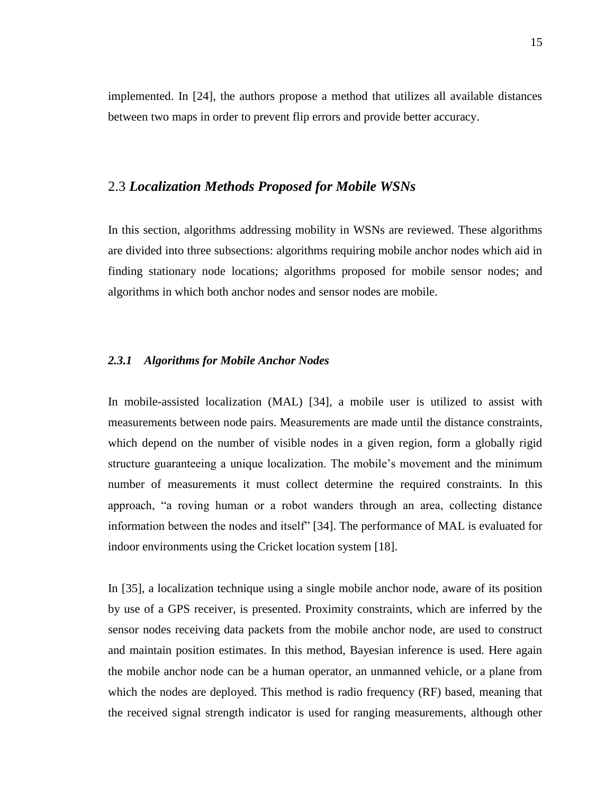implemented. In [\[24\]](#page-87-9), the authors propose a method that utilizes all available distances between two maps in order to prevent flip errors and provide better accuracy.

#### <span id="page-24-0"></span>2.3 *Localization Methods Proposed for Mobile WSNs*

In this section, algorithms addressing mobility in WSNs are reviewed. These algorithms are divided into three subsections: algorithms requiring mobile anchor nodes which aid in finding stationary node locations; algorithms proposed for mobile sensor nodes; and algorithms in which both anchor nodes and sensor nodes are mobile.

#### <span id="page-24-1"></span>*2.3.1 Algorithms for Mobile Anchor Nodes*

In mobile-assisted localization (MAL) [\[34\]](#page-88-4), a mobile user is utilized to assist with measurements between node pairs. Measurements are made until the distance constraints, which depend on the number of visible nodes in a given region, form a globally rigid structure guaranteeing a unique localization. The mobile"s movement and the minimum number of measurements it must collect determine the required constraints. In this approach, "a roving human or a robot wanders through an area, collecting distance information between the nodes and itself" [\[34\]](#page-88-4). The performance of MAL is evaluated for indoor environments using the Cricket location system [\[18\]](#page-86-4).

In [\[35\]](#page-88-5), a localization technique using a single mobile anchor node, aware of its position by use of a GPS receiver, is presented. Proximity constraints, which are inferred by the sensor nodes receiving data packets from the mobile anchor node, are used to construct and maintain position estimates. In this method, Bayesian inference is used. Here again the mobile anchor node can be a human operator, an unmanned vehicle, or a plane from which the nodes are deployed. This method is radio frequency (RF) based, meaning that the received signal strength indicator is used for ranging measurements, although other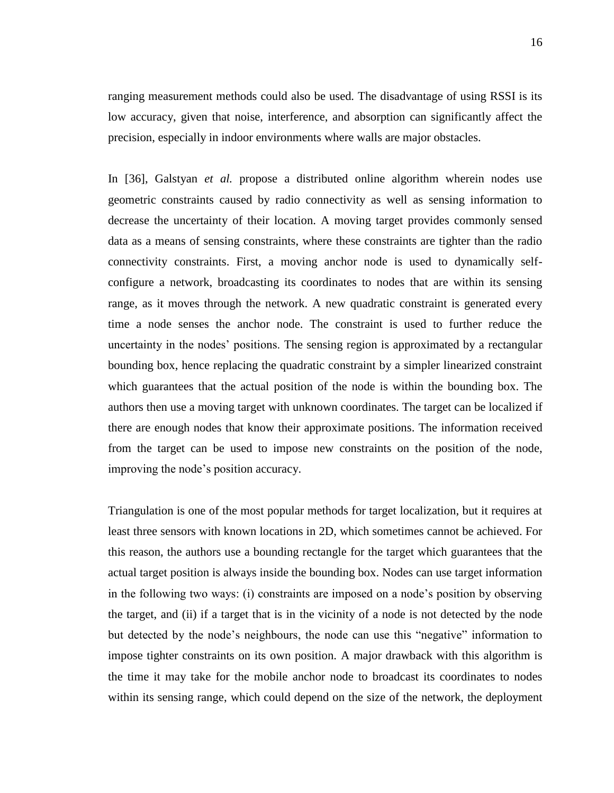ranging measurement methods could also be used. The disadvantage of using RSSI is its low accuracy, given that noise, interference, and absorption can significantly affect the precision, especially in indoor environments where walls are major obstacles.

In [\[36\]](#page-88-6), Galstyan *et al.* propose a distributed online algorithm wherein nodes use geometric constraints caused by radio connectivity as well as sensing information to decrease the uncertainty of their location. A moving target provides commonly sensed data as a means of sensing constraints, where these constraints are tighter than the radio connectivity constraints. First, a moving anchor node is used to dynamically selfconfigure a network, broadcasting its coordinates to nodes that are within its sensing range, as it moves through the network. A new quadratic constraint is generated every time a node senses the anchor node. The constraint is used to further reduce the uncertainty in the nodes" positions. The sensing region is approximated by a rectangular bounding box, hence replacing the quadratic constraint by a simpler linearized constraint which guarantees that the actual position of the node is within the bounding box. The authors then use a moving target with unknown coordinates. The target can be localized if there are enough nodes that know their approximate positions. The information received from the target can be used to impose new constraints on the position of the node, improving the node"s position accuracy.

Triangulation is one of the most popular methods for target localization, but it requires at least three sensors with known locations in 2D, which sometimes cannot be achieved. For this reason, the authors use a bounding rectangle for the target which guarantees that the actual target position is always inside the bounding box. Nodes can use target information in the following two ways: (i) constraints are imposed on a node"s position by observing the target, and (ii) if a target that is in the vicinity of a node is not detected by the node but detected by the node"s neighbours, the node can use this "negative" information to impose tighter constraints on its own position. A major drawback with this algorithm is the time it may take for the mobile anchor node to broadcast its coordinates to nodes within its sensing range, which could depend on the size of the network, the deployment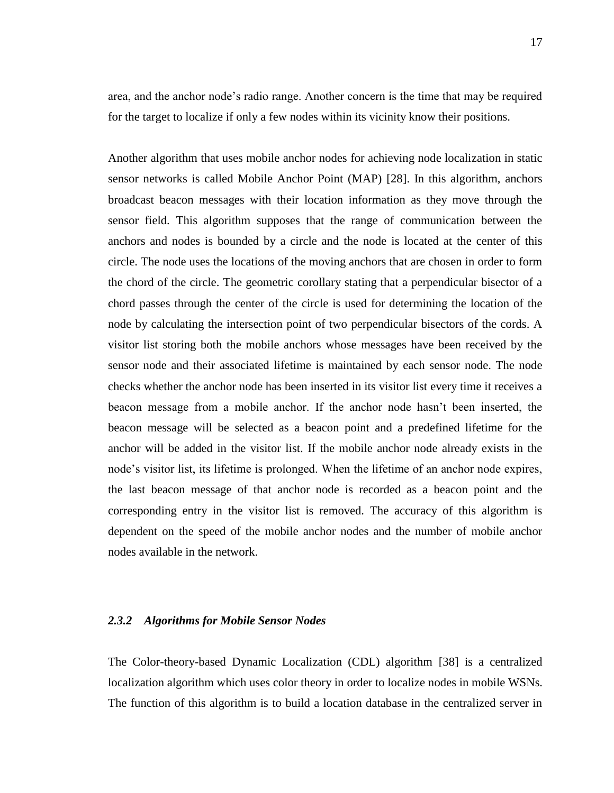area, and the anchor node"s radio range. Another concern is the time that may be required for the target to localize if only a few nodes within its vicinity know their positions.

Another algorithm that uses mobile anchor nodes for achieving node localization in static sensor networks is called Mobile Anchor Point (MAP) [\[28\]](#page-87-3). In this algorithm, anchors broadcast beacon messages with their location information as they move through the sensor field. This algorithm supposes that the range of communication between the anchors and nodes is bounded by a circle and the node is located at the center of this circle. The node uses the locations of the moving anchors that are chosen in order to form the chord of the circle. The geometric corollary stating that a perpendicular bisector of a chord passes through the center of the circle is used for determining the location of the node by calculating the intersection point of two perpendicular bisectors of the cords. A visitor list storing both the mobile anchors whose messages have been received by the sensor node and their associated lifetime is maintained by each sensor node. The node checks whether the anchor node has been inserted in its visitor list every time it receives a beacon message from a mobile anchor. If the anchor node hasn"t been inserted, the beacon message will be selected as a beacon point and a predefined lifetime for the anchor will be added in the visitor list. If the mobile anchor node already exists in the node's visitor list, its lifetime is prolonged. When the lifetime of an anchor node expires, the last beacon message of that anchor node is recorded as a beacon point and the corresponding entry in the visitor list is removed. The accuracy of this algorithm is dependent on the speed of the mobile anchor nodes and the number of mobile anchor nodes available in the network.

#### <span id="page-26-0"></span>*2.3.2 Algorithms for Mobile Sensor Nodes*

The Color-theory-based Dynamic Localization (CDL) algorithm [\[38\]](#page-89-0) is a centralized localization algorithm which uses color theory in order to localize nodes in mobile WSNs. The function of this algorithm is to build a location database in the centralized server in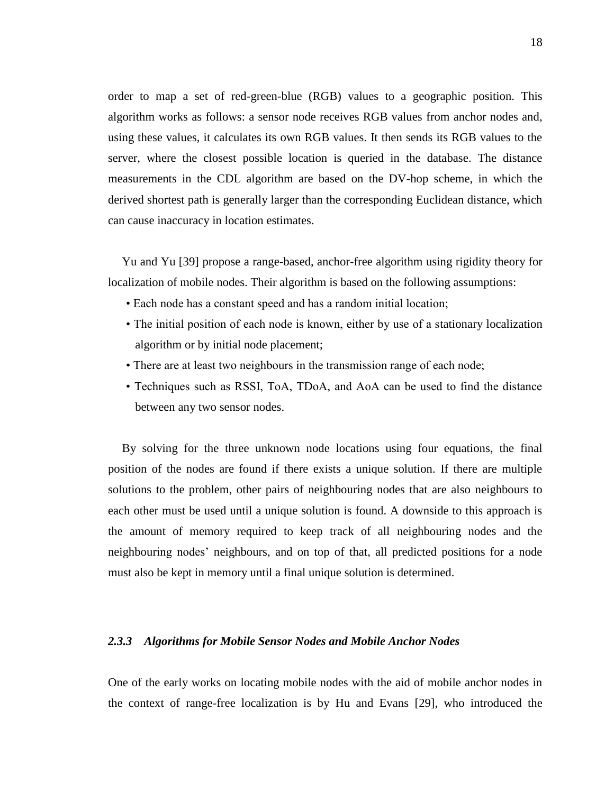order to map a set of red-green-blue (RGB) values to a geographic position. This algorithm works as follows: a sensor node receives RGB values from anchor nodes and, using these values, it calculates its own RGB values. It then sends its RGB values to the server, where the closest possible location is queried in the database. The distance measurements in the CDL algorithm are based on the DV-hop scheme, in which the derived shortest path is generally larger than the corresponding Euclidean distance, which can cause inaccuracy in location estimates.

Yu and Yu [\[39\]](#page-89-1) propose a range-based, anchor-free algorithm using rigidity theory for localization of mobile nodes. Their algorithm is based on the following assumptions:

- Each node has a constant speed and has a random initial location;
- The initial position of each node is known, either by use of a stationary localization algorithm or by initial node placement;
- There are at least two neighbours in the transmission range of each node;
- Techniques such as RSSI, ToA, TDoA, and AoA can be used to find the distance between any two sensor nodes.

By solving for the three unknown node locations using four equations, the final position of the nodes are found if there exists a unique solution. If there are multiple solutions to the problem, other pairs of neighbouring nodes that are also neighbours to each other must be used until a unique solution is found. A downside to this approach is the amount of memory required to keep track of all neighbouring nodes and the neighbouring nodes" neighbours, and on top of that, all predicted positions for a node must also be kept in memory until a final unique solution is determined.

#### <span id="page-27-0"></span>*2.3.3 Algorithms for Mobile Sensor Nodes and Mobile Anchor Nodes*

One of the early works on locating mobile nodes with the aid of mobile anchor nodes in the context of range-free localization is by Hu and Evans [\[29\]](#page-88-0), who introduced the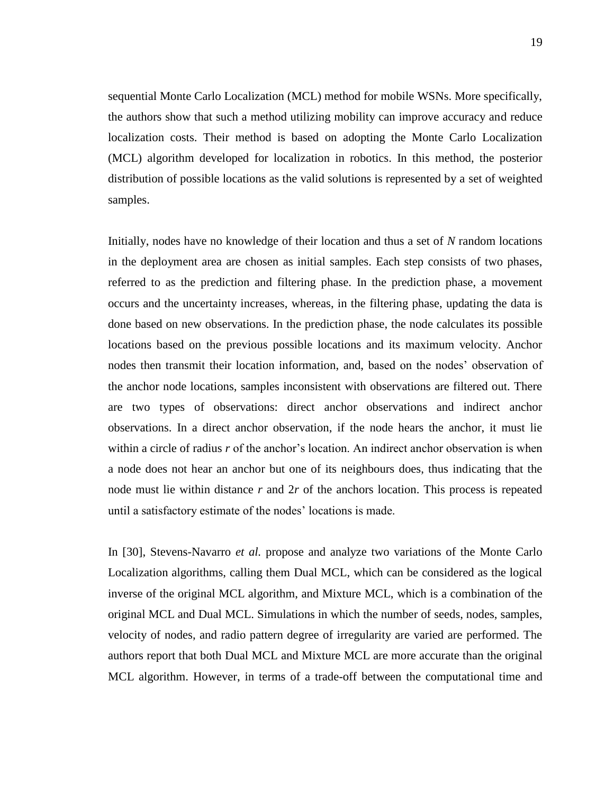sequential Monte Carlo Localization (MCL) method for mobile WSNs. More specifically, the authors show that such a method utilizing mobility can improve accuracy and reduce localization costs. Their method is based on adopting the Monte Carlo Localization (MCL) algorithm developed for localization in robotics. In this method, the posterior distribution of possible locations as the valid solutions is represented by a set of weighted samples.

Initially, nodes have no knowledge of their location and thus a set of *N* random locations in the deployment area are chosen as initial samples. Each step consists of two phases, referred to as the prediction and filtering phase. In the prediction phase, a movement occurs and the uncertainty increases, whereas, in the filtering phase, updating the data is done based on new observations. In the prediction phase, the node calculates its possible locations based on the previous possible locations and its maximum velocity. Anchor nodes then transmit their location information, and, based on the nodes" observation of the anchor node locations, samples inconsistent with observations are filtered out. There are two types of observations: direct anchor observations and indirect anchor observations. In a direct anchor observation, if the node hears the anchor, it must lie within a circle of radius r of the anchor's location. An indirect anchor observation is when a node does not hear an anchor but one of its neighbours does, thus indicating that the node must lie within distance *r* and 2*r* of the anchors location. This process is repeated until a satisfactory estimate of the nodes" locations is made.

In [\[30\]](#page-88-1), Stevens-Navarro *et al.* propose and analyze two variations of the Monte Carlo Localization algorithms, calling them Dual MCL, which can be considered as the logical inverse of the original MCL algorithm, and Mixture MCL, which is a combination of the original MCL and Dual MCL. Simulations in which the number of seeds, nodes, samples, velocity of nodes, and radio pattern degree of irregularity are varied are performed. The authors report that both Dual MCL and Mixture MCL are more accurate than the original MCL algorithm. However, in terms of a trade-off between the computational time and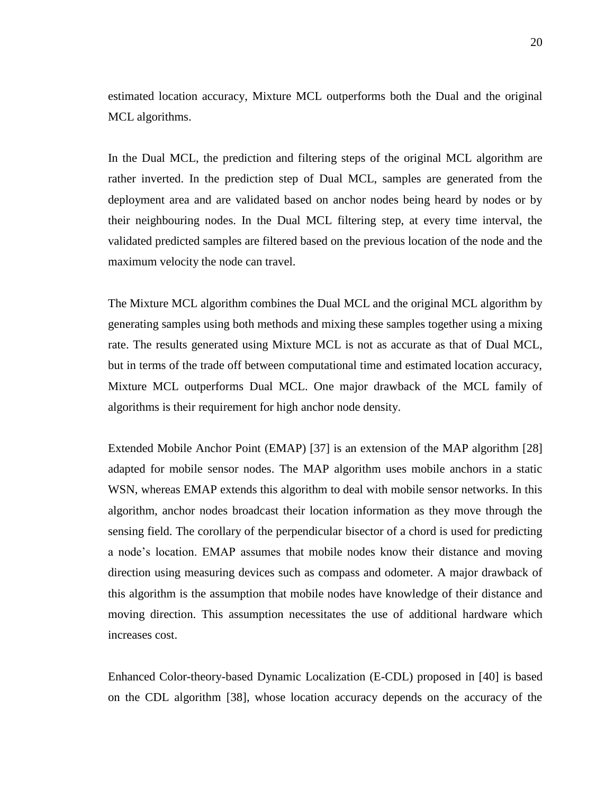estimated location accuracy, Mixture MCL outperforms both the Dual and the original MCL algorithms.

In the Dual MCL, the prediction and filtering steps of the original MCL algorithm are rather inverted. In the prediction step of Dual MCL, samples are generated from the deployment area and are validated based on anchor nodes being heard by nodes or by their neighbouring nodes. In the Dual MCL filtering step, at every time interval, the validated predicted samples are filtered based on the previous location of the node and the maximum velocity the node can travel.

The Mixture MCL algorithm combines the Dual MCL and the original MCL algorithm by generating samples using both methods and mixing these samples together using a mixing rate. The results generated using Mixture MCL is not as accurate as that of Dual MCL, but in terms of the trade off between computational time and estimated location accuracy, Mixture MCL outperforms Dual MCL. One major drawback of the MCL family of algorithms is their requirement for high anchor node density.

Extended Mobile Anchor Point (EMAP) [\[37\]](#page-88-7) is an extension of the MAP algorithm [\[28\]](#page-87-3) adapted for mobile sensor nodes. The MAP algorithm uses mobile anchors in a static WSN, whereas EMAP extends this algorithm to deal with mobile sensor networks. In this algorithm, anchor nodes broadcast their location information as they move through the sensing field. The corollary of the perpendicular bisector of a chord is used for predicting a node"s location. EMAP assumes that mobile nodes know their distance and moving direction using measuring devices such as compass and odometer. A major drawback of this algorithm is the assumption that mobile nodes have knowledge of their distance and moving direction. This assumption necessitates the use of additional hardware which increases cost.

Enhanced Color-theory-based Dynamic Localization (E-CDL) proposed in [\[40\]](#page-89-2) is based on the CDL algorithm [\[38\]](#page-89-0), whose location accuracy depends on the accuracy of the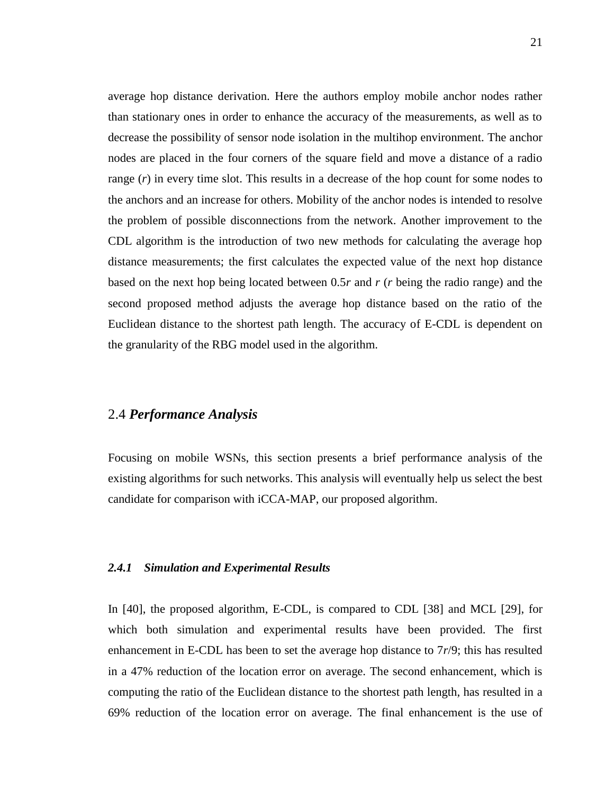average hop distance derivation. Here the authors employ mobile anchor nodes rather than stationary ones in order to enhance the accuracy of the measurements, as well as to decrease the possibility of sensor node isolation in the multihop environment. The anchor nodes are placed in the four corners of the square field and move a distance of a radio range (*r*) in every time slot. This results in a decrease of the hop count for some nodes to the anchors and an increase for others. Mobility of the anchor nodes is intended to resolve the problem of possible disconnections from the network. Another improvement to the CDL algorithm is the introduction of two new methods for calculating the average hop distance measurements; the first calculates the expected value of the next hop distance based on the next hop being located between 0.5*r* and *r* (*r* being the radio range) and the second proposed method adjusts the average hop distance based on the ratio of the Euclidean distance to the shortest path length. The accuracy of E-CDL is dependent on the granularity of the RBG model used in the algorithm.

#### <span id="page-30-0"></span>2.4 *Performance Analysis*

Focusing on mobile WSNs, this section presents a brief performance analysis of the existing algorithms for such networks. This analysis will eventually help us select the best candidate for comparison with iCCA-MAP, our proposed algorithm.

#### <span id="page-30-1"></span>*2.4.1 Simulation and Experimental Results*

In [\[40\]](#page-89-2), the proposed algorithm, E-CDL, is compared to CDL [\[38\]](#page-89-0) and MCL [\[29\]](#page-88-0), for which both simulation and experimental results have been provided. The first enhancement in E-CDL has been to set the average hop distance to 7*r*/9; this has resulted in a 47% reduction of the location error on average. The second enhancement, which is computing the ratio of the Euclidean distance to the shortest path length, has resulted in a 69% reduction of the location error on average. The final enhancement is the use of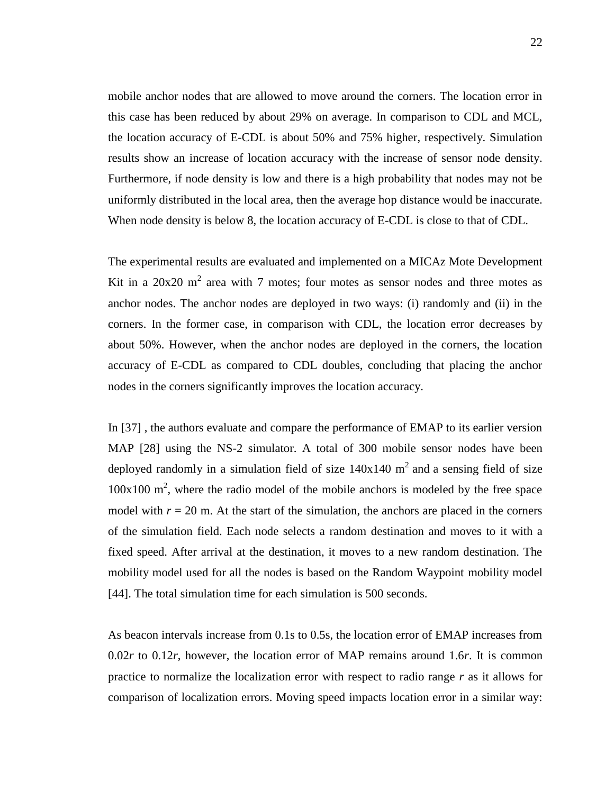mobile anchor nodes that are allowed to move around the corners. The location error in this case has been reduced by about 29% on average. In comparison to CDL and MCL, the location accuracy of E-CDL is about 50% and 75% higher, respectively. Simulation results show an increase of location accuracy with the increase of sensor node density. Furthermore, if node density is low and there is a high probability that nodes may not be uniformly distributed in the local area, then the average hop distance would be inaccurate. When node density is below 8, the location accuracy of E-CDL is close to that of CDL.

The experimental results are evaluated and implemented on a MICAz Mote Development Kit in a  $20x20$  m<sup>2</sup> area with 7 motes; four motes as sensor nodes and three motes as anchor nodes. The anchor nodes are deployed in two ways: (i) randomly and (ii) in the corners. In the former case, in comparison with CDL, the location error decreases by about 50%. However, when the anchor nodes are deployed in the corners, the location accuracy of E-CDL as compared to CDL doubles, concluding that placing the anchor nodes in the corners significantly improves the location accuracy.

In [\[37\]](#page-88-7) , the authors evaluate and compare the performance of EMAP to its earlier version MAP [\[28\]](#page-87-3) using the NS-2 simulator. A total of 300 mobile sensor nodes have been deployed randomly in a simulation field of size  $140x140$  m<sup>2</sup> and a sensing field of size  $100x100$  m<sup>2</sup>, where the radio model of the mobile anchors is modeled by the free space model with  $r = 20$  m. At the start of the simulation, the anchors are placed in the corners of the simulation field. Each node selects a random destination and moves to it with a fixed speed. After arrival at the destination, it moves to a new random destination. The mobility model used for all the nodes is based on the Random Waypoint mobility model [\[44\]](#page-89-5). The total simulation time for each simulation is 500 seconds.

As beacon intervals increase from 0.1s to 0.5s, the location error of EMAP increases from 0.02*r* to 0.12*r*, however, the location error of MAP remains around 1.6*r*. It is common practice to normalize the localization error with respect to radio range *r* as it allows for comparison of localization errors. Moving speed impacts location error in a similar way: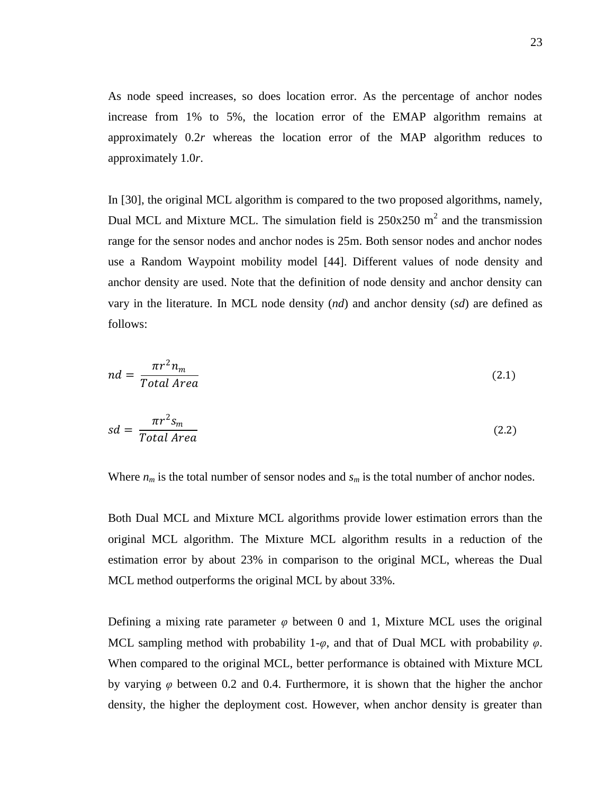As node speed increases, so does location error. As the percentage of anchor nodes increase from 1% to 5%, the location error of the EMAP algorithm remains at approximately 0.2*r* whereas the location error of the MAP algorithm reduces to approximately 1.0*r*.

In [\[30\]](#page-88-1), the original MCL algorithm is compared to the two proposed algorithms, namely, Dual MCL and Mixture MCL. The simulation field is  $250x250$  m<sup>2</sup> and the transmission range for the sensor nodes and anchor nodes is 25m. Both sensor nodes and anchor nodes use a Random Waypoint mobility model [\[44\]](#page-89-5). Different values of node density and anchor density are used. Note that the definition of node density and anchor density can vary in the literature. In MCL node density (*nd*) and anchor density (*sd*) are defined as follows:

$$
nd = \frac{\pi r^2 n_m}{Total Area} \tag{2.1}
$$

$$
sd = \frac{\pi r^2 s_m}{Total Area} \tag{2.2}
$$

Where  $n_m$  is the total number of sensor nodes and  $s_m$  is the total number of anchor nodes.

Both Dual MCL and Mixture MCL algorithms provide lower estimation errors than the original MCL algorithm. The Mixture MCL algorithm results in a reduction of the estimation error by about 23% in comparison to the original MCL, whereas the Dual MCL method outperforms the original MCL by about 33%.

Defining a mixing rate parameter  $\varphi$  between 0 and 1, Mixture MCL uses the original MCL sampling method with probability 1-*φ*, and that of Dual MCL with probability *φ*. When compared to the original MCL, better performance is obtained with Mixture MCL by varying *φ* between 0.2 and 0.4. Furthermore, it is shown that the higher the anchor density, the higher the deployment cost. However, when anchor density is greater than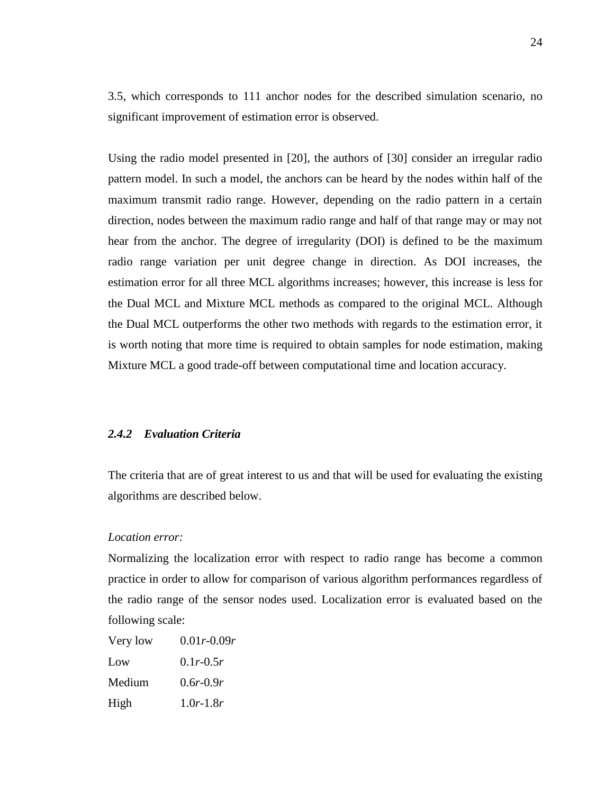3.5, which corresponds to 111 anchor nodes for the described simulation scenario, no significant improvement of estimation error is observed.

Using the radio model presented in [20], the authors of [\[30\]](#page-88-1) consider an irregular radio pattern model. In such a model, the anchors can be heard by the nodes within half of the maximum transmit radio range. However, depending on the radio pattern in a certain direction, nodes between the maximum radio range and half of that range may or may not hear from the anchor. The degree of irregularity (DOI) is defined to be the maximum radio range variation per unit degree change in direction. As DOI increases, the estimation error for all three MCL algorithms increases; however, this increase is less for the Dual MCL and Mixture MCL methods as compared to the original MCL. Although the Dual MCL outperforms the other two methods with regards to the estimation error, it is worth noting that more time is required to obtain samples for node estimation, making Mixture MCL a good trade-off between computational time and location accuracy.

#### <span id="page-33-0"></span>*2.4.2 Evaluation Criteria*

The criteria that are of great interest to us and that will be used for evaluating the existing algorithms are described below.

#### *Location error:*

Normalizing the localization error with respect to radio range has become a common practice in order to allow for comparison of various algorithm performances regardless of the radio range of the sensor nodes used. Localization error is evaluated based on the following scale:

| Very low | $0.01r - 0.09r$ |
|----------|-----------------|
| Low      | $0.1r - 0.5r$   |
| Medium   | $0.6r - 0.9r$   |
| High     | $1.0r - 1.8r$   |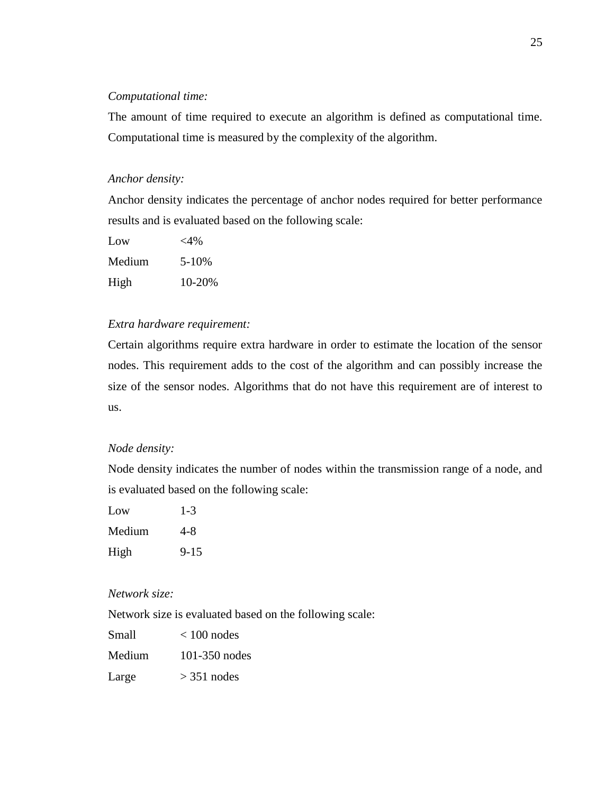#### *Computational time:*

The amount of time required to execute an algorithm is defined as computational time. Computational time is measured by the complexity of the algorithm.

#### *Anchor density:*

Anchor density indicates the percentage of anchor nodes required for better performance results and is evaluated based on the following scale:

| Low    | $<$ 4% |
|--------|--------|
| Medium | 5-10%  |
| High   | 10-20% |

#### *Extra hardware requirement:*

Certain algorithms require extra hardware in order to estimate the location of the sensor nodes. This requirement adds to the cost of the algorithm and can possibly increase the size of the sensor nodes. Algorithms that do not have this requirement are of interest to us.

#### *Node density:*

Node density indicates the number of nodes within the transmission range of a node, and is evaluated based on the following scale:

| Low    | $1 - 3$  |
|--------|----------|
| Medium | 4-8      |
| High   | $9 - 15$ |

#### *Network size:*

Network size is evaluated based on the following scale:

| Small  | $< 100$ nodes |
|--------|---------------|
| Medium | 101-350 nodes |
| Large  | $>$ 351 nodes |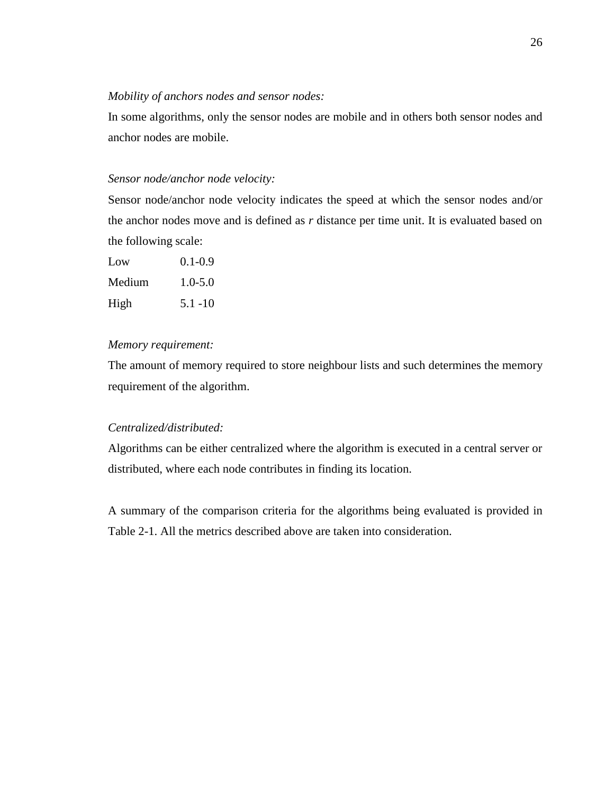#### *Mobility of anchors nodes and sensor nodes:*

In some algorithms, only the sensor nodes are mobile and in others both sensor nodes and anchor nodes are mobile.

#### *Sensor node/anchor node velocity:*

Sensor node/anchor node velocity indicates the speed at which the sensor nodes and/or the anchor nodes move and is defined as *r* distance per time unit. It is evaluated based on the following scale:

| Low    | $0.1 - 0.9$ |
|--------|-------------|
| Medium | $1.0 - 5.0$ |
| High   | $5.1 - 10$  |

#### *Memory requirement:*

The amount of memory required to store neighbour lists and such determines the memory requirement of the algorithm.

#### *Centralized/distributed:*

Algorithms can be either centralized where the algorithm is executed in a central server or distributed, where each node contributes in finding its location.

A summary of the comparison criteria for the algorithms being evaluated is provided in Table 2-1. All the metrics described above are taken into consideration.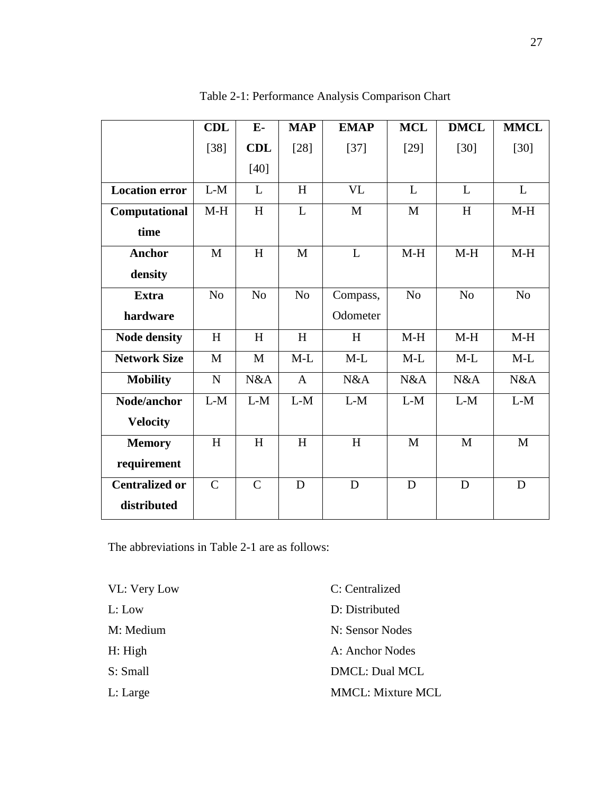|                       | <b>CDL</b>     | $E-$           | <b>MAP</b>     | <b>EMAP</b>  | <b>MCL</b>     | <b>DMCL</b>    | <b>MMCL</b>    |
|-----------------------|----------------|----------------|----------------|--------------|----------------|----------------|----------------|
|                       | $[38]$         | <b>CDL</b>     | $[28]$         | $[37]$       | $[29]$         | $[30]$         | $[30]$         |
|                       |                | $[40]$         |                |              |                |                |                |
| <b>Location error</b> | $L-M$          | L              | H              | VL           | L              | L              | L              |
| Computational         | $M-H$          | H              | L              | $\mathbf{M}$ | $\mathbf{M}$   | H              | $M-H$          |
| time                  |                |                |                |              |                |                |                |
| <b>Anchor</b>         | M              | H              | $\mathbf{M}$   | L            | $M-H$          | $M-H$          | $M-H$          |
| density               |                |                |                |              |                |                |                |
| <b>Extra</b>          | N <sub>0</sub> | N <sub>0</sub> | N <sub>o</sub> | Compass,     | N <sub>o</sub> | N <sub>o</sub> | N <sub>o</sub> |
| hardware              |                |                |                | Odometer     |                |                |                |
| <b>Node density</b>   | H              | H              | H              | H            | $M-H$          | $M-H$          | $M-H$          |
| <b>Network Size</b>   | M              | M              | $M-L$          | $M-L$        | $M-L$          | $M-L$          | $M-L$          |
| <b>Mobility</b>       | $\mathbf N$    | N&A            | $\mathbf{A}$   | N&A          | N&A            | N&A            | N&A            |
| Node/anchor           | $L-M$          | $L-M$          | $L-M$          | $L-M$        | $L-M$          | $L-M$          | $L-M$          |
| <b>Velocity</b>       |                |                |                |              |                |                |                |
| <b>Memory</b>         | H              | H              | H              | H            | $\mathbf{M}$   | $\mathbf{M}$   | M              |
| requirement           |                |                |                |              |                |                |                |
| <b>Centralized or</b> | $\mathsf{C}$   | $\mathbf C$    | D              | D            | D              | D              | D              |
| distributed           |                |                |                |              |                |                |                |

Table 2-1: Performance Analysis Comparison Chart

The abbreviations in Table 2-1 are as follows:

| VL: Very Low | C: Centralized           |
|--------------|--------------------------|
| L: Low       | D: Distributed           |
| M: Medium    | N: Sensor Nodes          |
| H: High      | A: Anchor Nodes          |
| S: Small     | DMCL: Dual MCL           |
| L: Large     | <b>MMCL: Mixture MCL</b> |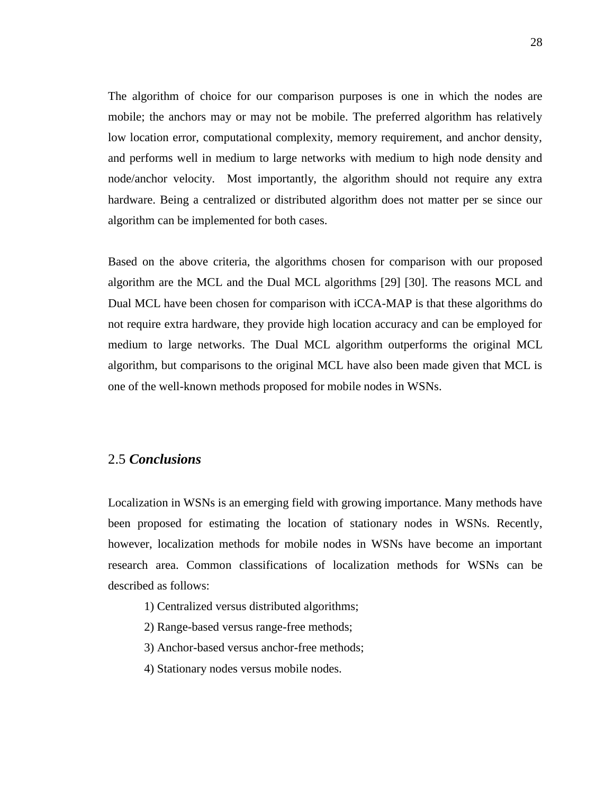The algorithm of choice for our comparison purposes is one in which the nodes are mobile; the anchors may or may not be mobile. The preferred algorithm has relatively low location error, computational complexity, memory requirement, and anchor density, and performs well in medium to large networks with medium to high node density and node/anchor velocity. Most importantly, the algorithm should not require any extra hardware. Being a centralized or distributed algorithm does not matter per se since our algorithm can be implemented for both cases.

Based on the above criteria, the algorithms chosen for comparison with our proposed algorithm are the MCL and the Dual MCL algorithms [\[29\]](#page-88-1) [\[30\]](#page-88-2). The reasons MCL and Dual MCL have been chosen for comparison with iCCA-MAP is that these algorithms do not require extra hardware, they provide high location accuracy and can be employed for medium to large networks. The Dual MCL algorithm outperforms the original MCL algorithm, but comparisons to the original MCL have also been made given that MCL is one of the well-known methods proposed for mobile nodes in WSNs.

## 2.5 *Conclusions*

Localization in WSNs is an emerging field with growing importance. Many methods have been proposed for estimating the location of stationary nodes in WSNs. Recently, however, localization methods for mobile nodes in WSNs have become an important research area. Common classifications of localization methods for WSNs can be described as follows:

- 1) Centralized versus distributed algorithms;
- 2) Range-based versus range-free methods;
- 3) Anchor-based versus anchor-free methods;
- 4) Stationary nodes versus mobile nodes.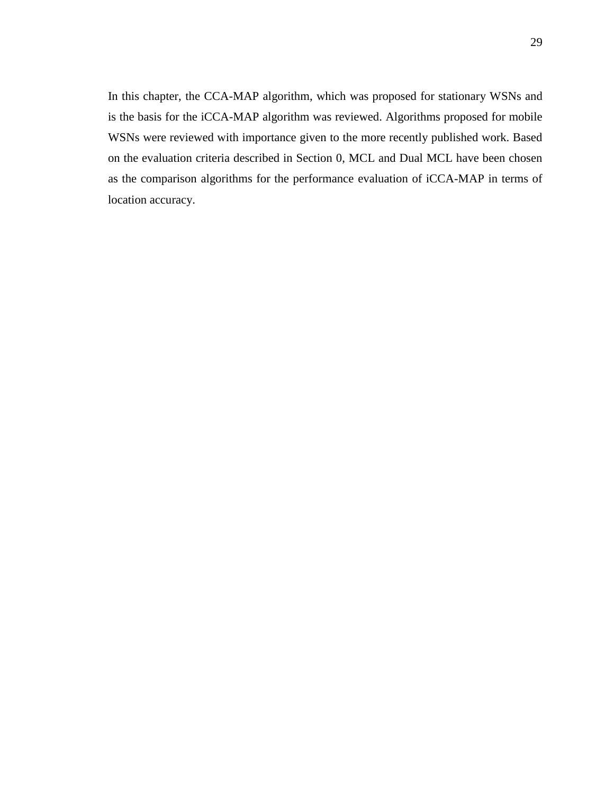In this chapter, the CCA-MAP algorithm, which was proposed for stationary WSNs and is the basis for the iCCA-MAP algorithm was reviewed. Algorithms proposed for mobile WSNs were reviewed with importance given to the more recently published work. Based on the evaluation criteria described in Section [0,](#page-33-0) MCL and Dual MCL have been chosen as the comparison algorithms for the performance evaluation of iCCA-MAP in terms of location accuracy.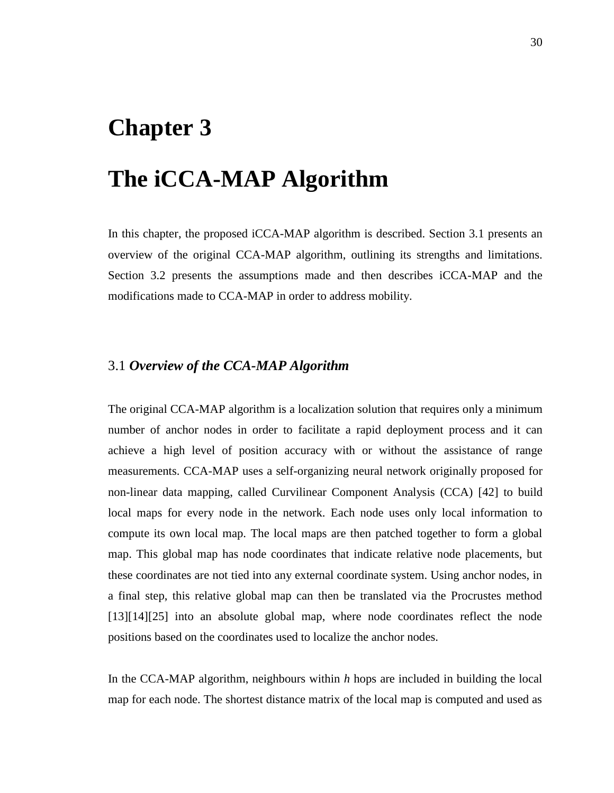## **Chapter 3**

# **The iCCA-MAP Algorithm**

In this chapter, the proposed iCCA-MAP algorithm is described. Section 3.1 presents an overview of the original CCA-MAP algorithm, outlining its strengths and limitations. Section 3.2 presents the assumptions made and then describes iCCA-MAP and the modifications made to CCA-MAP in order to address mobility.

## 3.1 *Overview of the CCA-MAP Algorithm*

The original CCA-MAP algorithm is a localization solution that requires only a minimum number of anchor nodes in order to facilitate a rapid deployment process and it can achieve a high level of position accuracy with or without the assistance of range measurements. CCA-MAP uses a self-organizing neural network originally proposed for non-linear data mapping, called Curvilinear Component Analysis (CCA) [\[42\]](#page-89-2) to build local maps for every node in the network. Each node uses only local information to compute its own local map. The local maps are then patched together to form a global map. This global map has node coordinates that indicate relative node placements, but these coordinates are not tied into any external coordinate system. Using anchor nodes, in a final step, this relative global map can then be translated via the Procrustes method [\[13\]](#page-86-0)[\[14\]](#page-86-1)[\[25\]](#page-87-1) into an absolute global map, where node coordinates reflect the node positions based on the coordinates used to localize the anchor nodes.

In the CCA-MAP algorithm, neighbours within *h* hops are included in building the local map for each node. The shortest distance matrix of the local map is computed and used as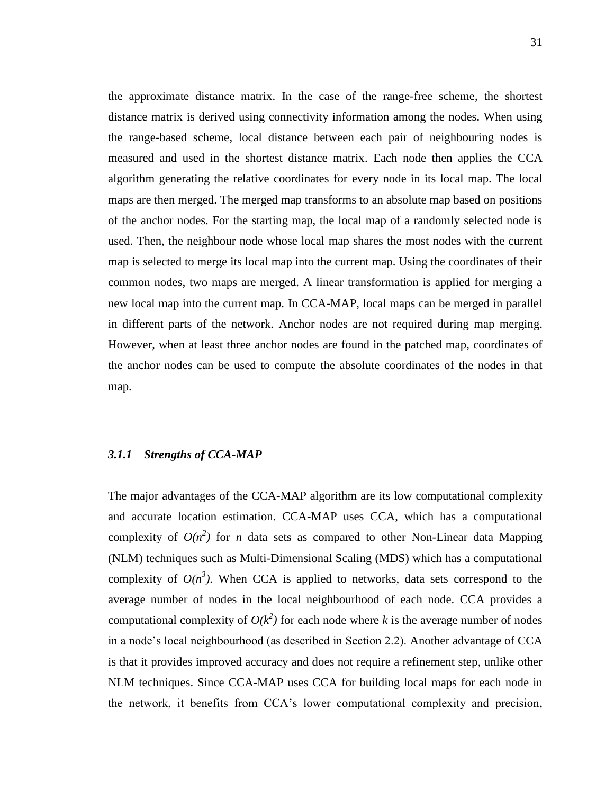the approximate distance matrix. In the case of the range-free scheme, the shortest distance matrix is derived using connectivity information among the nodes. When using the range-based scheme, local distance between each pair of neighbouring nodes is measured and used in the shortest distance matrix. Each node then applies the CCA algorithm generating the relative coordinates for every node in its local map. The local maps are then merged. The merged map transforms to an absolute map based on positions of the anchor nodes. For the starting map, the local map of a randomly selected node is used. Then, the neighbour node whose local map shares the most nodes with the current map is selected to merge its local map into the current map. Using the coordinates of their common nodes, two maps are merged. A linear transformation is applied for merging a new local map into the current map. In CCA-MAP, local maps can be merged in parallel in different parts of the network. Anchor nodes are not required during map merging. However, when at least three anchor nodes are found in the patched map, coordinates of the anchor nodes can be used to compute the absolute coordinates of the nodes in that map.

#### *3.1.1 Strengths of CCA-MAP*

The major advantages of the CCA-MAP algorithm are its low computational complexity and accurate location estimation. CCA-MAP uses CCA, which has a computational complexity of  $O(n^2)$  for *n* data sets as compared to other Non-Linear data Mapping (NLM) techniques such as Multi-Dimensional Scaling (MDS) which has a computational complexity of  $O(n^3)$ . When CCA is applied to networks, data sets correspond to the average number of nodes in the local neighbourhood of each node. CCA provides a computational complexity of  $O(k^2)$  for each node where *k* is the average number of nodes in a node"s local neighbourhood (as described in Section 2.2). Another advantage of CCA is that it provides improved accuracy and does not require a refinement step, unlike other NLM techniques. Since CCA-MAP uses CCA for building local maps for each node in the network, it benefits from CCA"s lower computational complexity and precision,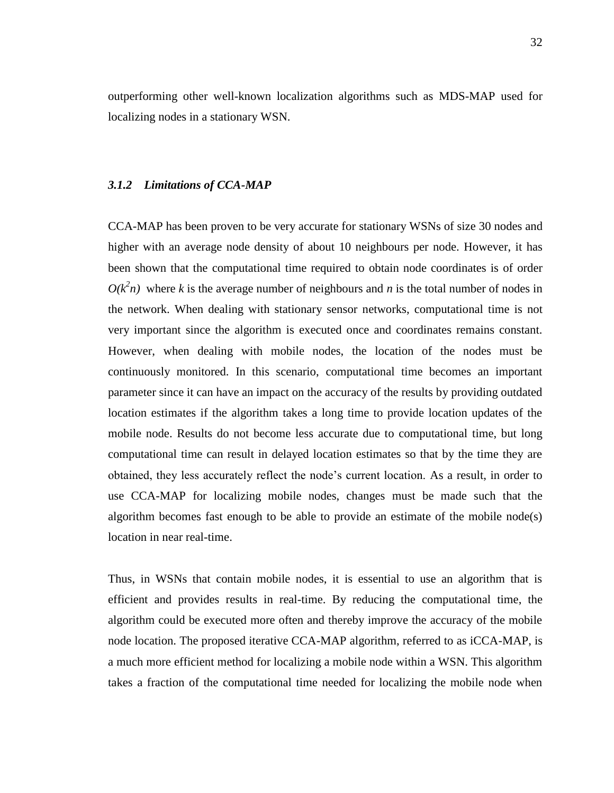outperforming other well-known localization algorithms such as MDS-MAP used for localizing nodes in a stationary WSN.

## *3.1.2 Limitations of CCA-MAP*

CCA-MAP has been proven to be very accurate for stationary WSNs of size 30 nodes and higher with an average node density of about 10 neighbours per node. However, it has been shown that the computational time required to obtain node coordinates is of order  $O(k<sup>2</sup>n)$  where *k* is the average number of neighbours and *n* is the total number of nodes in the network. When dealing with stationary sensor networks, computational time is not very important since the algorithm is executed once and coordinates remains constant. However, when dealing with mobile nodes, the location of the nodes must be continuously monitored. In this scenario, computational time becomes an important parameter since it can have an impact on the accuracy of the results by providing outdated location estimates if the algorithm takes a long time to provide location updates of the mobile node. Results do not become less accurate due to computational time, but long computational time can result in delayed location estimates so that by the time they are obtained, they less accurately reflect the node"s current location. As a result, in order to use CCA-MAP for localizing mobile nodes, changes must be made such that the algorithm becomes fast enough to be able to provide an estimate of the mobile node(s) location in near real-time.

Thus, in WSNs that contain mobile nodes, it is essential to use an algorithm that is efficient and provides results in real-time. By reducing the computational time, the algorithm could be executed more often and thereby improve the accuracy of the mobile node location. The proposed iterative CCA-MAP algorithm, referred to as iCCA-MAP, is a much more efficient method for localizing a mobile node within a WSN. This algorithm takes a fraction of the computational time needed for localizing the mobile node when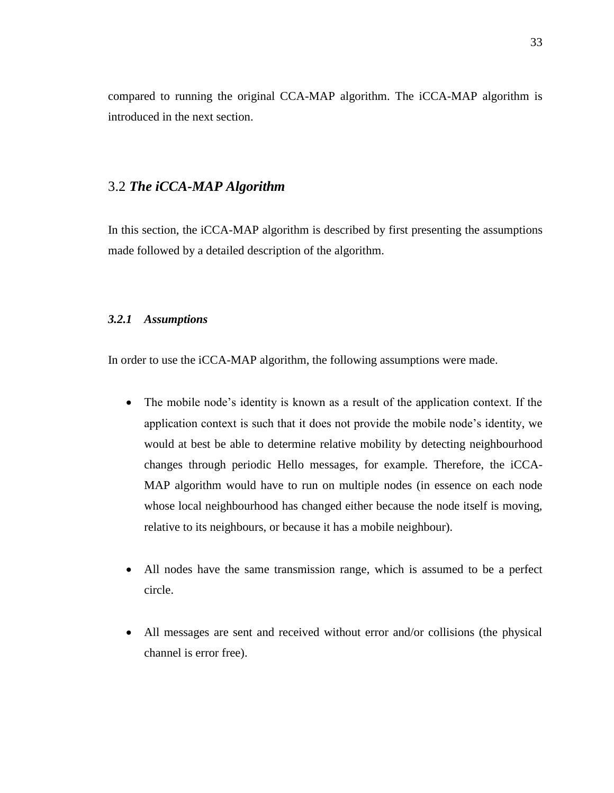compared to running the original CCA-MAP algorithm. The iCCA-MAP algorithm is introduced in the next section.

## 3.2 *The iCCA-MAP Algorithm*

In this section, the iCCA-MAP algorithm is described by first presenting the assumptions made followed by a detailed description of the algorithm.

#### *3.2.1 Assumptions*

In order to use the iCCA-MAP algorithm, the following assumptions were made.

- The mobile node's identity is known as a result of the application context. If the application context is such that it does not provide the mobile node"s identity, we would at best be able to determine relative mobility by detecting neighbourhood changes through periodic Hello messages, for example. Therefore, the iCCA-MAP algorithm would have to run on multiple nodes (in essence on each node whose local neighbourhood has changed either because the node itself is moving, relative to its neighbours, or because it has a mobile neighbour).
- All nodes have the same transmission range, which is assumed to be a perfect circle.
- All messages are sent and received without error and/or collisions (the physical channel is error free).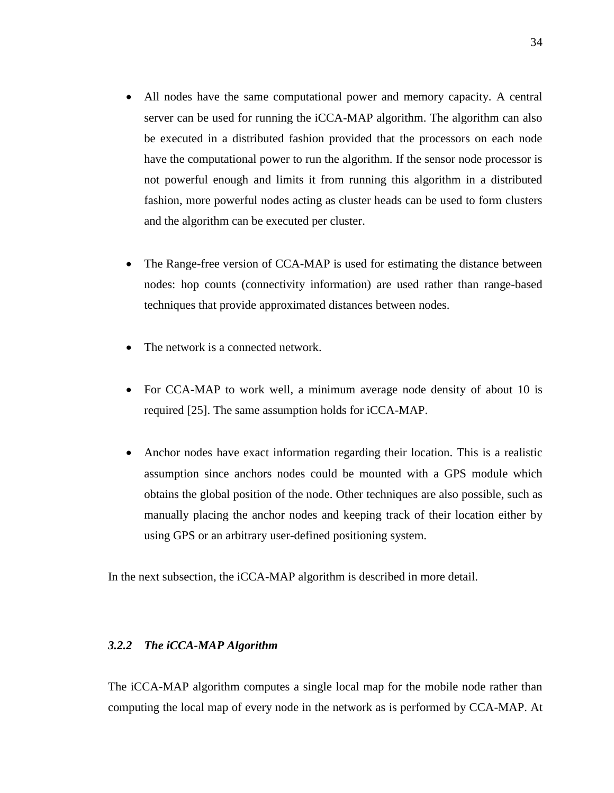- All nodes have the same computational power and memory capacity. A central server can be used for running the iCCA-MAP algorithm. The algorithm can also be executed in a distributed fashion provided that the processors on each node have the computational power to run the algorithm. If the sensor node processor is not powerful enough and limits it from running this algorithm in a distributed fashion, more powerful nodes acting as cluster heads can be used to form clusters and the algorithm can be executed per cluster.
- The Range-free version of CCA-MAP is used for estimating the distance between nodes: hop counts (connectivity information) are used rather than range-based techniques that provide approximated distances between nodes.
- The network is a connected network.
- For CCA-MAP to work well, a minimum average node density of about 10 is required [\[25\]](#page-87-1). The same assumption holds for iCCA-MAP.
- Anchor nodes have exact information regarding their location. This is a realistic assumption since anchors nodes could be mounted with a GPS module which obtains the global position of the node. Other techniques are also possible, such as manually placing the anchor nodes and keeping track of their location either by using GPS or an arbitrary user-defined positioning system.

In the next subsection, the iCCA-MAP algorithm is described in more detail.

#### *3.2.2 The iCCA-MAP Algorithm*

The iCCA-MAP algorithm computes a single local map for the mobile node rather than computing the local map of every node in the network as is performed by CCA-MAP. At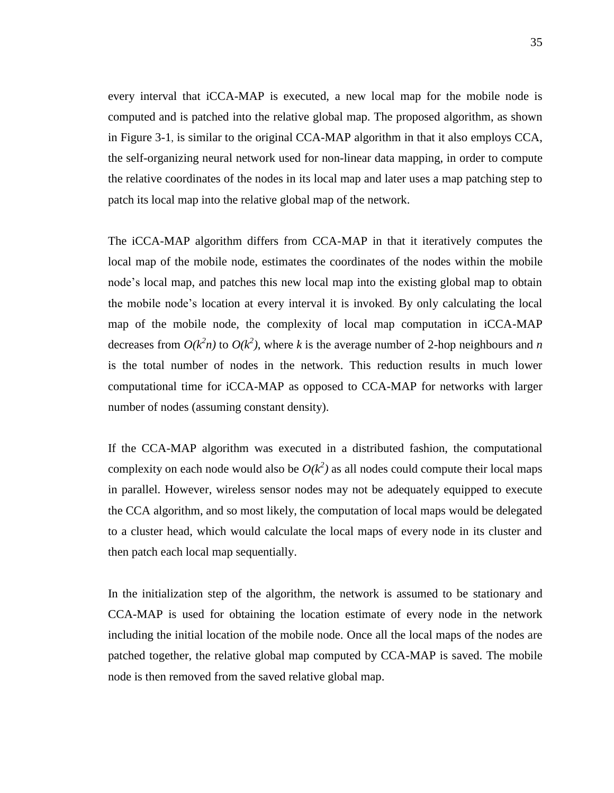every interval that iCCA-MAP is executed, a new local map for the mobile node is computed and is patched into the relative global map. The proposed algorithm, as shown in [Figure 3-1](#page-46-0), is similar to the original CCA-MAP algorithm in that it also employs CCA, the self-organizing neural network used for non-linear data mapping, in order to compute the relative coordinates of the nodes in its local map and later uses a map patching step to patch its local map into the relative global map of the network.

The iCCA-MAP algorithm differs from CCA-MAP in that it iteratively computes the local map of the mobile node, estimates the coordinates of the nodes within the mobile node"s local map, and patches this new local map into the existing global map to obtain the mobile node"s location at every interval it is invoked. By only calculating the local map of the mobile node, the complexity of local map computation in iCCA-MAP decreases from  $O(k^2n)$  to  $O(k^2)$ , where *k* is the average number of 2-hop neighbours and *n* is the total number of nodes in the network. This reduction results in much lower computational time for iCCA-MAP as opposed to CCA-MAP for networks with larger number of nodes (assuming constant density).

If the CCA-MAP algorithm was executed in a distributed fashion, the computational complexity on each node would also be  $O(k^2)$  as all nodes could compute their local maps in parallel. However, wireless sensor nodes may not be adequately equipped to execute the CCA algorithm, and so most likely, the computation of local maps would be delegated to a cluster head, which would calculate the local maps of every node in its cluster and then patch each local map sequentially.

In the initialization step of the algorithm, the network is assumed to be stationary and CCA-MAP is used for obtaining the location estimate of every node in the network including the initial location of the mobile node. Once all the local maps of the nodes are patched together, the relative global map computed by CCA-MAP is saved. The mobile node is then removed from the saved relative global map.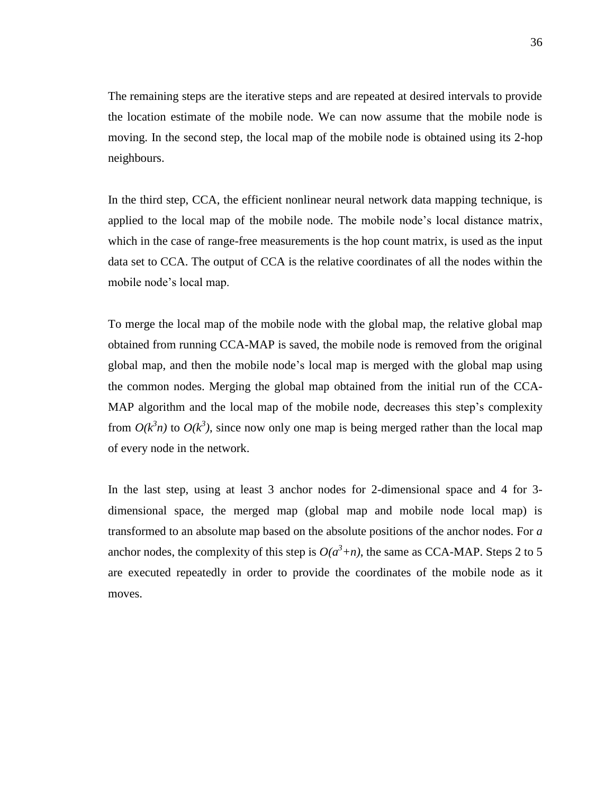The remaining steps are the iterative steps and are repeated at desired intervals to provide the location estimate of the mobile node. We can now assume that the mobile node is moving. In the second step, the local map of the mobile node is obtained using its 2-hop neighbours.

In the third step, CCA, the efficient nonlinear neural network data mapping technique, is applied to the local map of the mobile node. The mobile node"s local distance matrix, which in the case of range-free measurements is the hop count matrix, is used as the input data set to CCA. The output of CCA is the relative coordinates of all the nodes within the mobile node"s local map.

To merge the local map of the mobile node with the global map, the relative global map obtained from running CCA-MAP is saved, the mobile node is removed from the original global map, and then the mobile node"s local map is merged with the global map using the common nodes. Merging the global map obtained from the initial run of the CCA-MAP algorithm and the local map of the mobile node, decreases this step's complexity from  $O(k<sup>3</sup>n)$  to  $O(k<sup>3</sup>)$ , since now only one map is being merged rather than the local map of every node in the network.

In the last step, using at least 3 anchor nodes for 2-dimensional space and 4 for 3 dimensional space, the merged map (global map and mobile node local map) is transformed to an absolute map based on the absolute positions of the anchor nodes. For *a* anchor nodes, the complexity of this step is  $O(a^3 + n)$ , the same as CCA-MAP. Steps 2 to 5 are executed repeatedly in order to provide the coordinates of the mobile node as it moves.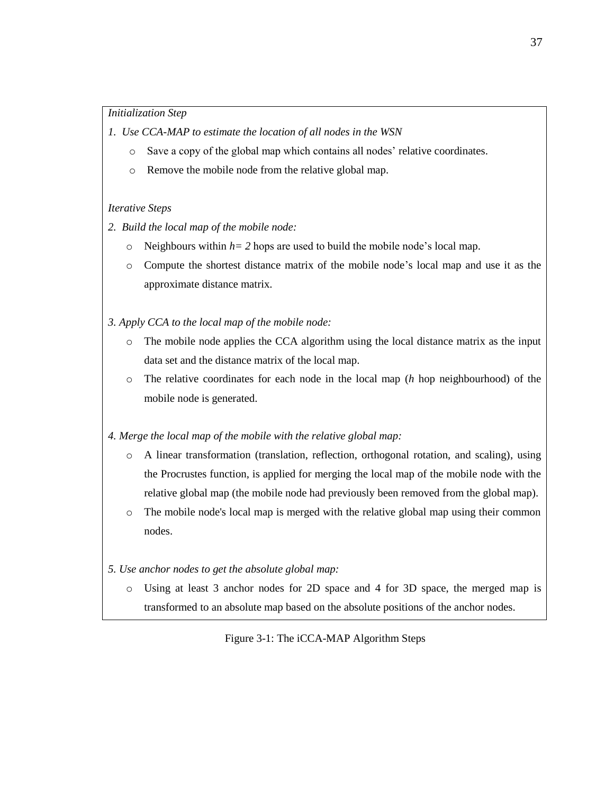#### *Initialization Step*

- *1. Use CCA-MAP to estimate the location of all nodes in the WSN*
	- $\circ$  Save a copy of the global map which contains all nodes' relative coordinates.
	- o Remove the mobile node from the relative global map.

#### *Iterative Steps*

- *2. Build the local map of the mobile node:*
	- $\circ$  Neighbours within  $h=2$  hops are used to build the mobile node's local map.
	- o Compute the shortest distance matrix of the mobile node"s local map and use it as the approximate distance matrix.
- *3. Apply CCA to the local map of the mobile node:*
	- o The mobile node applies the CCA algorithm using the local distance matrix as the input data set and the distance matrix of the local map.
	- o The relative coordinates for each node in the local map (*h* hop neighbourhood) of the mobile node is generated.
- *4. Merge the local map of the mobile with the relative global map:*
	- o A linear transformation (translation, reflection, orthogonal rotation, and scaling), using the Procrustes function, is applied for merging the local map of the mobile node with the relative global map (the mobile node had previously been removed from the global map).
	- o The mobile node's local map is merged with the relative global map using their common nodes.
- <span id="page-46-0"></span>*5. Use anchor nodes to get the absolute global map:*
	- o Using at least 3 anchor nodes for 2D space and 4 for 3D space, the merged map is transformed to an absolute map based on the absolute positions of the anchor nodes.

## Figure 3-1: The iCCA-MAP Algorithm Steps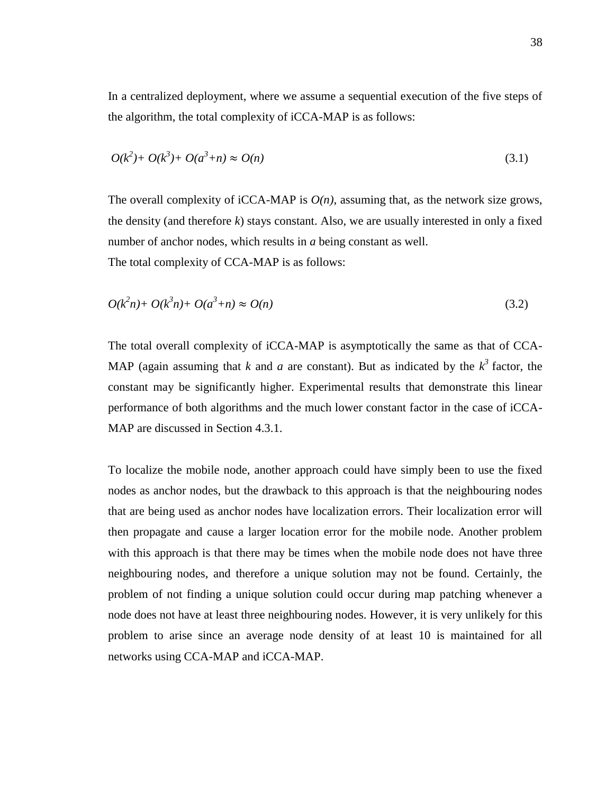In a centralized deployment, where we assume a sequential execution of the five steps of the algorithm, the total complexity of iCCA-MAP is as follows:

$$
O(k^2) + O(k^3) + O(a^3 + n) \approx O(n)
$$
\n(3.1)

The overall complexity of iCCA-MAP is  $O(n)$ , assuming that, as the network size grows, the density (and therefore  $k$ ) stays constant. Also, we are usually interested in only a fixed number of anchor nodes, which results in *a* being constant as well. The total complexity of CCA-MAP is as follows:

$$
O(k^2n) + O(k^3n) + O(a^3 + n) \approx O(n)
$$
\n(3.2)

The total overall complexity of iCCA-MAP is asymptotically the same as that of CCA-MAP (again assuming that *k* and *a* are constant). But as indicated by the  $k^3$  factor, the constant may be significantly higher. Experimental results that demonstrate this linear performance of both algorithms and the much lower constant factor in the case of iCCA-MAP are discussed in Section 4.3.1.

To localize the mobile node, another approach could have simply been to use the fixed nodes as anchor nodes, but the drawback to this approach is that the neighbouring nodes that are being used as anchor nodes have localization errors. Their localization error will then propagate and cause a larger location error for the mobile node. Another problem with this approach is that there may be times when the mobile node does not have three neighbouring nodes, and therefore a unique solution may not be found. Certainly, the problem of not finding a unique solution could occur during map patching whenever a node does not have at least three neighbouring nodes. However, it is very unlikely for this problem to arise since an average node density of at least 10 is maintained for all networks using CCA-MAP and iCCA-MAP.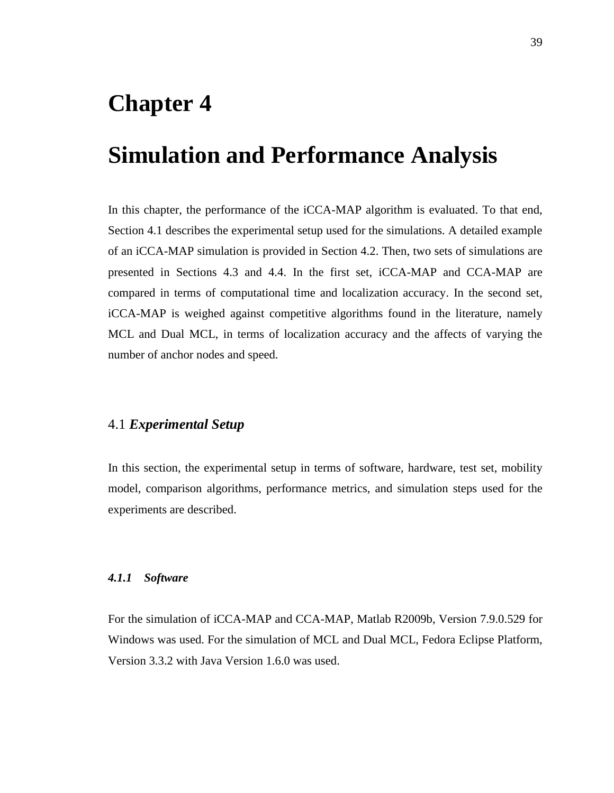## **Chapter 4**

## **Simulation and Performance Analysis**

In this chapter, the performance of the iCCA-MAP algorithm is evaluated. To that end, Section 4.1 describes the experimental setup used for the simulations. A detailed example of an iCCA-MAP simulation is provided in Section 4.2. Then, two sets of simulations are presented in Sections 4.3 and 4.4. In the first set, iCCA-MAP and CCA-MAP are compared in terms of computational time and localization accuracy. In the second set, iCCA-MAP is weighed against competitive algorithms found in the literature, namely MCL and Dual MCL, in terms of localization accuracy and the affects of varying the number of anchor nodes and speed.

## 4.1 *Experimental Setup*

In this section, the experimental setup in terms of software, hardware, test set, mobility model, comparison algorithms, performance metrics, and simulation steps used for the experiments are described.

#### *4.1.1 Software*

For the simulation of iCCA-MAP and CCA-MAP, Matlab R2009b, Version 7.9.0.529 for Windows was used. For the simulation of MCL and Dual MCL, Fedora Eclipse Platform, Version 3.3.2 with Java Version 1.6.0 was used.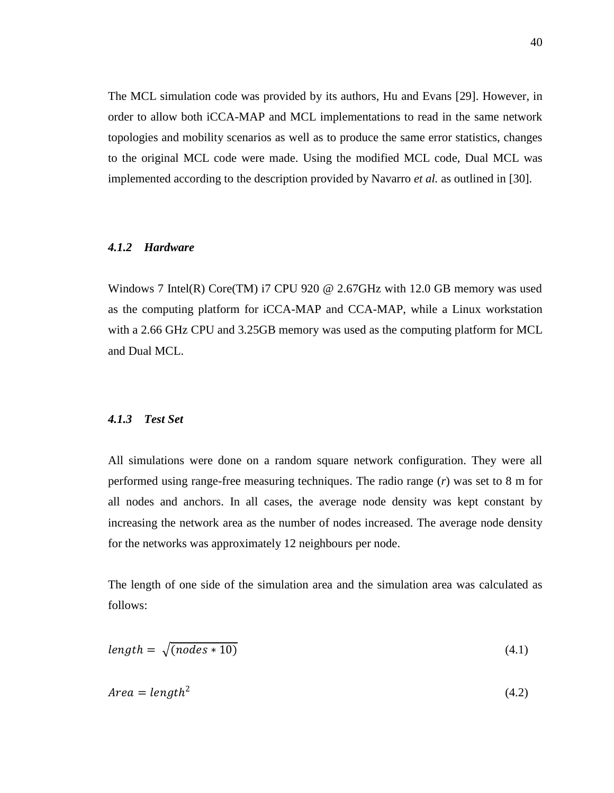The MCL simulation code was provided by its authors, Hu and Evans [\[29\]](#page-88-1). However, in order to allow both iCCA-MAP and MCL implementations to read in the same network topologies and mobility scenarios as well as to produce the same error statistics, changes to the original MCL code were made. Using the modified MCL code, Dual MCL was implemented according to the description provided by Navarro *et al.* as outlined in [\[30\]](#page-88-2).

#### *4.1.2 Hardware*

Windows 7 Intel(R) Core(TM) i7 CPU 920 @ 2.67GHz with 12.0 GB memory was used as the computing platform for iCCA-MAP and CCA-MAP, while a Linux workstation with a 2.66 GHz CPU and 3.25GB memory was used as the computing platform for MCL and Dual MCL.

#### *4.1.3 Test Set*

All simulations were done on a random square network configuration. They were all performed using range-free measuring techniques. The radio range (*r*) was set to 8 m for all nodes and anchors. In all cases, the average node density was kept constant by increasing the network area as the number of nodes increased. The average node density for the networks was approximately 12 neighbours per node.

The length of one side of the simulation area and the simulation area was calculated as follows:

$$
length = \sqrt{(nodes * 10)} \tag{4.1}
$$

$$
Area = length^2 \tag{4.2}
$$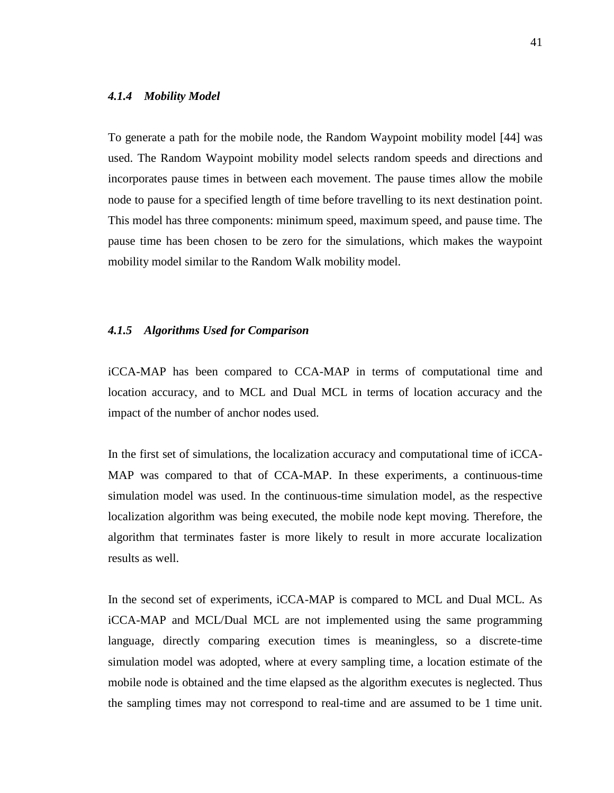#### *4.1.4 Mobility Model*

To generate a path for the mobile node, the Random Waypoint mobility model [\[44\]](#page-89-3) was used. The Random Waypoint mobility model selects random speeds and directions and incorporates pause times in between each movement. The pause times allow the mobile node to pause for a specified length of time before travelling to its next destination point. This model has three components: minimum speed, maximum speed, and pause time. The pause time has been chosen to be zero for the simulations, which makes the waypoint mobility model similar to the Random Walk mobility model.

#### *4.1.5 Algorithms Used for Comparison*

iCCA-MAP has been compared to CCA-MAP in terms of computational time and location accuracy, and to MCL and Dual MCL in terms of location accuracy and the impact of the number of anchor nodes used.

In the first set of simulations, the localization accuracy and computational time of iCCA-MAP was compared to that of CCA-MAP. In these experiments, a continuous-time simulation model was used. In the continuous-time simulation model, as the respective localization algorithm was being executed, the mobile node kept moving. Therefore, the algorithm that terminates faster is more likely to result in more accurate localization results as well.

In the second set of experiments, iCCA-MAP is compared to MCL and Dual MCL. As iCCA-MAP and MCL/Dual MCL are not implemented using the same programming language, directly comparing execution times is meaningless, so a discrete-time simulation model was adopted, where at every sampling time, a location estimate of the mobile node is obtained and the time elapsed as the algorithm executes is neglected. Thus the sampling times may not correspond to real-time and are assumed to be 1 time unit.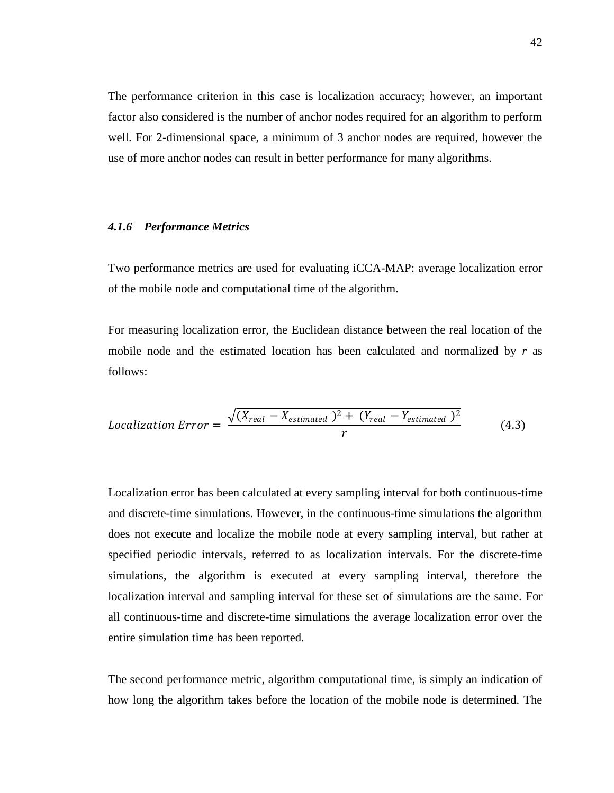The performance criterion in this case is localization accuracy; however, an important factor also considered is the number of anchor nodes required for an algorithm to perform well. For 2-dimensional space, a minimum of 3 anchor nodes are required, however the use of more anchor nodes can result in better performance for many algorithms.

#### *4.1.6 Performance Metrics*

Two performance metrics are used for evaluating iCCA-MAP: average localization error of the mobile node and computational time of the algorithm.

For measuring localization error, the Euclidean distance between the real location of the mobile node and the estimated location has been calculated and normalized by *r* as follows:

$$
Localization Error = \frac{\sqrt{(X_{real} - X_{estimated})^2 + (Y_{real} - Y_{estimated})^2}}{r}
$$
(4.3)

Localization error has been calculated at every sampling interval for both continuous-time and discrete-time simulations. However, in the continuous-time simulations the algorithm does not execute and localize the mobile node at every sampling interval, but rather at specified periodic intervals, referred to as localization intervals. For the discrete-time simulations, the algorithm is executed at every sampling interval, therefore the localization interval and sampling interval for these set of simulations are the same. For all continuous-time and discrete-time simulations the average localization error over the entire simulation time has been reported.

The second performance metric, algorithm computational time, is simply an indication of how long the algorithm takes before the location of the mobile node is determined. The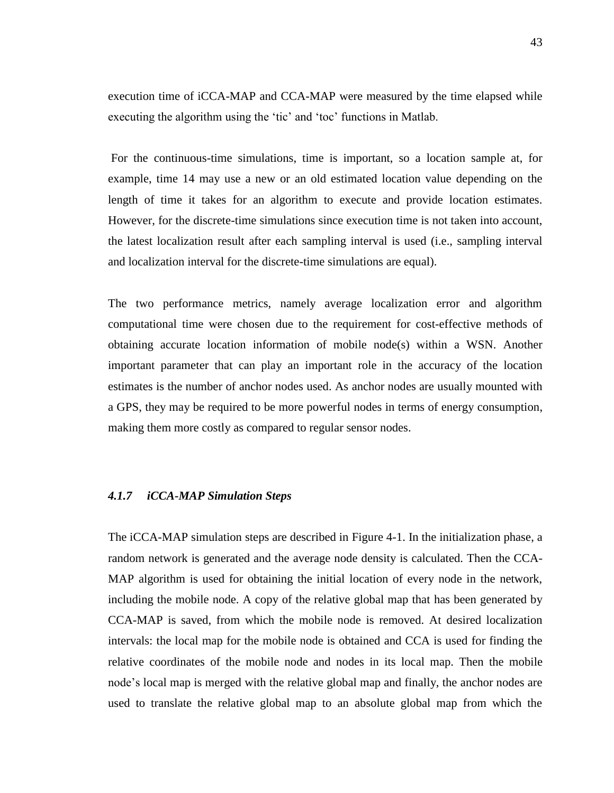execution time of iCCA-MAP and CCA-MAP were measured by the time elapsed while executing the algorithm using the 'tic' and 'toc' functions in Matlab.

For the continuous-time simulations, time is important, so a location sample at, for example, time 14 may use a new or an old estimated location value depending on the length of time it takes for an algorithm to execute and provide location estimates. However, for the discrete-time simulations since execution time is not taken into account, the latest localization result after each sampling interval is used (i.e., sampling interval and localization interval for the discrete-time simulations are equal).

The two performance metrics, namely average localization error and algorithm computational time were chosen due to the requirement for cost-effective methods of obtaining accurate location information of mobile node(s) within a WSN. Another important parameter that can play an important role in the accuracy of the location estimates is the number of anchor nodes used. As anchor nodes are usually mounted with a GPS, they may be required to be more powerful nodes in terms of energy consumption, making them more costly as compared to regular sensor nodes.

#### *4.1.7 iCCA-MAP Simulation Steps*

The iCCA-MAP simulation steps are described in [Figure 4-1.](#page-53-0) In the initialization phase, a random network is generated and the average node density is calculated. Then the CCA-MAP algorithm is used for obtaining the initial location of every node in the network, including the mobile node. A copy of the relative global map that has been generated by CCA-MAP is saved, from which the mobile node is removed. At desired localization intervals: the local map for the mobile node is obtained and CCA is used for finding the relative coordinates of the mobile node and nodes in its local map. Then the mobile node"s local map is merged with the relative global map and finally, the anchor nodes are used to translate the relative global map to an absolute global map from which the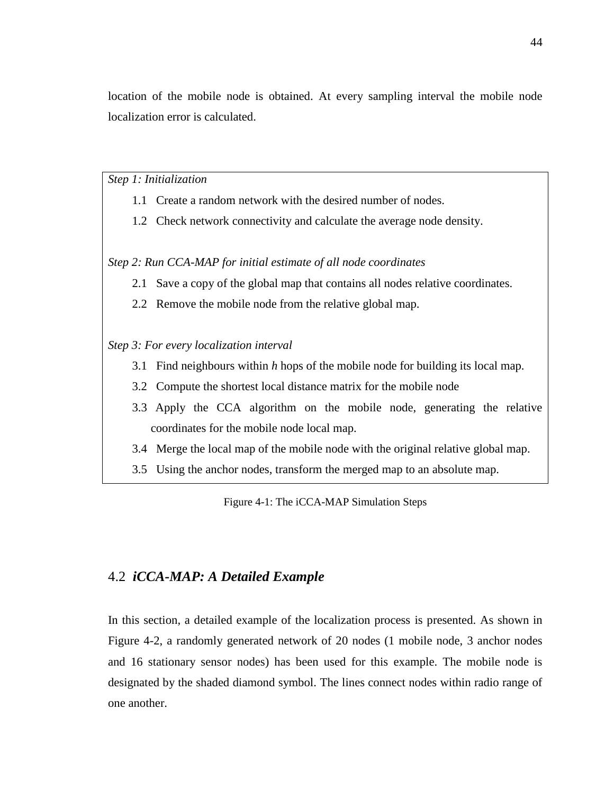location of the mobile node is obtained. At every sampling interval the mobile node localization error is calculated.

*Step 1: Initialization* 

- 1.1 Create a random network with the desired number of nodes.
- 1.2 Check network connectivity and calculate the average node density.

*Step 2: Run CCA-MAP for initial estimate of all node coordinates*

- 2.1 Save a copy of the global map that contains all nodes relative coordinates.
- 2.2 Remove the mobile node from the relative global map.

*Step 3: For every localization interval*

- 3.1 Find neighbours within *h* hops of the mobile node for building its local map.
- 3.2 Compute the shortest local distance matrix for the mobile node
- 3.3 Apply the CCA algorithm on the mobile node, generating the relative coordinates for the mobile node local map.
- 3.4 Merge the local map of the mobile node with the original relative global map.
- <span id="page-53-0"></span>3.5 Using the anchor nodes, transform the merged map to an absolute map.

Figure 4-1: The iCCA-MAP Simulation Steps

### 4.2 *iCCA-MAP: A Detailed Example*

In this section, a detailed example of the localization process is presented. As shown in [Figure 4-2,](#page-54-0) a randomly generated network of 20 nodes (1 mobile node, 3 anchor nodes and 16 stationary sensor nodes) has been used for this example. The mobile node is designated by the shaded diamond symbol. The lines connect nodes within radio range of one another.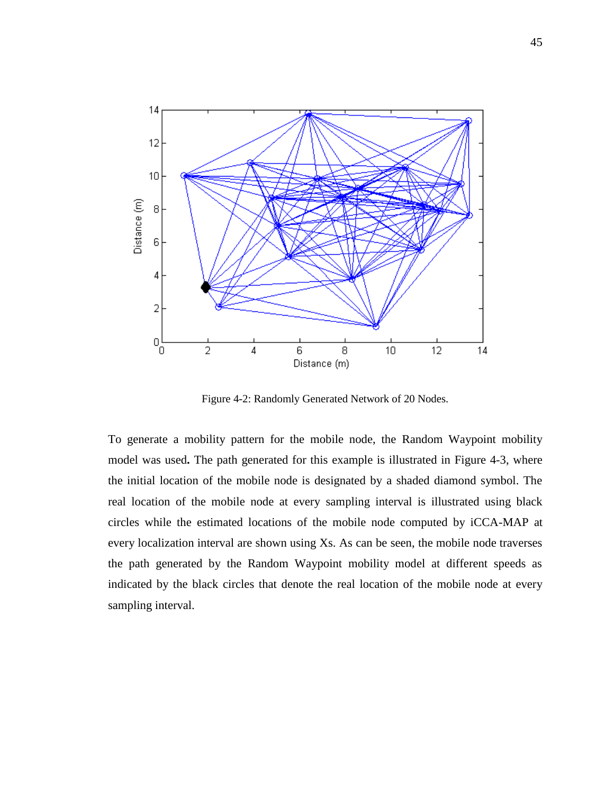

Figure 4-2: Randomly Generated Network of 20 Nodes.

<span id="page-54-0"></span>To generate a mobility pattern for the mobile node, the Random Waypoint mobility model was used**.** The path generated for this example is illustrated in [Figure 4-3,](#page-55-0) where the initial location of the mobile node is designated by a shaded diamond symbol. The real location of the mobile node at every sampling interval is illustrated using black circles while the estimated locations of the mobile node computed by iCCA-MAP at every localization interval are shown using Xs. As can be seen, the mobile node traverses the path generated by the Random Waypoint mobility model at different speeds as indicated by the black circles that denote the real location of the mobile node at every sampling interval.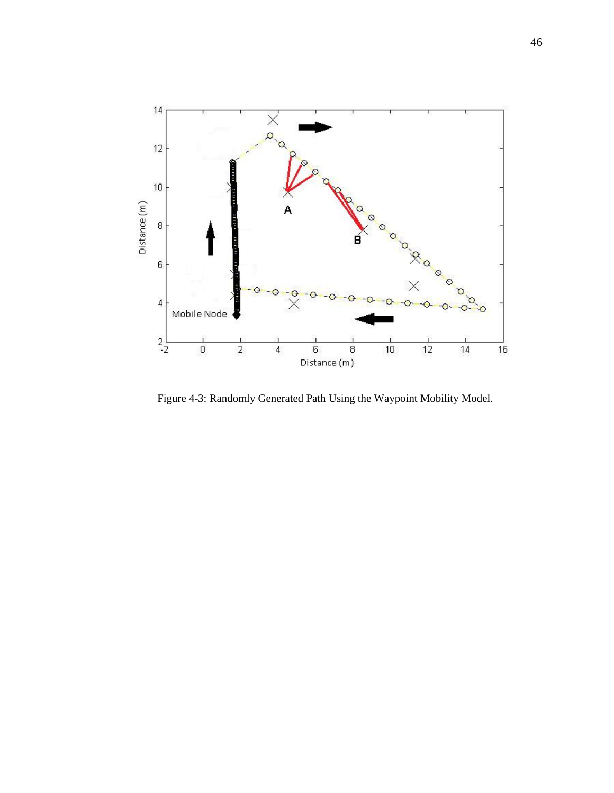

<span id="page-55-0"></span>Figure 4-3: Randomly Generated Path Using the Waypoint Mobility Model.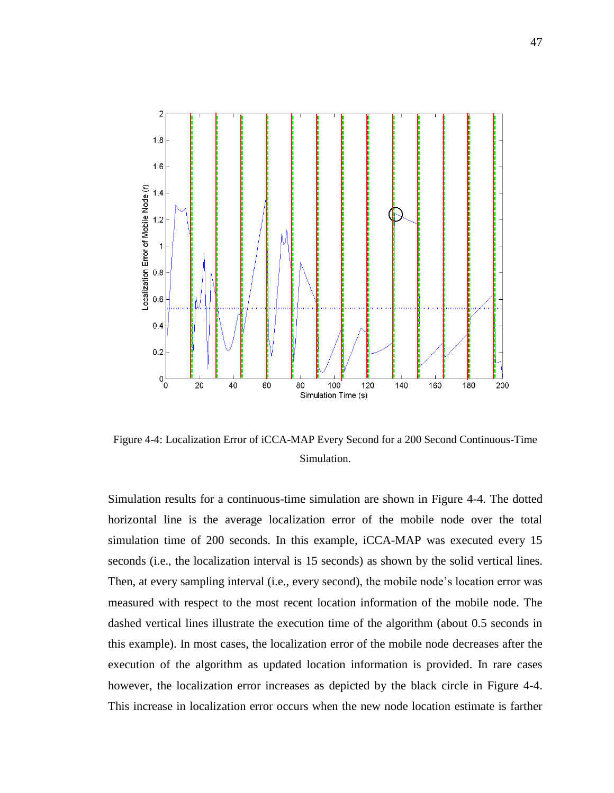

<span id="page-56-0"></span>Figure 4-4: Localization Error of iCCA-MAP Every Second for a 200 Second Continuous-Time Simulation.

Simulation results for a continuous-time simulation are shown in [Figure 4-4.](#page-56-0) The dotted horizontal line is the average localization error of the mobile node over the total simulation time of 200 seconds. In this example, iCCA-MAP was executed every 15 seconds (i.e., the localization interval is 15 seconds) as shown by the solid vertical lines. Then, at every sampling interval (i.e., every second), the mobile node"s location error was measured with respect to the most recent location information of the mobile node. The dashed vertical lines illustrate the execution time of the algorithm (about 0.5 seconds in this example). In most cases, the localization error of the mobile node decreases after the execution of the algorithm as updated location information is provided. In rare cases however, the localization error increases as depicted by the black circle in [Figure 4-4.](#page-56-0) This increase in localization error occurs when the new node location estimate is farther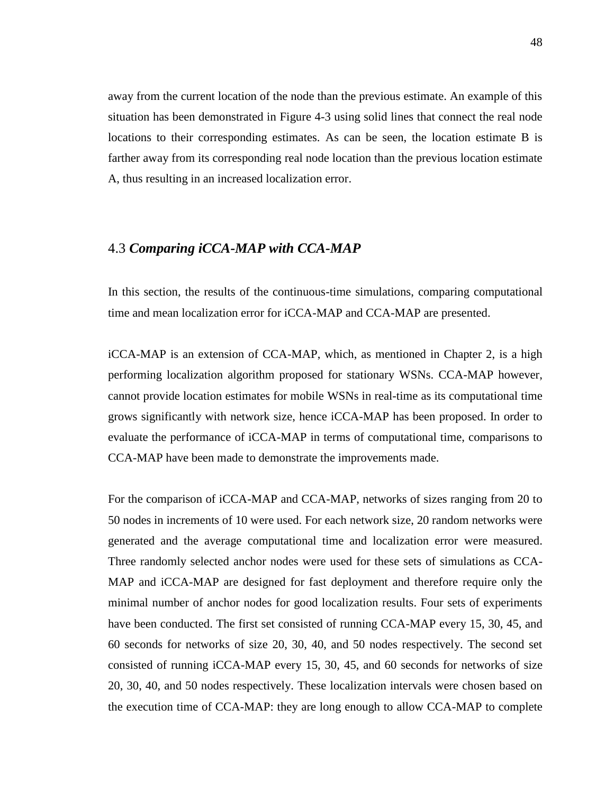away from the current location of the node than the previous estimate. An example of this situation has been demonstrated in [Figure 4-3](#page-55-0) using solid lines that connect the real node locations to their corresponding estimates. As can be seen, the location estimate B is farther away from its corresponding real node location than the previous location estimate A, thus resulting in an increased localization error.

## <span id="page-57-0"></span>4.3 *Comparing iCCA-MAP with CCA-MAP*

In this section, the results of the continuous-time simulations, comparing computational time and mean localization error for iCCA-MAP and CCA-MAP are presented.

iCCA-MAP is an extension of CCA-MAP, which, as mentioned in Chapter 2, is a high performing localization algorithm proposed for stationary WSNs. CCA-MAP however, cannot provide location estimates for mobile WSNs in real-time as its computational time grows significantly with network size, hence iCCA-MAP has been proposed. In order to evaluate the performance of iCCA-MAP in terms of computational time, comparisons to CCA-MAP have been made to demonstrate the improvements made.

For the comparison of iCCA-MAP and CCA-MAP, networks of sizes ranging from 20 to 50 nodes in increments of 10 were used. For each network size, 20 random networks were generated and the average computational time and localization error were measured. Three randomly selected anchor nodes were used for these sets of simulations as CCA-MAP and iCCA-MAP are designed for fast deployment and therefore require only the minimal number of anchor nodes for good localization results. Four sets of experiments have been conducted. The first set consisted of running CCA-MAP every 15, 30, 45, and 60 seconds for networks of size 20, 30, 40, and 50 nodes respectively. The second set consisted of running iCCA-MAP every 15, 30, 45, and 60 seconds for networks of size 20, 30, 40, and 50 nodes respectively. These localization intervals were chosen based on the execution time of CCA-MAP: they are long enough to allow CCA-MAP to complete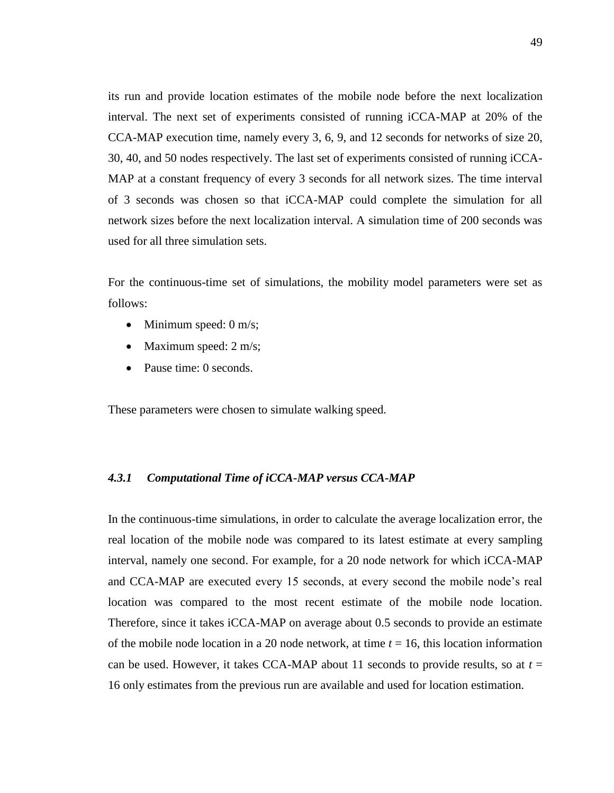its run and provide location estimates of the mobile node before the next localization interval. The next set of experiments consisted of running iCCA-MAP at 20% of the CCA-MAP execution time, namely every 3, 6, 9, and 12 seconds for networks of size 20, 30, 40, and 50 nodes respectively. The last set of experiments consisted of running iCCA-MAP at a constant frequency of every 3 seconds for all network sizes. The time interval of 3 seconds was chosen so that iCCA-MAP could complete the simulation for all network sizes before the next localization interval. A simulation time of 200 seconds was used for all three simulation sets.

For the continuous-time set of simulations, the mobility model parameters were set as follows:

- Minimum speed:  $0 \text{ m/s}$ ;
- Maximum speed:  $2 \text{ m/s}$ ;
- Pause time: 0 seconds.

These parameters were chosen to simulate walking speed.

#### *4.3.1 Computational Time of iCCA-MAP versus CCA-MAP*

In the continuous-time simulations, in order to calculate the average localization error, the real location of the mobile node was compared to its latest estimate at every sampling interval, namely one second. For example, for a 20 node network for which iCCA-MAP and CCA-MAP are executed every 15 seconds, at every second the mobile node"s real location was compared to the most recent estimate of the mobile node location. Therefore, since it takes iCCA-MAP on average about 0.5 seconds to provide an estimate of the mobile node location in a 20 node network, at time *t* = 16, this location information can be used. However, it takes CCA-MAP about 11 seconds to provide results, so at  $t =$ 16 only estimates from the previous run are available and used for location estimation.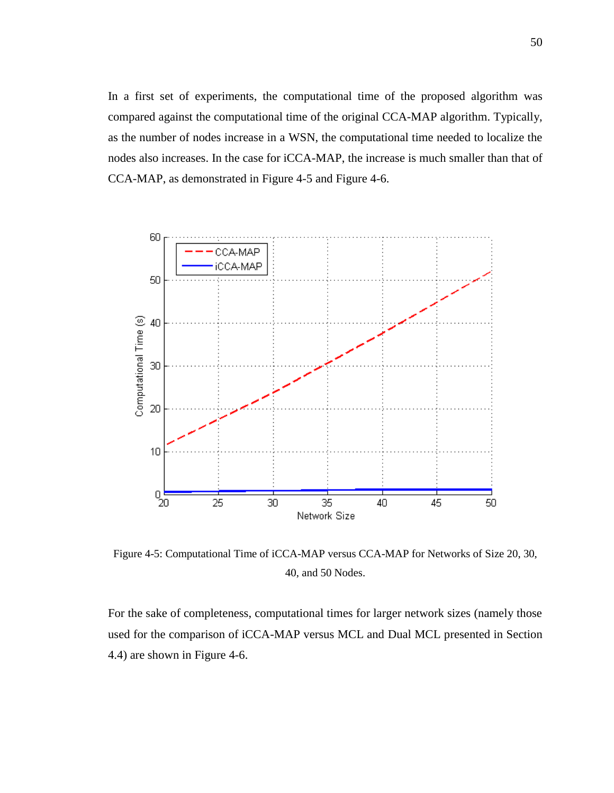In a first set of experiments, the computational time of the proposed algorithm was compared against the computational time of the original CCA-MAP algorithm. Typically, as the number of nodes increase in a WSN, the computational time needed to localize the nodes also increases. In the case for iCCA-MAP, the increase is much smaller than that of CCA-MAP, as demonstrated in [Figure 4-5](#page-59-0) and [Figure 4-6.](#page-60-0)



<span id="page-59-0"></span>Figure 4-5: Computational Time of iCCA-MAP versus CCA-MAP for Networks of Size 20, 30, 40, and 50 Nodes.

For the sake of completeness, computational times for larger network sizes (namely those used for the comparison of iCCA-MAP versus MCL and Dual MCL presented in Section [4.4\)](#page-65-0) are shown in [Figure 4-6.](#page-60-0)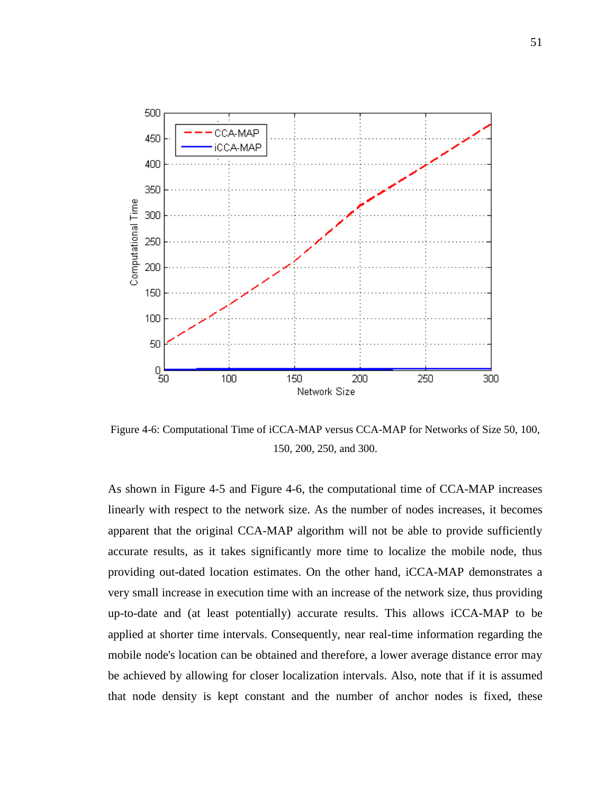

<span id="page-60-0"></span>Figure 4-6: Computational Time of iCCA-MAP versus CCA-MAP for Networks of Size 50, 100, 150, 200, 250, and 300.

As shown in [Figure 4-5](#page-59-0) and [Figure 4-6,](#page-60-0) the computational time of CCA-MAP increases linearly with respect to the network size. As the number of nodes increases, it becomes apparent that the original CCA-MAP algorithm will not be able to provide sufficiently accurate results, as it takes significantly more time to localize the mobile node, thus providing out-dated location estimates. On the other hand, iCCA-MAP demonstrates a very small increase in execution time with an increase of the network size, thus providing up-to-date and (at least potentially) accurate results. This allows iCCA-MAP to be applied at shorter time intervals. Consequently, near real-time information regarding the mobile node's location can be obtained and therefore, a lower average distance error may be achieved by allowing for closer localization intervals. Also, note that if it is assumed that node density is kept constant and the number of anchor nodes is fixed, these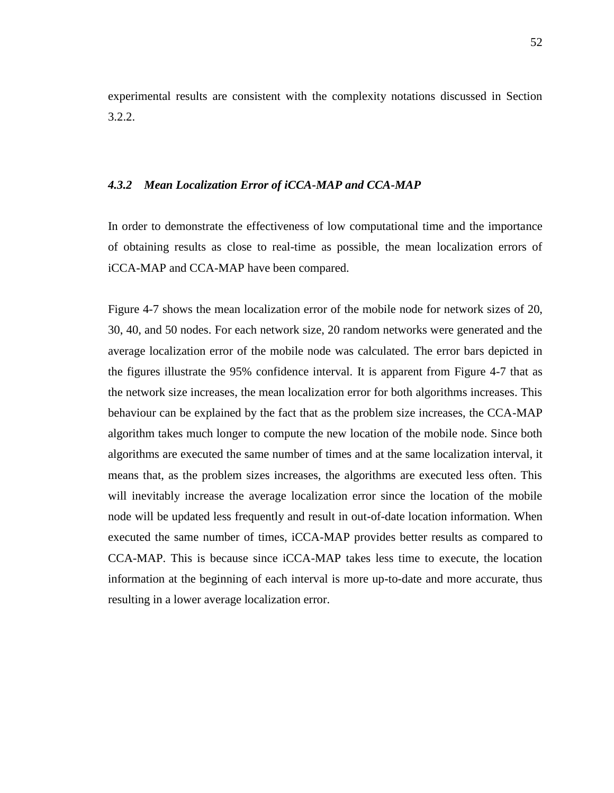experimental results are consistent with the complexity notations discussed in Section 3.2.2.

#### *4.3.2 Mean Localization Error of iCCA-MAP and CCA-MAP*

In order to demonstrate the effectiveness of low computational time and the importance of obtaining results as close to real-time as possible, the mean localization errors of iCCA-MAP and CCA-MAP have been compared.

[Figure 4-7](#page-62-0) shows the mean localization error of the mobile node for network sizes of 20, 30, 40, and 50 nodes. For each network size, 20 random networks were generated and the average localization error of the mobile node was calculated. The error bars depicted in the figures illustrate the 95% confidence interval. It is apparent from [Figure 4-7](#page-62-0) that as the network size increases, the mean localization error for both algorithms increases. This behaviour can be explained by the fact that as the problem size increases, the CCA-MAP algorithm takes much longer to compute the new location of the mobile node. Since both algorithms are executed the same number of times and at the same localization interval, it means that, as the problem sizes increases, the algorithms are executed less often. This will inevitably increase the average localization error since the location of the mobile node will be updated less frequently and result in out-of-date location information. When executed the same number of times, iCCA-MAP provides better results as compared to CCA-MAP. This is because since iCCA-MAP takes less time to execute, the location information at the beginning of each interval is more up-to-date and more accurate, thus resulting in a lower average localization error.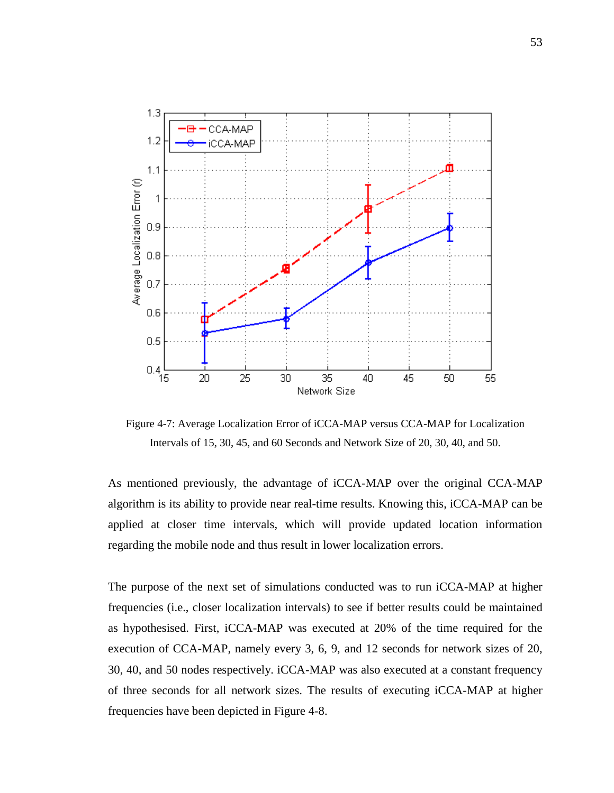

<span id="page-62-0"></span>Figure 4-7: Average Localization Error of iCCA-MAP versus CCA-MAP for Localization Intervals of 15, 30, 45, and 60 Seconds and Network Size of 20, 30, 40, and 50.

As mentioned previously, the advantage of iCCA-MAP over the original CCA-MAP algorithm is its ability to provide near real-time results. Knowing this, iCCA-MAP can be applied at closer time intervals, which will provide updated location information regarding the mobile node and thus result in lower localization errors.

The purpose of the next set of simulations conducted was to run iCCA-MAP at higher frequencies (i.e., closer localization intervals) to see if better results could be maintained as hypothesised. First, iCCA-MAP was executed at 20% of the time required for the execution of CCA-MAP, namely every 3, 6, 9, and 12 seconds for network sizes of 20, 30, 40, and 50 nodes respectively. iCCA-MAP was also executed at a constant frequency of three seconds for all network sizes. The results of executing iCCA-MAP at higher frequencies have been depicted in [Figure 4-8.](#page-63-0)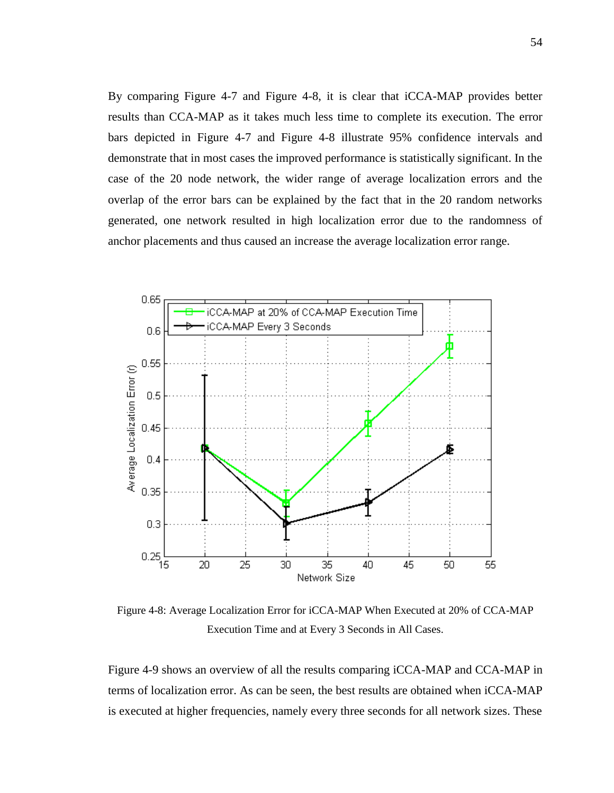By comparing [Figure 4-7](#page-62-0) and [Figure 4-8,](#page-63-0) it is clear that iCCA-MAP provides better results than CCA-MAP as it takes much less time to complete its execution. The error bars depicted in [Figure 4-7](#page-62-0) and [Figure 4-8](#page-63-0) illustrate 95% confidence intervals and demonstrate that in most cases the improved performance is statistically significant. In the case of the 20 node network, the wider range of average localization errors and the overlap of the error bars can be explained by the fact that in the 20 random networks generated, one network resulted in high localization error due to the randomness of anchor placements and thus caused an increase the average localization error range.



<span id="page-63-0"></span>Figure 4-8: Average Localization Error for iCCA-MAP When Executed at 20% of CCA-MAP Execution Time and at Every 3 Seconds in All Cases.

[Figure 4-9](#page-64-0) shows an overview of all the results comparing iCCA-MAP and CCA-MAP in terms of localization error. As can be seen, the best results are obtained when iCCA-MAP is executed at higher frequencies, namely every three seconds for all network sizes. These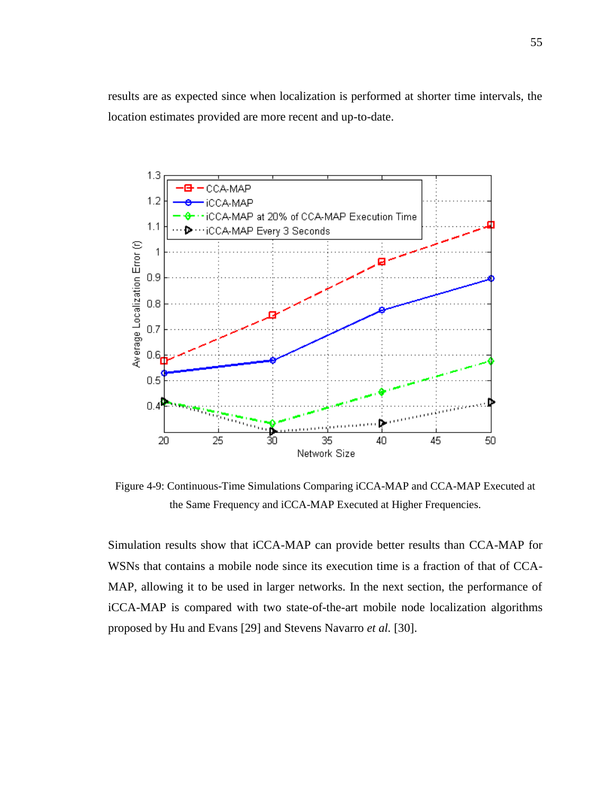results are as expected since when localization is performed at shorter time intervals, the location estimates provided are more recent and up-to-date.



<span id="page-64-0"></span>Figure 4-9: Continuous-Time Simulations Comparing iCCA-MAP and CCA-MAP Executed at the Same Frequency and iCCA-MAP Executed at Higher Frequencies.

Simulation results show that iCCA-MAP can provide better results than CCA-MAP for WSNs that contains a mobile node since its execution time is a fraction of that of CCA-MAP, allowing it to be used in larger networks. In the next section, the performance of iCCA-MAP is compared with two state-of-the-art mobile node localization algorithms proposed by Hu and Evans [\[29\]](#page-88-1) and Stevens Navarro *et al.* [\[30\]](#page-88-2).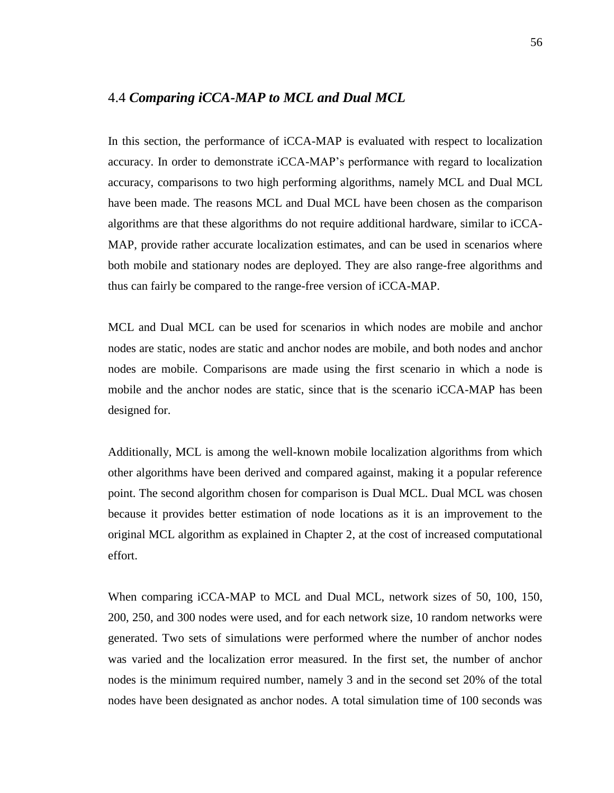### <span id="page-65-0"></span>4.4 *Comparing iCCA-MAP to MCL and Dual MCL*

In this section, the performance of iCCA-MAP is evaluated with respect to localization accuracy. In order to demonstrate iCCA-MAP"s performance with regard to localization accuracy, comparisons to two high performing algorithms, namely MCL and Dual MCL have been made. The reasons MCL and Dual MCL have been chosen as the comparison algorithms are that these algorithms do not require additional hardware, similar to iCCA-MAP, provide rather accurate localization estimates, and can be used in scenarios where both mobile and stationary nodes are deployed. They are also range-free algorithms and thus can fairly be compared to the range-free version of iCCA-MAP.

MCL and Dual MCL can be used for scenarios in which nodes are mobile and anchor nodes are static, nodes are static and anchor nodes are mobile, and both nodes and anchor nodes are mobile. Comparisons are made using the first scenario in which a node is mobile and the anchor nodes are static, since that is the scenario iCCA-MAP has been designed for.

Additionally, MCL is among the well-known mobile localization algorithms from which other algorithms have been derived and compared against, making it a popular reference point. The second algorithm chosen for comparison is Dual MCL. Dual MCL was chosen because it provides better estimation of node locations as it is an improvement to the original MCL algorithm as explained in Chapter 2, at the cost of increased computational effort.

When comparing iCCA-MAP to MCL and Dual MCL, network sizes of 50, 100, 150, 200, 250, and 300 nodes were used, and for each network size, 10 random networks were generated. Two sets of simulations were performed where the number of anchor nodes was varied and the localization error measured. In the first set, the number of anchor nodes is the minimum required number, namely 3 and in the second set 20% of the total nodes have been designated as anchor nodes. A total simulation time of 100 seconds was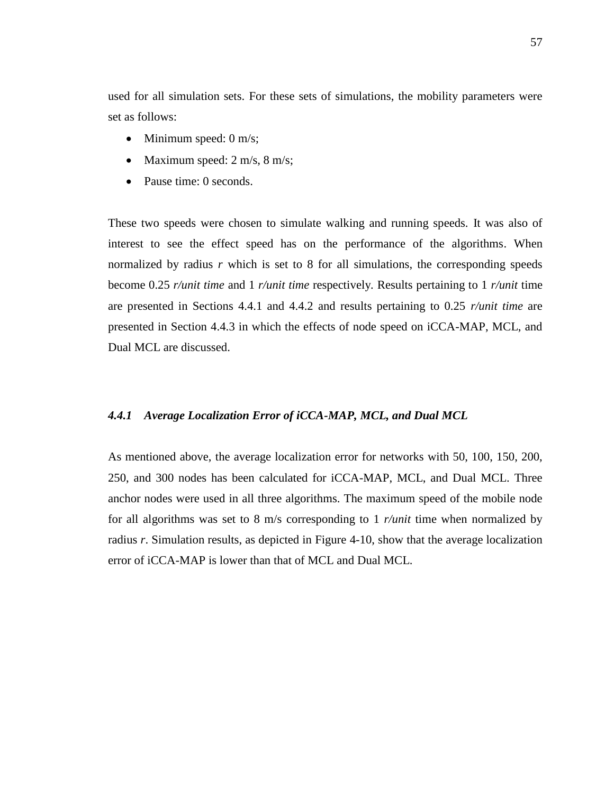used for all simulation sets. For these sets of simulations, the mobility parameters were set as follows:

- $\bullet$  Minimum speed: 0 m/s;
- Maximum speed:  $2 \text{ m/s}, 8 \text{ m/s};$
- Pause time: 0 seconds.

These two speeds were chosen to simulate walking and running speeds. It was also of interest to see the effect speed has on the performance of the algorithms. When normalized by radius *r* which is set to 8 for all simulations, the corresponding speeds become 0.25 *r/unit time* and 1 *r/unit time* respectively*.* Results pertaining to 1 *r/unit* time are presented in Sections 4.4.1 and 4.4.2 and results pertaining to 0.25 *r/unit time* are presented in Section 4.4.3 in which the effects of node speed on iCCA-MAP, MCL, and Dual MCL are discussed.

#### *4.4.1 Average Localization Error of iCCA-MAP, MCL, and Dual MCL*

As mentioned above, the average localization error for networks with 50, 100, 150, 200, 250, and 300 nodes has been calculated for iCCA-MAP, MCL, and Dual MCL. Three anchor nodes were used in all three algorithms. The maximum speed of the mobile node for all algorithms was set to 8 m/s corresponding to 1 *r/unit* time when normalized by radius *r*. Simulation results, as depicted in [Figure 4-10,](#page-67-0) show that the average localization error of iCCA-MAP is lower than that of MCL and Dual MCL.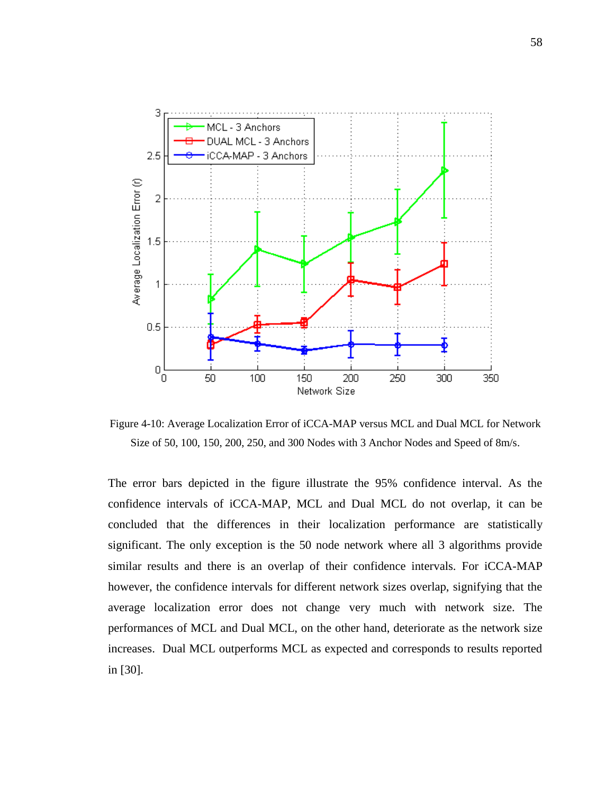

<span id="page-67-0"></span>Figure 4-10: Average Localization Error of iCCA-MAP versus MCL and Dual MCL for Network Size of 50, 100, 150, 200, 250, and 300 Nodes with 3 Anchor Nodes and Speed of 8m/s.

The error bars depicted in the figure illustrate the 95% confidence interval. As the confidence intervals of iCCA-MAP, MCL and Dual MCL do not overlap, it can be concluded that the differences in their localization performance are statistically significant. The only exception is the 50 node network where all 3 algorithms provide similar results and there is an overlap of their confidence intervals. For iCCA-MAP however, the confidence intervals for different network sizes overlap, signifying that the average localization error does not change very much with network size. The performances of MCL and Dual MCL, on the other hand, deteriorate as the network size increases. Dual MCL outperforms MCL as expected and corresponds to results reported in [\[30\]](#page-88-2).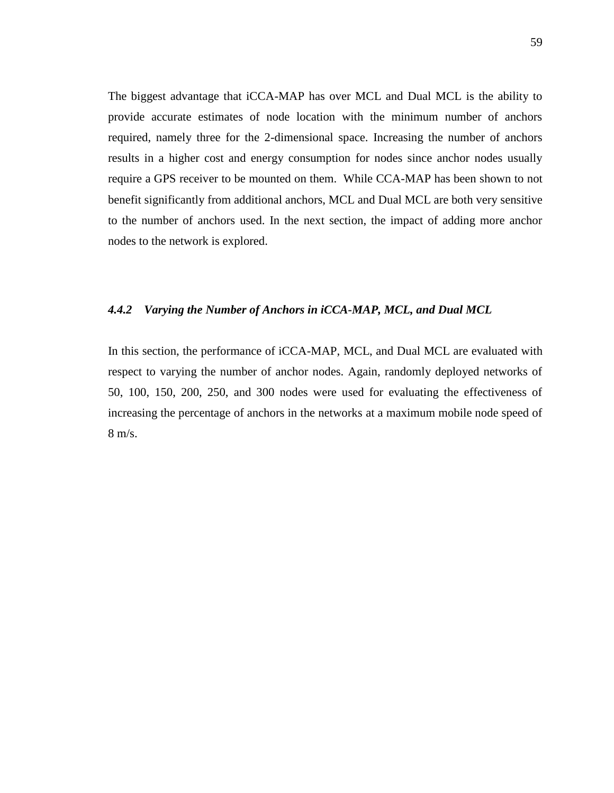The biggest advantage that iCCA-MAP has over MCL and Dual MCL is the ability to provide accurate estimates of node location with the minimum number of anchors required, namely three for the 2-dimensional space. Increasing the number of anchors results in a higher cost and energy consumption for nodes since anchor nodes usually require a GPS receiver to be mounted on them. While CCA-MAP has been shown to not benefit significantly from additional anchors, MCL and Dual MCL are both very sensitive to the number of anchors used. In the next section, the impact of adding more anchor nodes to the network is explored.

#### *4.4.2 Varying the Number of Anchors in iCCA-MAP, MCL, and Dual MCL*

In this section, the performance of iCCA-MAP, MCL, and Dual MCL are evaluated with respect to varying the number of anchor nodes. Again, randomly deployed networks of 50, 100, 150, 200, 250, and 300 nodes were used for evaluating the effectiveness of increasing the percentage of anchors in the networks at a maximum mobile node speed of 8 m/s.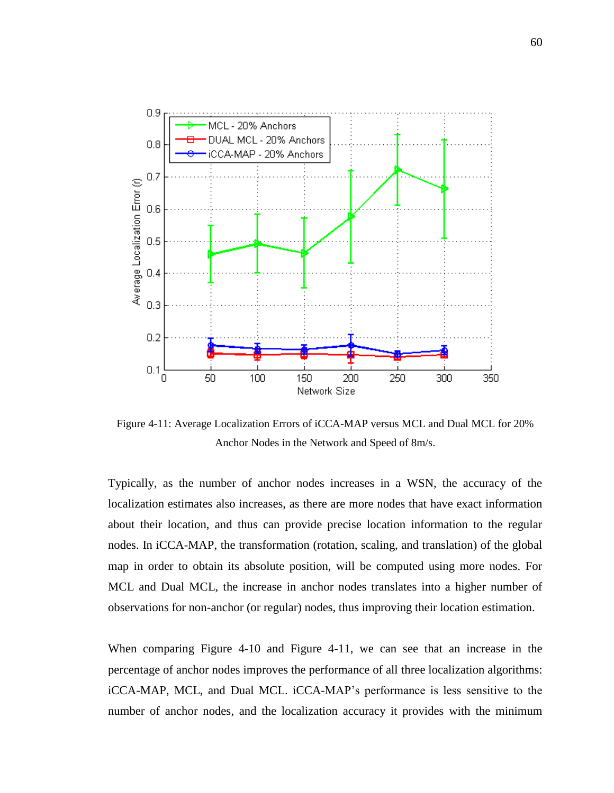

<span id="page-69-0"></span>Figure 4-11: Average Localization Errors of iCCA-MAP versus MCL and Dual MCL for 20% Anchor Nodes in the Network and Speed of 8m/s.

Typically, as the number of anchor nodes increases in a WSN, the accuracy of the localization estimates also increases, as there are more nodes that have exact information about their location, and thus can provide precise location information to the regular nodes. In iCCA-MAP, the transformation (rotation, scaling, and translation) of the global map in order to obtain its absolute position, will be computed using more nodes. For MCL and Dual MCL, the increase in anchor nodes translates into a higher number of observations for non-anchor (or regular) nodes, thus improving their location estimation.

When comparing [Figure 4-10](#page-67-0) and [Figure 4-11,](#page-69-0) we can see that an increase in the percentage of anchor nodes improves the performance of all three localization algorithms: iCCA-MAP, MCL, and Dual MCL. iCCA-MAP"s performance is less sensitive to the number of anchor nodes, and the localization accuracy it provides with the minimum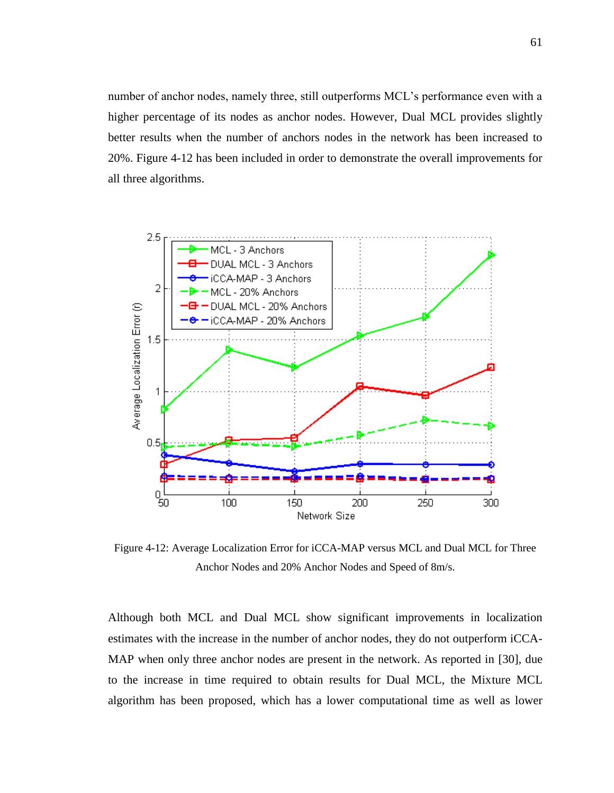number of anchor nodes, namely three, still outperforms MCL"s performance even with a higher percentage of its nodes as anchor nodes. However, Dual MCL provides slightly better results when the number of anchors nodes in the network has been increased to 20%. [Figure 4-12](#page-70-0) has been included in order to demonstrate the overall improvements for all three algorithms.



<span id="page-70-0"></span>Figure 4-12: Average Localization Error for iCCA-MAP versus MCL and Dual MCL for Three Anchor Nodes and 20% Anchor Nodes and Speed of 8m/s.

Although both MCL and Dual MCL show significant improvements in localization estimates with the increase in the number of anchor nodes, they do not outperform iCCA-MAP when only three anchor nodes are present in the network. As reported in [\[30\]](#page-88-2), due to the increase in time required to obtain results for Dual MCL, the Mixture MCL algorithm has been proposed, which has a lower computational time as well as lower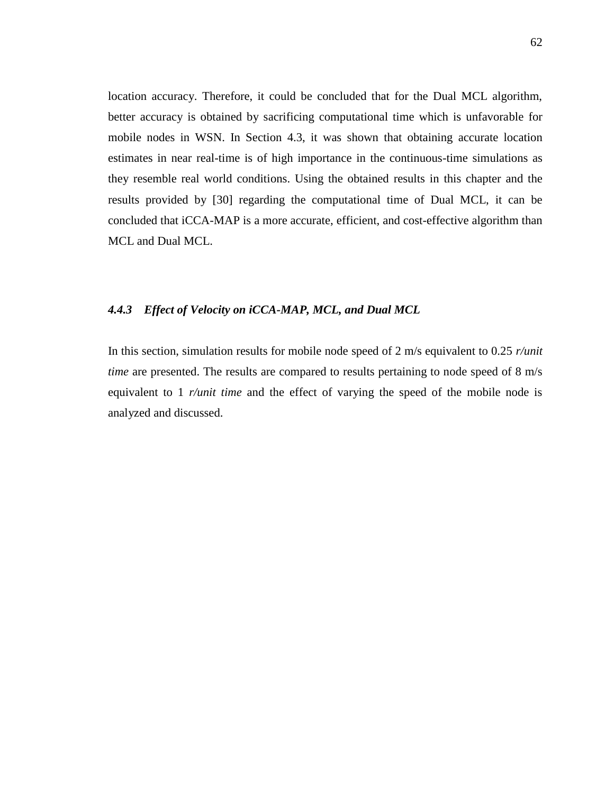location accuracy. Therefore, it could be concluded that for the Dual MCL algorithm, better accuracy is obtained by sacrificing computational time which is unfavorable for mobile nodes in WSN. In Section [4.3,](#page-57-0) it was shown that obtaining accurate location estimates in near real-time is of high importance in the continuous-time simulations as they resemble real world conditions. Using the obtained results in this chapter and the results provided by [\[30\]](#page-88-2) regarding the computational time of Dual MCL, it can be concluded that iCCA-MAP is a more accurate, efficient, and cost-effective algorithm than MCL and Dual MCL.

### *4.4.3 Effect of Velocity on iCCA-MAP, MCL, and Dual MCL*

In this section, simulation results for mobile node speed of 2 m/s equivalent to 0.25 *r/unit time* are presented. The results are compared to results pertaining to node speed of 8 m/s equivalent to 1 *r/unit time* and the effect of varying the speed of the mobile node is analyzed and discussed.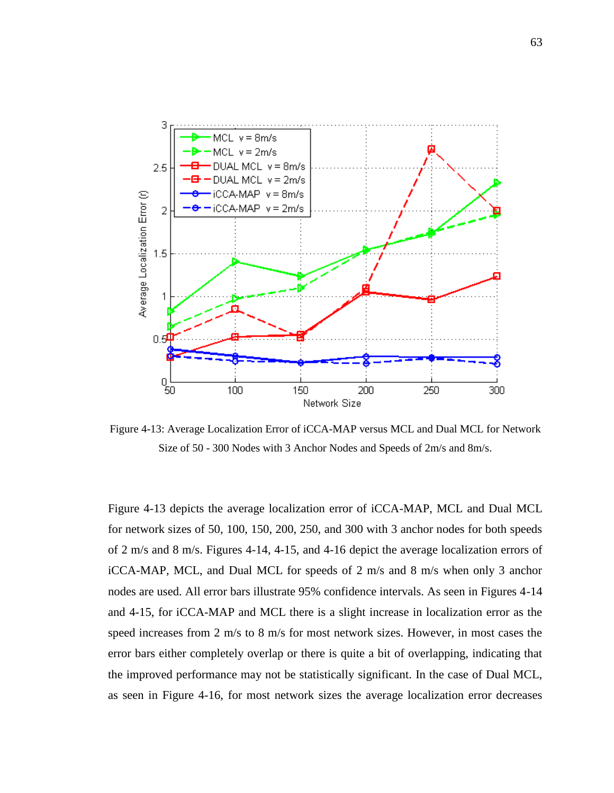

Figure 4-13: Average Localization Error of iCCA-MAP versus MCL and Dual MCL for Network Size of 50 - 300 Nodes with 3 Anchor Nodes and Speeds of 2m/s and 8m/s.

Figure 4-13 depicts the average localization error of iCCA-MAP, MCL and Dual MCL for network sizes of 50, 100, 150, 200, 250, and 300 with 3 anchor nodes for both speeds of 2 m/s and 8 m/s. Figures 4-14, 4-15, and 4-16 depict the average localization errors of iCCA-MAP, MCL, and Dual MCL for speeds of 2 m/s and 8 m/s when only 3 anchor nodes are used. All error bars illustrate 95% confidence intervals. As seen in Figures 4-14 and 4-15, for iCCA-MAP and MCL there is a slight increase in localization error as the speed increases from 2 m/s to 8 m/s for most network sizes. However, in most cases the error bars either completely overlap or there is quite a bit of overlapping, indicating that the improved performance may not be statistically significant. In the case of Dual MCL, as seen in Figure 4-16, for most network sizes the average localization error decreases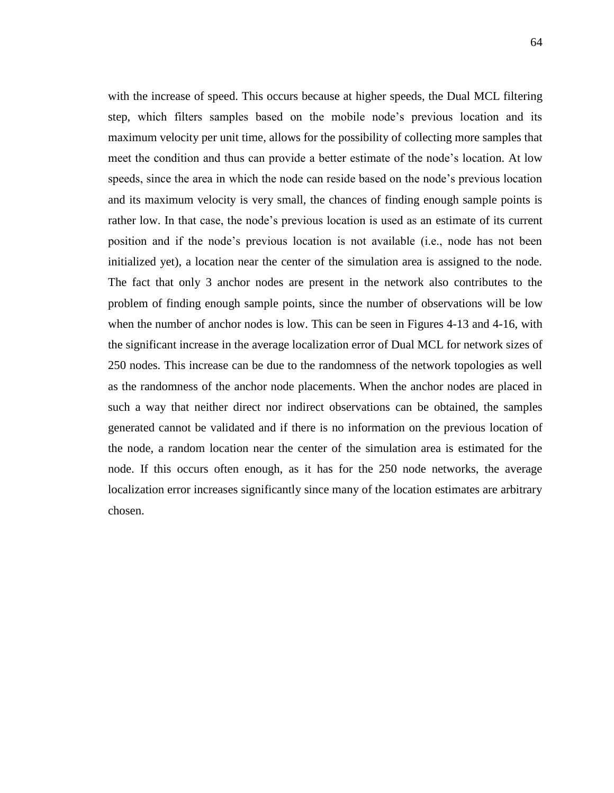with the increase of speed. This occurs because at higher speeds, the Dual MCL filtering step, which filters samples based on the mobile node"s previous location and its maximum velocity per unit time, allows for the possibility of collecting more samples that meet the condition and thus can provide a better estimate of the node"s location. At low speeds, since the area in which the node can reside based on the node"s previous location and its maximum velocity is very small, the chances of finding enough sample points is rather low. In that case, the node"s previous location is used as an estimate of its current position and if the node"s previous location is not available (i.e., node has not been initialized yet), a location near the center of the simulation area is assigned to the node. The fact that only 3 anchor nodes are present in the network also contributes to the problem of finding enough sample points, since the number of observations will be low when the number of anchor nodes is low. This can be seen in Figures 4-13 and 4-16, with the significant increase in the average localization error of Dual MCL for network sizes of 250 nodes. This increase can be due to the randomness of the network topologies as well as the randomness of the anchor node placements. When the anchor nodes are placed in such a way that neither direct nor indirect observations can be obtained, the samples generated cannot be validated and if there is no information on the previous location of the node, a random location near the center of the simulation area is estimated for the node. If this occurs often enough, as it has for the 250 node networks, the average localization error increases significantly since many of the location estimates are arbitrary chosen.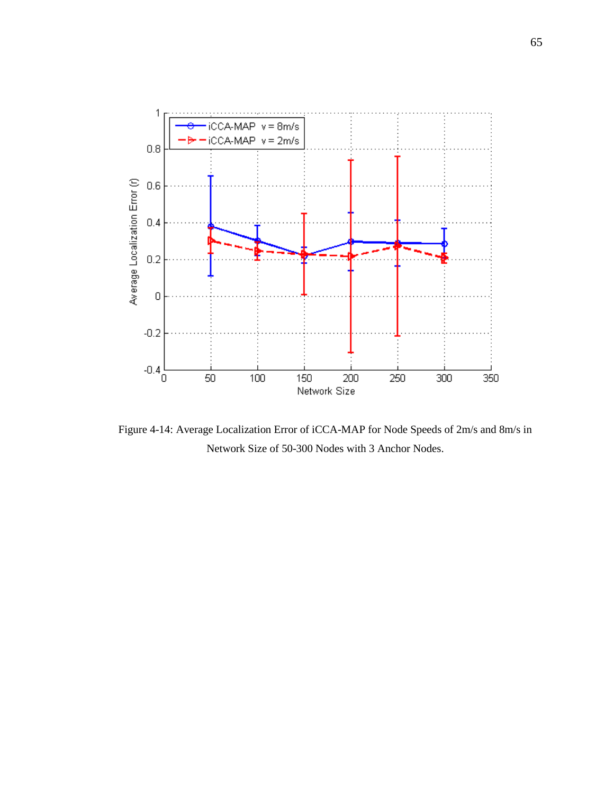

Figure 4-14: Average Localization Error of iCCA-MAP for Node Speeds of 2m/s and 8m/s in Network Size of 50-300 Nodes with 3 Anchor Nodes.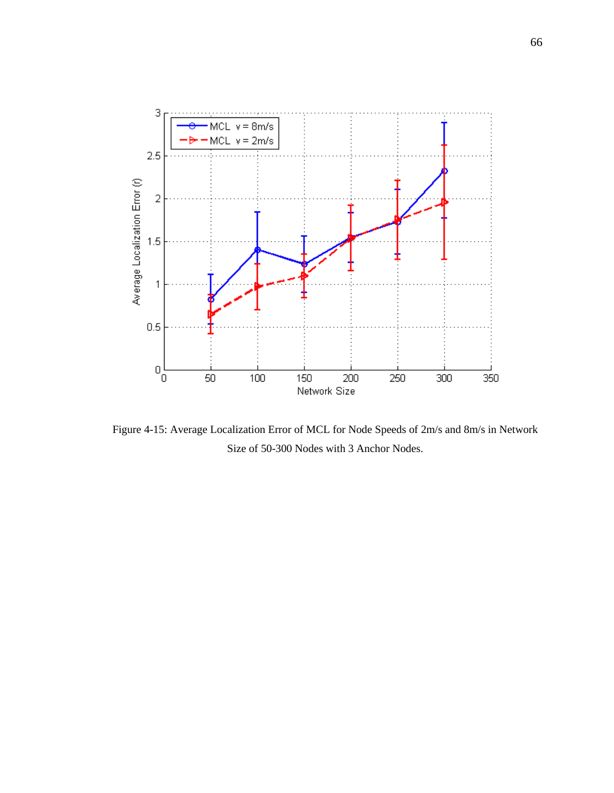

Figure 4-15: Average Localization Error of MCL for Node Speeds of 2m/s and 8m/s in Network Size of 50-300 Nodes with 3 Anchor Nodes.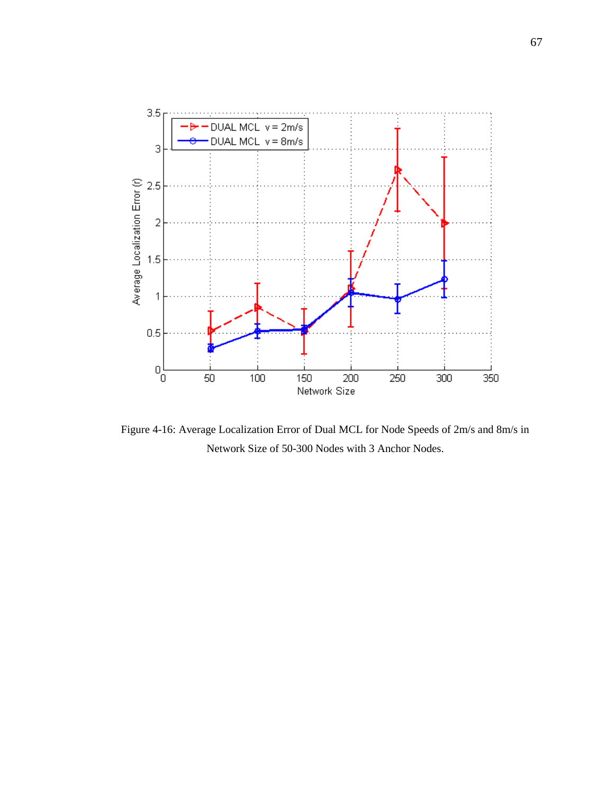

Figure 4-16: Average Localization Error of Dual MCL for Node Speeds of 2m/s and 8m/s in Network Size of 50-300 Nodes with 3 Anchor Nodes.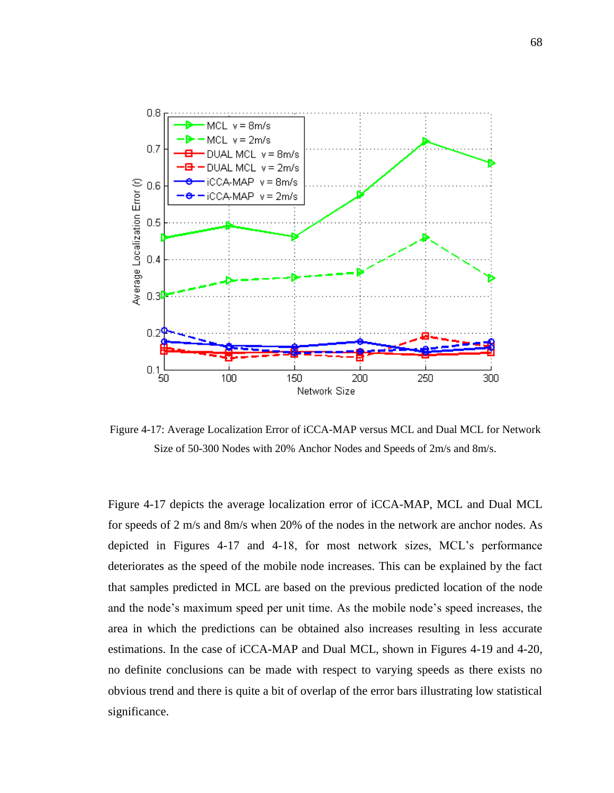

Figure 4-17: Average Localization Error of iCCA-MAP versus MCL and Dual MCL for Network Size of 50-300 Nodes with 20% Anchor Nodes and Speeds of 2m/s and 8m/s.

Figure 4-17 depicts the average localization error of iCCA-MAP, MCL and Dual MCL for speeds of 2 m/s and 8m/s when 20% of the nodes in the network are anchor nodes. As depicted in Figures 4-17 and 4-18, for most network sizes, MCL"s performance deteriorates as the speed of the mobile node increases. This can be explained by the fact that samples predicted in MCL are based on the previous predicted location of the node and the node"s maximum speed per unit time. As the mobile node"s speed increases, the area in which the predictions can be obtained also increases resulting in less accurate estimations. In the case of iCCA-MAP and Dual MCL, shown in Figures 4-19 and 4-20, no definite conclusions can be made with respect to varying speeds as there exists no obvious trend and there is quite a bit of overlap of the error bars illustrating low statistical significance.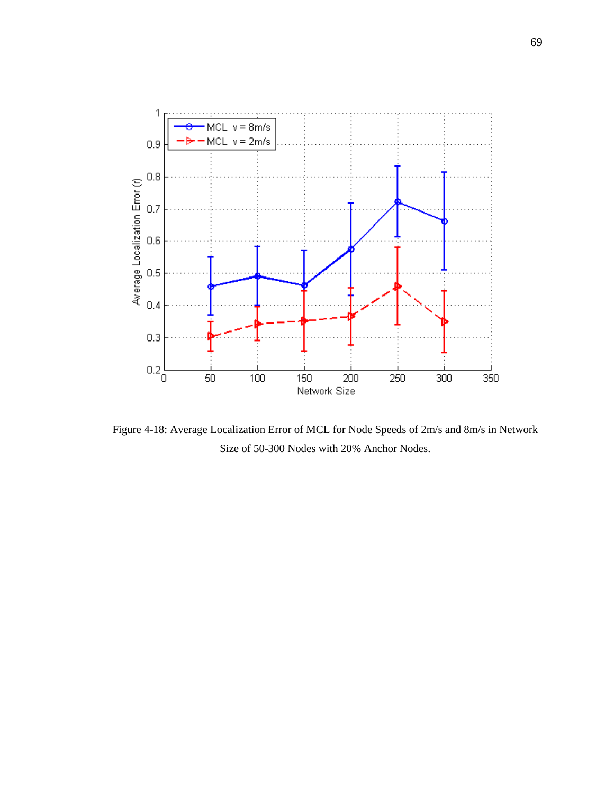

Figure 4-18: Average Localization Error of MCL for Node Speeds of 2m/s and 8m/s in Network Size of 50-300 Nodes with 20% Anchor Nodes.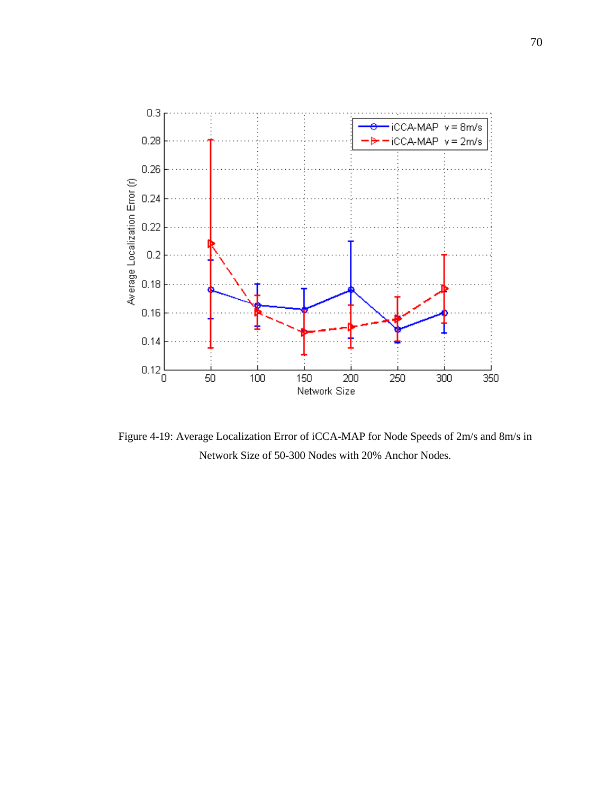

Figure 4-19: Average Localization Error of iCCA-MAP for Node Speeds of 2m/s and 8m/s in Network Size of 50-300 Nodes with 20% Anchor Nodes.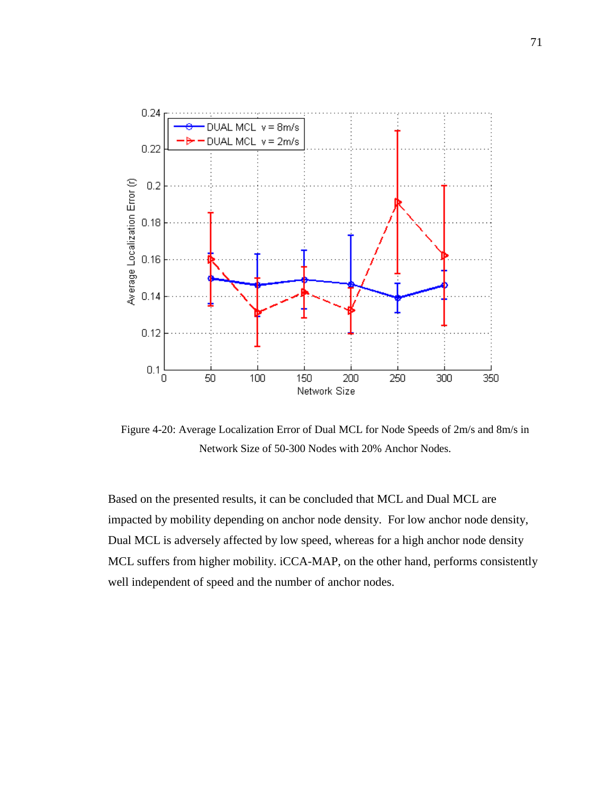

Figure 4-20: Average Localization Error of Dual MCL for Node Speeds of 2m/s and 8m/s in Network Size of 50-300 Nodes with 20% Anchor Nodes.

Based on the presented results, it can be concluded that MCL and Dual MCL are impacted by mobility depending on anchor node density. For low anchor node density, Dual MCL is adversely affected by low speed, whereas for a high anchor node density MCL suffers from higher mobility. iCCA-MAP, on the other hand, performs consistently well independent of speed and the number of anchor nodes.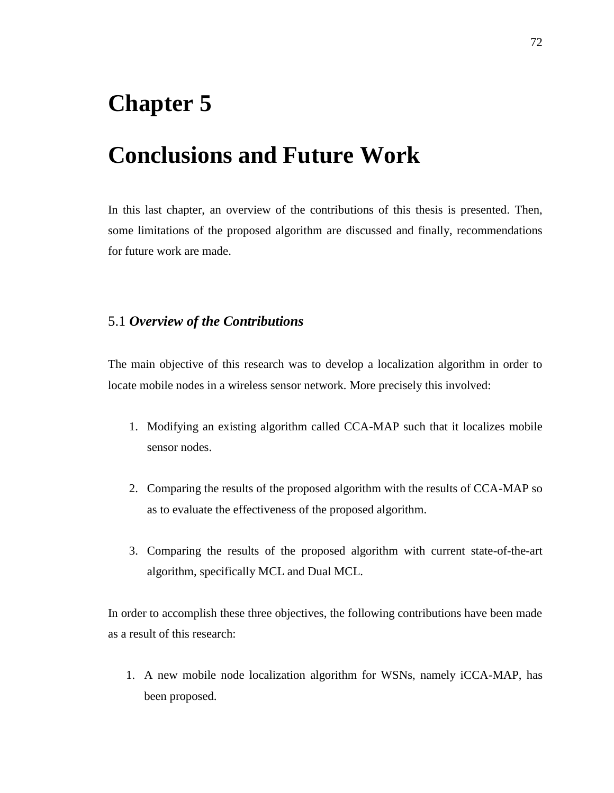## **Chapter 5**

## **Conclusions and Future Work**

In this last chapter, an overview of the contributions of this thesis is presented. Then, some limitations of the proposed algorithm are discussed and finally, recommendations for future work are made.

### 5.1 *Overview of the Contributions*

The main objective of this research was to develop a localization algorithm in order to locate mobile nodes in a wireless sensor network. More precisely this involved:

- 1. Modifying an existing algorithm called CCA-MAP such that it localizes mobile sensor nodes.
- 2. Comparing the results of the proposed algorithm with the results of CCA-MAP so as to evaluate the effectiveness of the proposed algorithm.
- 3. Comparing the results of the proposed algorithm with current state-of-the-art algorithm, specifically MCL and Dual MCL.

In order to accomplish these three objectives, the following contributions have been made as a result of this research:

1. A new mobile node localization algorithm for WSNs, namely iCCA-MAP, has been proposed.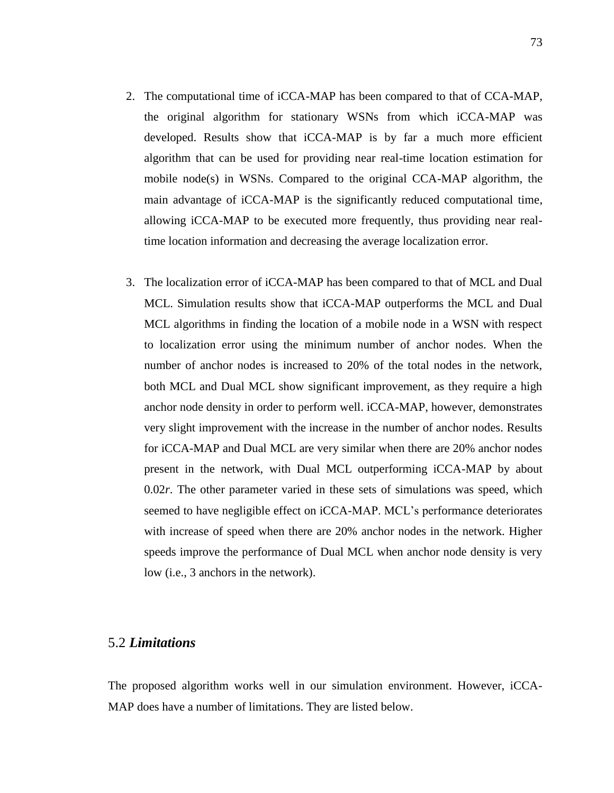- 2. The computational time of iCCA-MAP has been compared to that of CCA-MAP, the original algorithm for stationary WSNs from which iCCA-MAP was developed. Results show that iCCA-MAP is by far a much more efficient algorithm that can be used for providing near real-time location estimation for mobile node(s) in WSNs. Compared to the original CCA-MAP algorithm, the main advantage of iCCA-MAP is the significantly reduced computational time, allowing iCCA-MAP to be executed more frequently, thus providing near realtime location information and decreasing the average localization error.
- 3. The localization error of iCCA-MAP has been compared to that of MCL and Dual MCL. Simulation results show that iCCA-MAP outperforms the MCL and Dual MCL algorithms in finding the location of a mobile node in a WSN with respect to localization error using the minimum number of anchor nodes. When the number of anchor nodes is increased to 20% of the total nodes in the network, both MCL and Dual MCL show significant improvement, as they require a high anchor node density in order to perform well. iCCA-MAP, however, demonstrates very slight improvement with the increase in the number of anchor nodes. Results for iCCA-MAP and Dual MCL are very similar when there are 20% anchor nodes present in the network, with Dual MCL outperforming iCCA-MAP by about 0.02*r*. The other parameter varied in these sets of simulations was speed, which seemed to have negligible effect on iCCA-MAP. MCL"s performance deteriorates with increase of speed when there are 20% anchor nodes in the network. Higher speeds improve the performance of Dual MCL when anchor node density is very low (i.e., 3 anchors in the network).

#### 5.2 *Limitations*

The proposed algorithm works well in our simulation environment. However, iCCA-MAP does have a number of limitations. They are listed below.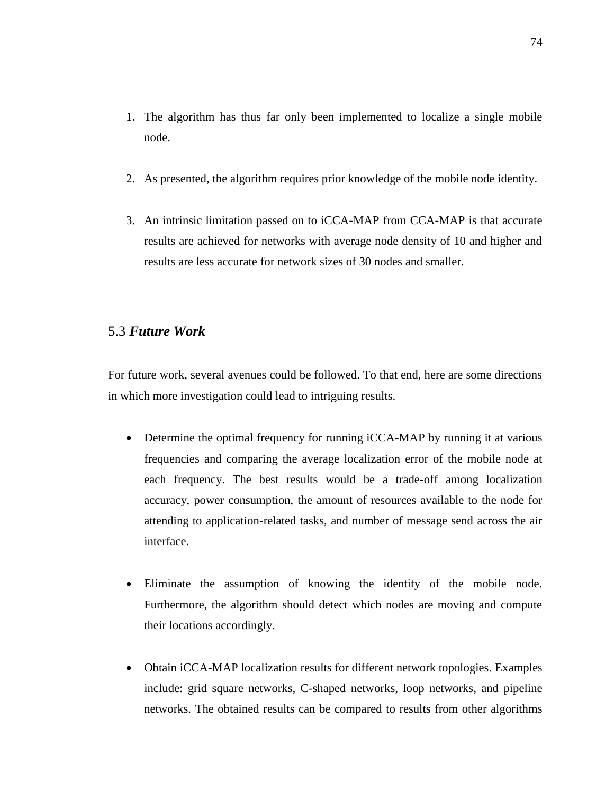- 1. The algorithm has thus far only been implemented to localize a single mobile node.
- 2. As presented, the algorithm requires prior knowledge of the mobile node identity.
- 3. An intrinsic limitation passed on to iCCA-MAP from CCA-MAP is that accurate results are achieved for networks with average node density of 10 and higher and results are less accurate for network sizes of 30 nodes and smaller.

### 5.3 *Future Work*

For future work, several avenues could be followed. To that end, here are some directions in which more investigation could lead to intriguing results.

- Determine the optimal frequency for running iCCA-MAP by running it at various frequencies and comparing the average localization error of the mobile node at each frequency. The best results would be a trade-off among localization accuracy, power consumption, the amount of resources available to the node for attending to application-related tasks, and number of message send across the air interface.
- Eliminate the assumption of knowing the identity of the mobile node. Furthermore, the algorithm should detect which nodes are moving and compute their locations accordingly.
- Obtain iCCA-MAP localization results for different network topologies. Examples include: grid square networks, C-shaped networks, loop networks, and pipeline networks. The obtained results can be compared to results from other algorithms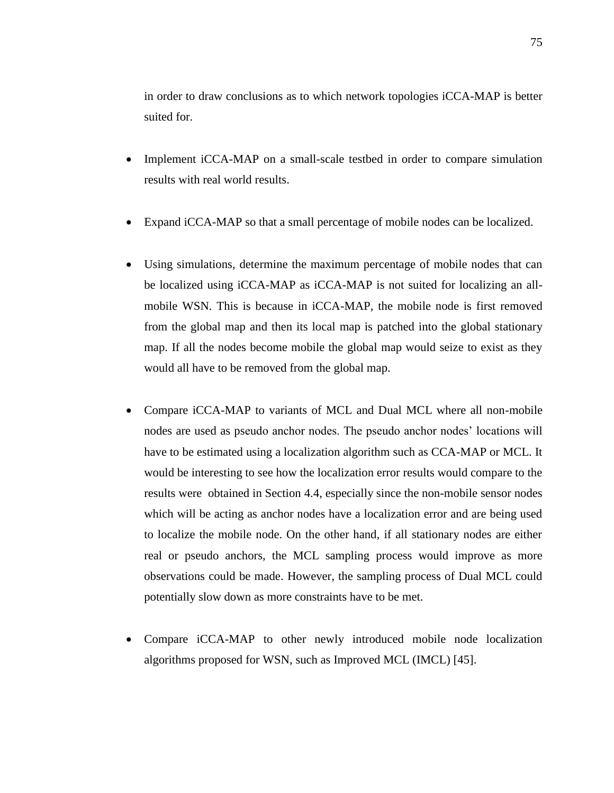in order to draw conclusions as to which network topologies iCCA-MAP is better suited for.

- Implement iCCA-MAP on a small-scale testbed in order to compare simulation results with real world results.
- Expand iCCA-MAP so that a small percentage of mobile nodes can be localized.
- Using simulations, determine the maximum percentage of mobile nodes that can be localized using iCCA-MAP as iCCA-MAP is not suited for localizing an allmobile WSN. This is because in iCCA-MAP, the mobile node is first removed from the global map and then its local map is patched into the global stationary map. If all the nodes become mobile the global map would seize to exist as they would all have to be removed from the global map.
- Compare iCCA-MAP to variants of MCL and Dual MCL where all non-mobile nodes are used as pseudo anchor nodes. The pseudo anchor nodes' locations will have to be estimated using a localization algorithm such as CCA-MAP or MCL. It would be interesting to see how the localization error results would compare to the results were obtained in Section 4.4, especially since the non-mobile sensor nodes which will be acting as anchor nodes have a localization error and are being used to localize the mobile node. On the other hand, if all stationary nodes are either real or pseudo anchors, the MCL sampling process would improve as more observations could be made. However, the sampling process of Dual MCL could potentially slow down as more constraints have to be met.
- Compare iCCA-MAP to other newly introduced mobile node localization algorithms proposed for WSN, such as Improved MCL (IMCL) [\[45\]](#page-89-0).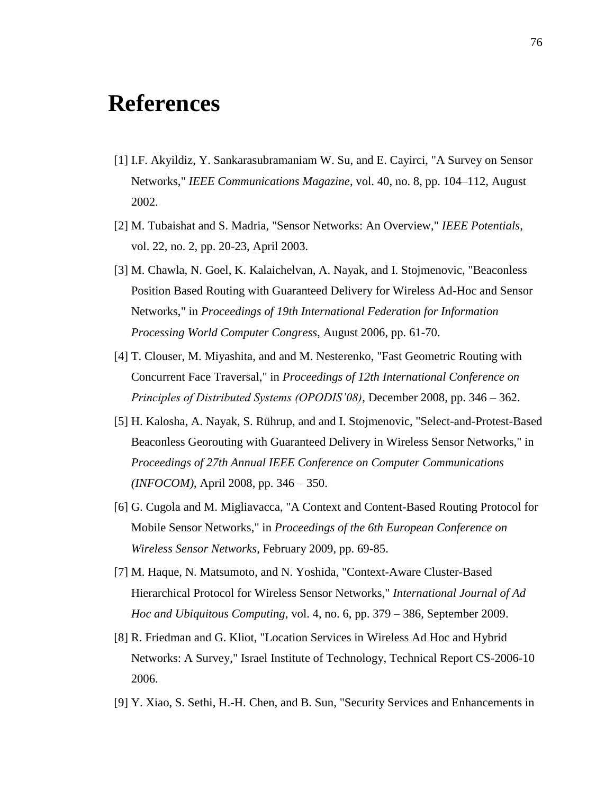# **References**

- [1] I.F. Akyildiz, Y. Sankarasubramaniam W. Su, and E. Cayirci, "A Survey on Sensor Networks," *IEEE Communications Magazine*, vol. 40, no. 8, pp. 104–112, August 2002.
- [2] M. Tubaishat and S. Madria, "Sensor Networks: An Overview," *IEEE Potentials*, vol. 22, no. 2, pp. 20-23, April 2003.
- [3] M. Chawla, N. Goel, K. Kalaichelvan, A. Nayak, and I. Stojmenovic, "Beaconless Position Based Routing with Guaranteed Delivery for Wireless Ad-Hoc and Sensor Networks," in *Proceedings of 19th International Federation for Information Processing World Computer Congress*, August 2006, pp. 61-70.
- [4] T. Clouser, M. Miyashita, and and M. Nesterenko, "Fast Geometric Routing with Concurrent Face Traversal," in *Proceedings of 12th International Conference on Principles of Distributed Systems (OPODIS'08)*, December 2008, pp. 346 – 362.
- [5] H. Kalosha, A. Nayak, S. Rührup, and and I. Stojmenovic, "Select-and-Protest-Based Beaconless Georouting with Guaranteed Delivery in Wireless Sensor Networks," in *Proceedings of 27th Annual IEEE Conference on Computer Communications (INFOCOM)*, April 2008, pp. 346 – 350.
- [6] G. Cugola and M. Migliavacca, "A Context and Content-Based Routing Protocol for Mobile Sensor Networks," in *Proceedings of the 6th European Conference on Wireless Sensor Networks*, February 2009, pp. 69-85.
- [7] M. Haque, N. Matsumoto, and N. Yoshida, "Context-Aware Cluster-Based Hierarchical Protocol for Wireless Sensor Networks," *International Journal of Ad Hoc and Ubiquitous Computing*, vol. 4, no. 6, pp. 379 – 386, September 2009.
- [8] R. Friedman and G. Kliot, "Location Services in Wireless Ad Hoc and Hybrid Networks: A Survey," Israel Institute of Technology, Technical Report CS-2006-10 2006.
- [9] Y. Xiao, S. Sethi, H.-H. Chen, and B. Sun, "Security Services and Enhancements in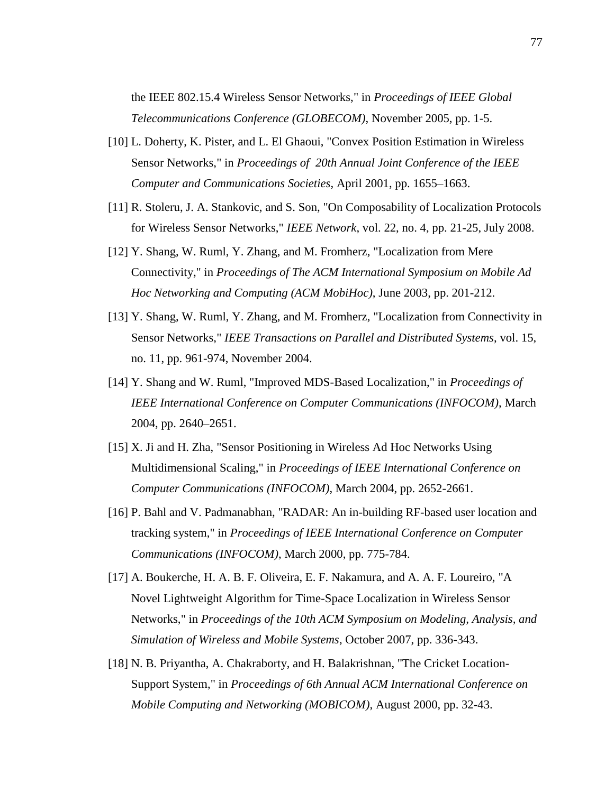the IEEE 802.15.4 Wireless Sensor Networks," in *Proceedings of IEEE Global Telecommunications Conference (GLOBECOM)*, November 2005, pp. 1-5.

- [10] L. Doherty, K. Pister, and L. El Ghaoui, "Convex Position Estimation in Wireless Sensor Networks," in *Proceedings of 20th Annual Joint Conference of the IEEE Computer and Communications Societies*, April 2001, pp. 1655–1663.
- [11] R. Stoleru, J. A. Stankovic, and S. Son, "On Composability of Localization Protocols for Wireless Sensor Networks," *IEEE Network*, vol. 22, no. 4, pp. 21-25, July 2008.
- [12] Y. Shang, W. Ruml, Y. Zhang, and M. Fromherz, "Localization from Mere Connectivity," in *Proceedings of The ACM International Symposium on Mobile Ad Hoc Networking and Computing (ACM MobiHoc)*, June 2003, pp. 201-212.
- [13] Y. Shang, W. Ruml, Y. Zhang, and M. Fromherz, "Localization from Connectivity in Sensor Networks," *IEEE Transactions on Parallel and Distributed Systems*, vol. 15, no. 11, pp. 961-974, November 2004.
- [14] Y. Shang and W. Ruml, "Improved MDS-Based Localization," in *Proceedings of IEEE International Conference on Computer Communications (INFOCOM)*, March 2004, pp. 2640–2651.
- [15] X. Ji and H. Zha, "Sensor Positioning in Wireless Ad Hoc Networks Using Multidimensional Scaling," in *Proceedings of IEEE International Conference on Computer Communications (INFOCOM)*, March 2004, pp. 2652-2661.
- [16] P. Bahl and V. Padmanabhan, "RADAR: An in-building RF-based user location and tracking system," in *Proceedings of IEEE International Conference on Computer Communications (INFOCOM)*, March 2000, pp. 775-784.
- [17] A. Boukerche, H. A. B. F. Oliveira, E. F. Nakamura, and A. A. F. Loureiro, "A Novel Lightweight Algorithm for Time-Space Localization in Wireless Sensor Networks," in *Proceedings of the 10th ACM Symposium on Modeling, Analysis, and Simulation of Wireless and Mobile Systems*, October 2007, pp. 336-343.
- [18] N. B. Priyantha, A. Chakraborty, and H. Balakrishnan, "The Cricket Location-Support System," in *Proceedings of 6th Annual ACM International Conference on Mobile Computing and Networking (MOBICOM)*, August 2000, pp. 32-43.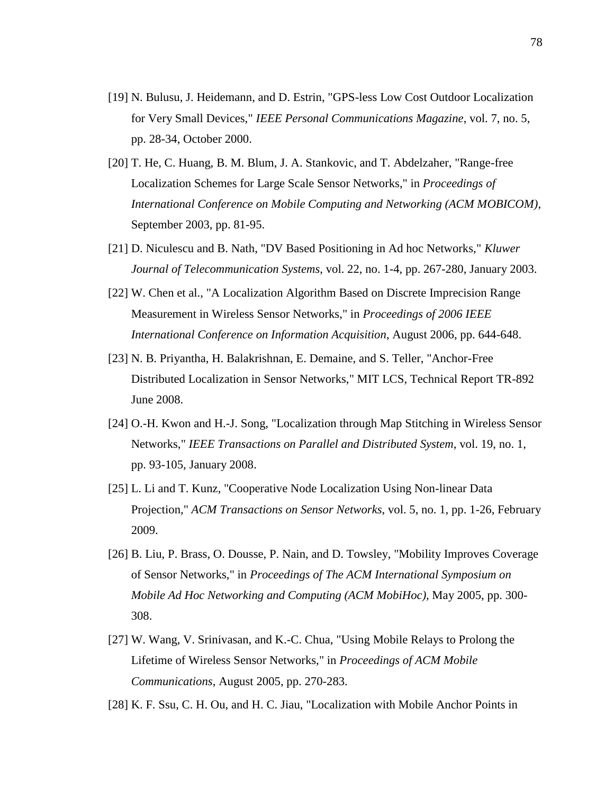- [19] N. Bulusu, J. Heidemann, and D. Estrin, "GPS-less Low Cost Outdoor Localization for Very Small Devices," *IEEE Personal Communications Magazine*, vol. 7, no. 5, pp. 28-34, October 2000.
- [20] T. He, C. Huang, B. M. Blum, J. A. Stankovic, and T. Abdelzaher, "Range-free Localization Schemes for Large Scale Sensor Networks," in *Proceedings of International Conference on Mobile Computing and Networking (ACM MOBICOM)*, September 2003, pp. 81-95.
- [21] D. Niculescu and B. Nath, "DV Based Positioning in Ad hoc Networks," *Kluwer Journal of Telecommunication Systems*, vol. 22, no. 1-4, pp. 267-280, January 2003.
- [22] W. Chen et al., "A Localization Algorithm Based on Discrete Imprecision Range Measurement in Wireless Sensor Networks," in *Proceedings of 2006 IEEE International Conference on Information Acquisition*, August 2006, pp. 644-648.
- [23] N. B. Priyantha, H. Balakrishnan, E. Demaine, and S. Teller, "Anchor-Free Distributed Localization in Sensor Networks," MIT LCS, Technical Report TR-892 June 2008.
- [24] O.-H. Kwon and H.-J. Song, "Localization through Map Stitching in Wireless Sensor Networks," *IEEE Transactions on Parallel and Distributed System*, vol. 19, no. 1, pp. 93-105, January 2008.
- [25] L. Li and T. Kunz, "Cooperative Node Localization Using Non-linear Data Projection," *ACM Transactions on Sensor Networks*, vol. 5, no. 1, pp. 1-26, February 2009.
- [26] B. Liu, P. Brass, O. Dousse, P. Nain, and D. Towsley, "Mobility Improves Coverage of Sensor Networks," in *Proceedings of The ACM International Symposium on Mobile Ad Hoc Networking and Computing (ACM MobiHoc)*, May 2005, pp. 300- 308.
- [27] W. Wang, V. Srinivasan, and K.-C. Chua, "Using Mobile Relays to Prolong the Lifetime of Wireless Sensor Networks," in *Proceedings of ACM Mobile Communications*, August 2005, pp. 270-283.
- [28] K. F. Ssu, C. H. Ou, and H. C. Jiau, "Localization with Mobile Anchor Points in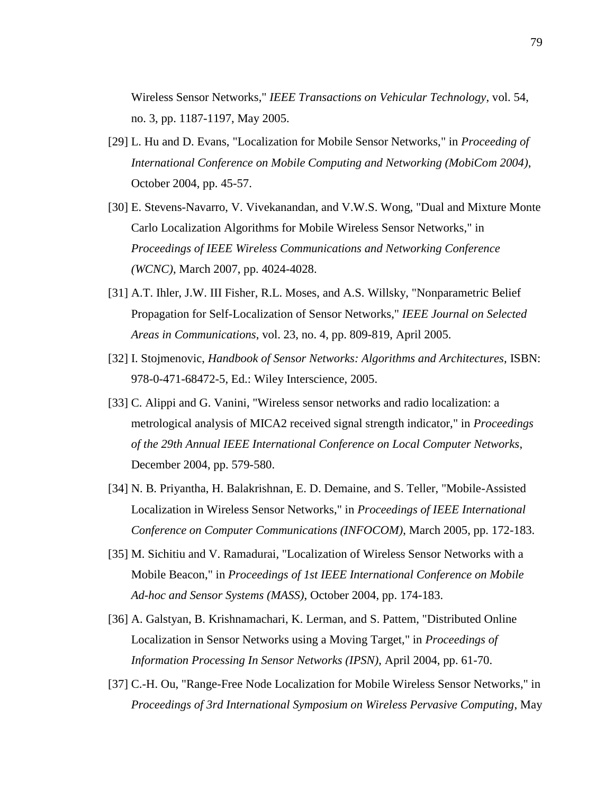Wireless Sensor Networks," *IEEE Transactions on Vehicular Technology*, vol. 54, no. 3, pp. 1187-1197, May 2005.

- [29] L. Hu and D. Evans, "Localization for Mobile Sensor Networks," in *Proceeding of International Conference on Mobile Computing and Networking (MobiCom 2004)*, October 2004, pp. 45-57.
- [30] E. Stevens-Navarro, V. Vivekanandan, and V.W.S. Wong, "Dual and Mixture Monte Carlo Localization Algorithms for Mobile Wireless Sensor Networks," in *Proceedings of IEEE Wireless Communications and Networking Conference (WCNC)*, March 2007, pp. 4024-4028.
- [31] A.T. Ihler, J.W. III Fisher, R.L. Moses, and A.S. Willsky, "Nonparametric Belief Propagation for Self-Localization of Sensor Networks," *IEEE Journal on Selected Areas in Communications*, vol. 23, no. 4, pp. 809-819, April 2005.
- [32] I. Stojmenovic, *Handbook of Sensor Networks: Algorithms and Architectures*, ISBN: 978-0-471-68472-5, Ed.: Wiley Interscience, 2005.
- [33] C. Alippi and G. Vanini, "Wireless sensor networks and radio localization: a metrological analysis of MICA2 received signal strength indicator," in *Proceedings of the 29th Annual IEEE International Conference on Local Computer Networks*, December 2004, pp. 579-580.
- [34] N. B. Priyantha, H. Balakrishnan, E. D. Demaine, and S. Teller, "Mobile-Assisted Localization in Wireless Sensor Networks," in *Proceedings of IEEE International Conference on Computer Communications (INFOCOM)*, March 2005, pp. 172-183.
- [35] M. Sichitiu and V. Ramadurai, "Localization of Wireless Sensor Networks with a Mobile Beacon," in *Proceedings of 1st IEEE International Conference on Mobile Ad-hoc and Sensor Systems (MASS)*, October 2004, pp. 174-183.
- [36] A. Galstyan, B. Krishnamachari, K. Lerman, and S. Pattem, "Distributed Online Localization in Sensor Networks using a Moving Target," in *Proceedings of Information Processing In Sensor Networks (IPSN)*, April 2004, pp. 61-70.
- [37] C.-H. Ou, "Range-Free Node Localization for Mobile Wireless Sensor Networks," in *Proceedings of 3rd International Symposium on Wireless Pervasive Computing*, May